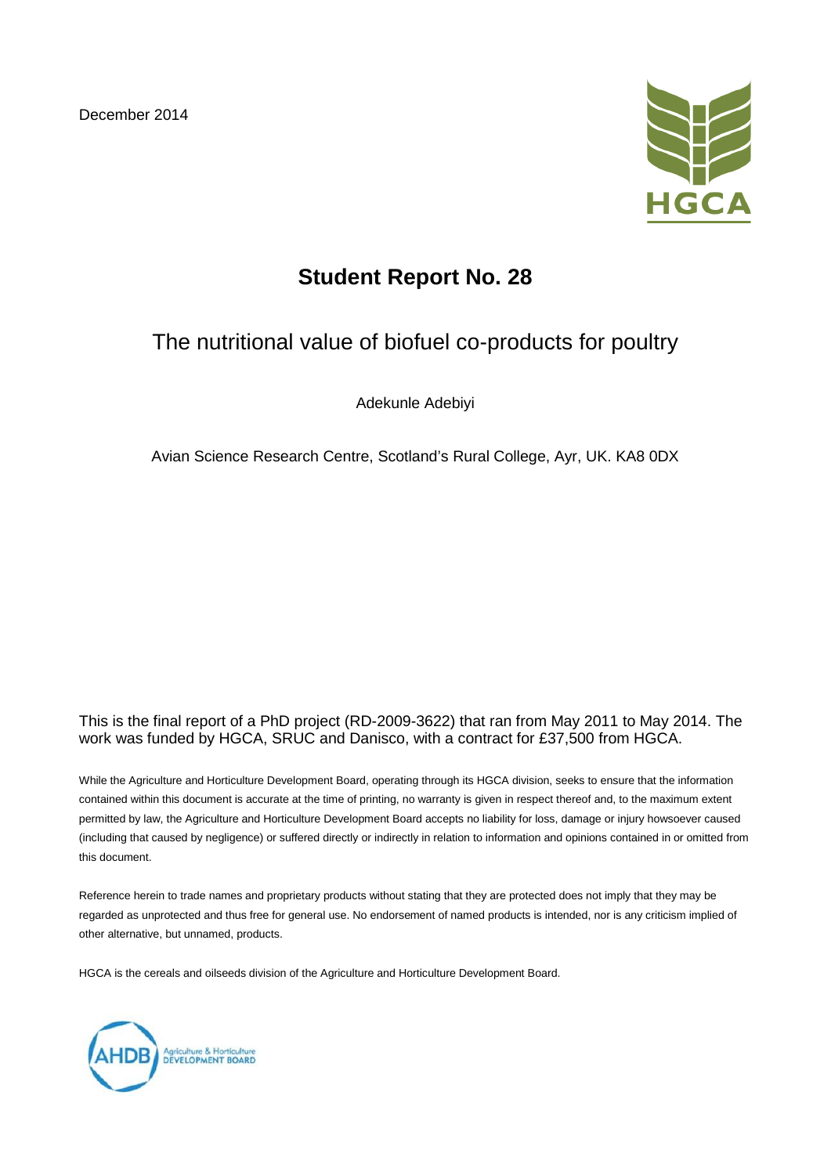December 2014



# **Student Report No. 28**

# The nutritional value of biofuel co-products for poultry

Adekunle Adebiyi

Avian Science Research Centre, Scotland's Rural College, Ayr, UK. KA8 0DX

#### This is the final report of a PhD project (RD-2009-3622) that ran from May 2011 to May 2014. The work was funded by HGCA, SRUC and Danisco, with a contract for £37,500 from HGCA.

While the Agriculture and Horticulture Development Board, operating through its HGCA division, seeks to ensure that the information contained within this document is accurate at the time of printing, no warranty is given in respect thereof and, to the maximum extent permitted by law, the Agriculture and Horticulture Development Board accepts no liability for loss, damage or injury howsoever caused (including that caused by negligence) or suffered directly or indirectly in relation to information and opinions contained in or omitted from this document.

Reference herein to trade names and proprietary products without stating that they are protected does not imply that they may be regarded as unprotected and thus free for general use. No endorsement of named products is intended, nor is any criticism implied of other alternative, but unnamed, products.

HGCA is the cereals and oilseeds division of the Agriculture and Horticulture Development Board.

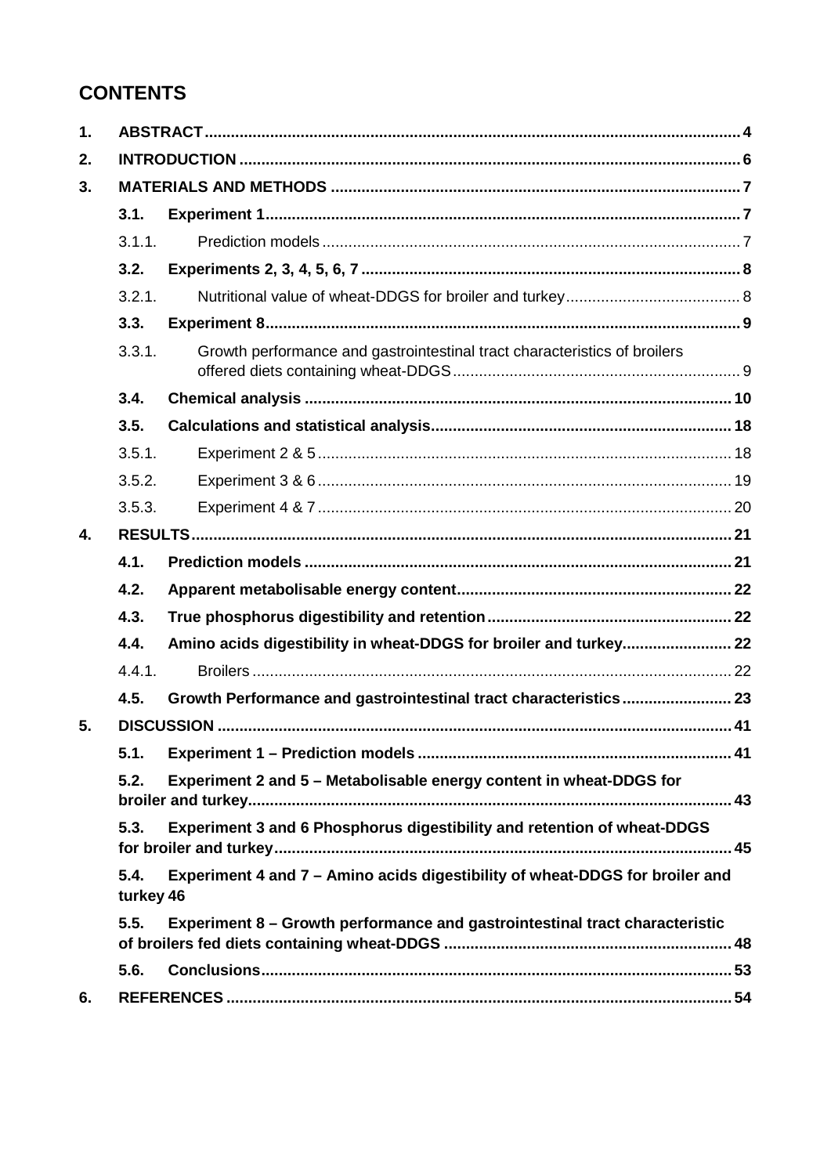# **CONTENTS**

| 1. |                   |                                                                              |  |
|----|-------------------|------------------------------------------------------------------------------|--|
| 2. |                   |                                                                              |  |
| 3. |                   |                                                                              |  |
|    | 3.1.              |                                                                              |  |
|    | 3.1.1.            |                                                                              |  |
|    | 3.2.              |                                                                              |  |
|    | 3.2.1.            |                                                                              |  |
|    | 3.3.              |                                                                              |  |
|    | 3.3.1.            | Growth performance and gastrointestinal tract characteristics of broilers    |  |
|    | 3.4.              |                                                                              |  |
|    | 3.5.              |                                                                              |  |
|    | 3.5.1.            |                                                                              |  |
|    | 3.5.2.            |                                                                              |  |
|    | 3.5.3.            |                                                                              |  |
| 4. |                   |                                                                              |  |
|    | 4.1.              |                                                                              |  |
|    | 4.2.              |                                                                              |  |
|    | 4.3.              |                                                                              |  |
|    | 4.4.              | Amino acids digestibility in wheat-DDGS for broiler and turkey 22            |  |
|    | 4.4.1.            |                                                                              |  |
|    | 4.5.              | Growth Performance and gastrointestinal tract characteristics 23             |  |
| 5. |                   |                                                                              |  |
|    | 5.1.              |                                                                              |  |
|    | 5.2.              | Experiment 2 and 5 - Metabolisable energy content in wheat-DDGS for          |  |
|    | 5.3.              | Experiment 3 and 6 Phosphorus digestibility and retention of wheat-DDGS      |  |
|    | 5.4.<br>turkey 46 | Experiment 4 and 7 - Amino acids digestibility of wheat-DDGS for broiler and |  |
|    | 5.5.              | Experiment 8 - Growth performance and gastrointestinal tract characteristic  |  |
|    | 5.6.              |                                                                              |  |
| 6. |                   |                                                                              |  |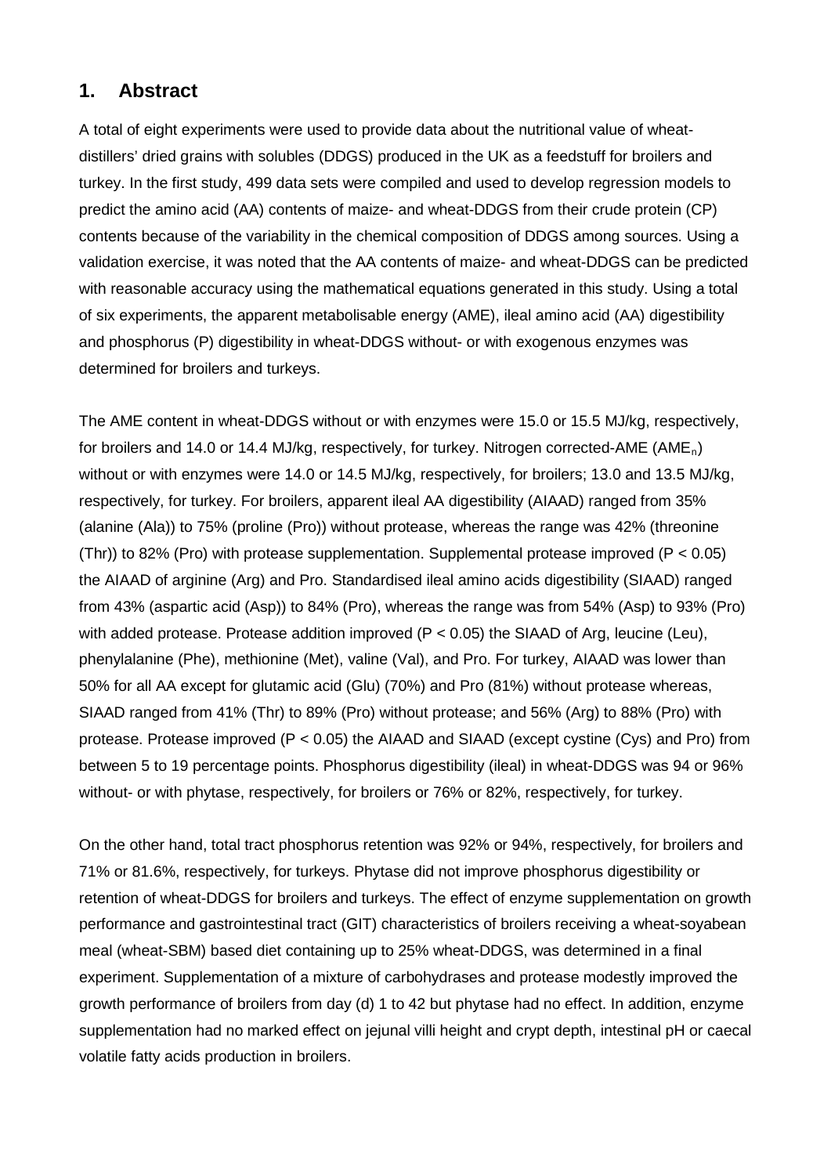# **1. Abstract**

A total of eight experiments were used to provide data about the nutritional value of wheatdistillers' dried grains with solubles (DDGS) produced in the UK as a feedstuff for broilers and turkey. In the first study, 499 data sets were compiled and used to develop regression models to predict the amino acid (AA) contents of maize- and wheat-DDGS from their crude protein (CP) contents because of the variability in the chemical composition of DDGS among sources. Using a validation exercise, it was noted that the AA contents of maize- and wheat-DDGS can be predicted with reasonable accuracy using the mathematical equations generated in this study. Using a total of six experiments, the apparent metabolisable energy (AME), ileal amino acid (AA) digestibility and phosphorus (P) digestibility in wheat-DDGS without- or with exogenous enzymes was determined for broilers and turkeys.

The AME content in wheat-DDGS without or with enzymes were 15.0 or 15.5 MJ/kg, respectively, for broilers and 14.0 or 14.4 MJ/kg, respectively, for turkey. Nitrogen corrected-AME (AMEn) without or with enzymes were 14.0 or 14.5 MJ/kg, respectively, for broilers; 13.0 and 13.5 MJ/kg, respectively, for turkey. For broilers, apparent ileal AA digestibility (AIAAD) ranged from 35% (alanine (Ala)) to 75% (proline (Pro)) without protease, whereas the range was 42% (threonine (Thr)) to 82% (Pro) with protease supplementation. Supplemental protease improved (P  $< 0.05$ ) the AIAAD of arginine (Arg) and Pro. Standardised ileal amino acids digestibility (SIAAD) ranged from 43% (aspartic acid (Asp)) to 84% (Pro), whereas the range was from 54% (Asp) to 93% (Pro) with added protease. Protease addition improved ( $P < 0.05$ ) the SIAAD of Arg, leucine (Leu), phenylalanine (Phe), methionine (Met), valine (Val), and Pro. For turkey, AIAAD was lower than 50% for all AA except for glutamic acid (Glu) (70%) and Pro (81%) without protease whereas, SIAAD ranged from 41% (Thr) to 89% (Pro) without protease; and 56% (Arg) to 88% (Pro) with protease. Protease improved (P < 0.05) the AIAAD and SIAAD (except cystine (Cys) and Pro) from between 5 to 19 percentage points. Phosphorus digestibility (ileal) in wheat-DDGS was 94 or 96% without- or with phytase, respectively, for broilers or 76% or 82%, respectively, for turkey.

On the other hand, total tract phosphorus retention was 92% or 94%, respectively, for broilers and 71% or 81.6%, respectively, for turkeys. Phytase did not improve phosphorus digestibility or retention of wheat-DDGS for broilers and turkeys. The effect of enzyme supplementation on growth performance and gastrointestinal tract (GIT) characteristics of broilers receiving a wheat-soyabean meal (wheat-SBM) based diet containing up to 25% wheat-DDGS, was determined in a final experiment. Supplementation of a mixture of carbohydrases and protease modestly improved the growth performance of broilers from day (d) 1 to 42 but phytase had no effect. In addition, enzyme supplementation had no marked effect on jejunal villi height and crypt depth, intestinal pH or caecal volatile fatty acids production in broilers.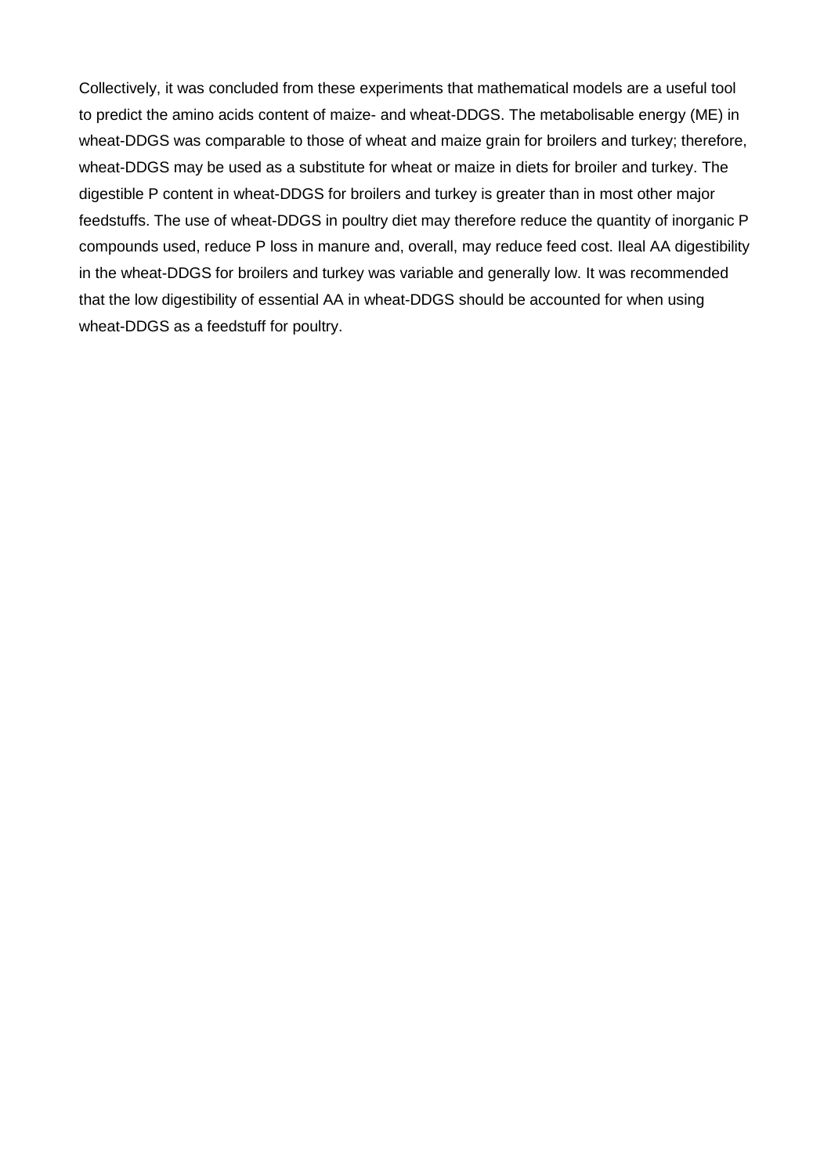Collectively, it was concluded from these experiments that mathematical models are a useful tool to predict the amino acids content of maize- and wheat-DDGS. The metabolisable energy (ME) in wheat-DDGS was comparable to those of wheat and maize grain for broilers and turkey; therefore, wheat-DDGS may be used as a substitute for wheat or maize in diets for broiler and turkey. The digestible P content in wheat-DDGS for broilers and turkey is greater than in most other major feedstuffs. The use of wheat-DDGS in poultry diet may therefore reduce the quantity of inorganic P compounds used, reduce P loss in manure and, overall, may reduce feed cost. Ileal AA digestibility in the wheat-DDGS for broilers and turkey was variable and generally low. It was recommended that the low digestibility of essential AA in wheat-DDGS should be accounted for when using wheat-DDGS as a feedstuff for poultry.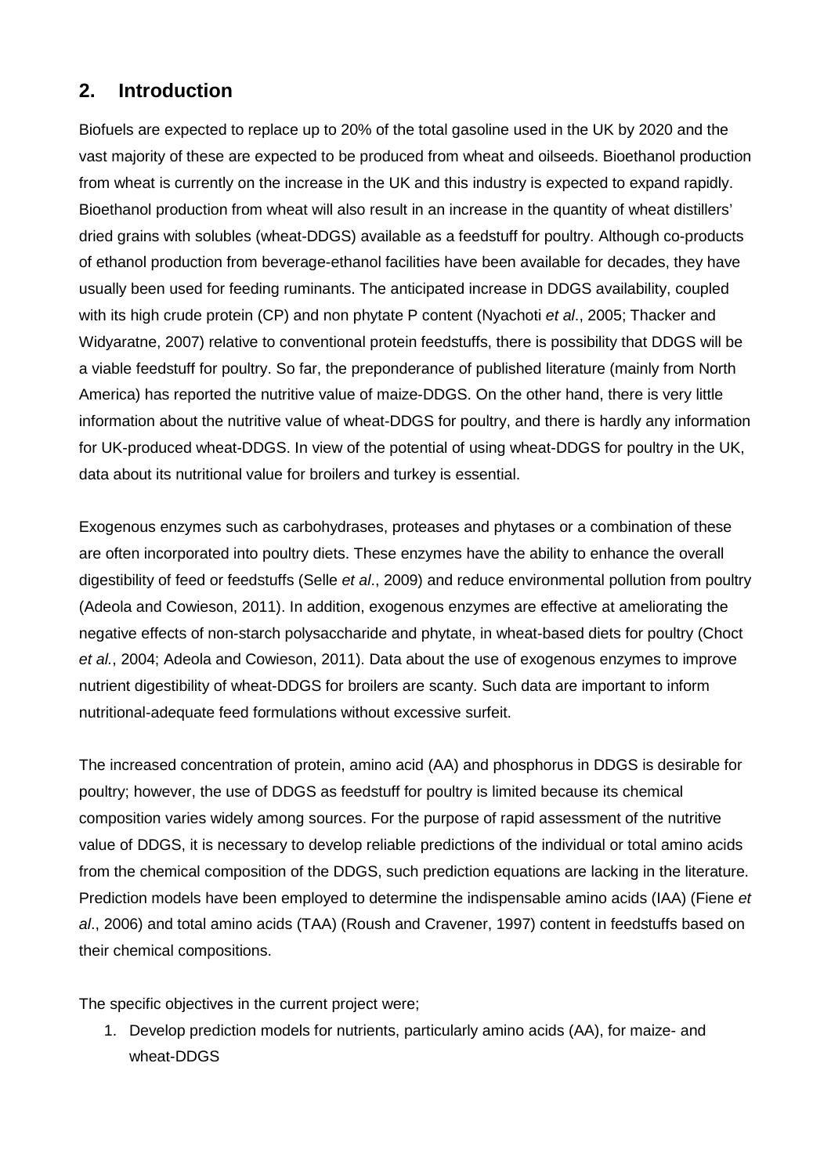# **2. Introduction**

Biofuels are expected to replace up to 20% of the total gasoline used in the UK by 2020 and the vast majority of these are expected to be produced from wheat and oilseeds. Bioethanol production from wheat is currently on the increase in the UK and this industry is expected to expand rapidly. Bioethanol production from wheat will also result in an increase in the quantity of wheat distillers' dried grains with solubles (wheat-DDGS) available as a feedstuff for poultry. Although co-products of ethanol production from beverage-ethanol facilities have been available for decades, they have usually been used for feeding ruminants. The anticipated increase in DDGS availability, coupled with its high crude protein (CP) and non phytate P content (Nyachoti *et al*., 2005; Thacker and Widyaratne, 2007) relative to conventional protein feedstuffs, there is possibility that DDGS will be a viable feedstuff for poultry. So far, the preponderance of published literature (mainly from North America) has reported the nutritive value of maize-DDGS. On the other hand, there is very little information about the nutritive value of wheat-DDGS for poultry, and there is hardly any information for UK-produced wheat-DDGS. In view of the potential of using wheat-DDGS for poultry in the UK, data about its nutritional value for broilers and turkey is essential.

Exogenous enzymes such as carbohydrases, proteases and phytases or a combination of these are often incorporated into poultry diets. These enzymes have the ability to enhance the overall digestibility of feed or feedstuffs (Selle *et al*., 2009) and reduce environmental pollution from poultry (Adeola and Cowieson, 2011). In addition, exogenous enzymes are effective at ameliorating the negative effects of non-starch polysaccharide and phytate, in wheat-based diets for poultry (Choct *et al.*, 2004; Adeola and Cowieson, 2011). Data about the use of exogenous enzymes to improve nutrient digestibility of wheat-DDGS for broilers are scanty. Such data are important to inform nutritional-adequate feed formulations without excessive surfeit.

The increased concentration of protein, amino acid (AA) and phosphorus in DDGS is desirable for poultry; however, the use of DDGS as feedstuff for poultry is limited because its chemical composition varies widely among sources. For the purpose of rapid assessment of the nutritive value of DDGS, it is necessary to develop reliable predictions of the individual or total amino acids from the chemical composition of the DDGS, such prediction equations are lacking in the literature. Prediction models have been employed to determine the indispensable amino acids (IAA) (Fiene *et al*., 2006) and total amino acids (TAA) (Roush and Cravener, 1997) content in feedstuffs based on their chemical compositions.

The specific objectives in the current project were;

1. Develop prediction models for nutrients, particularly amino acids (AA), for maize- and wheat-DDGS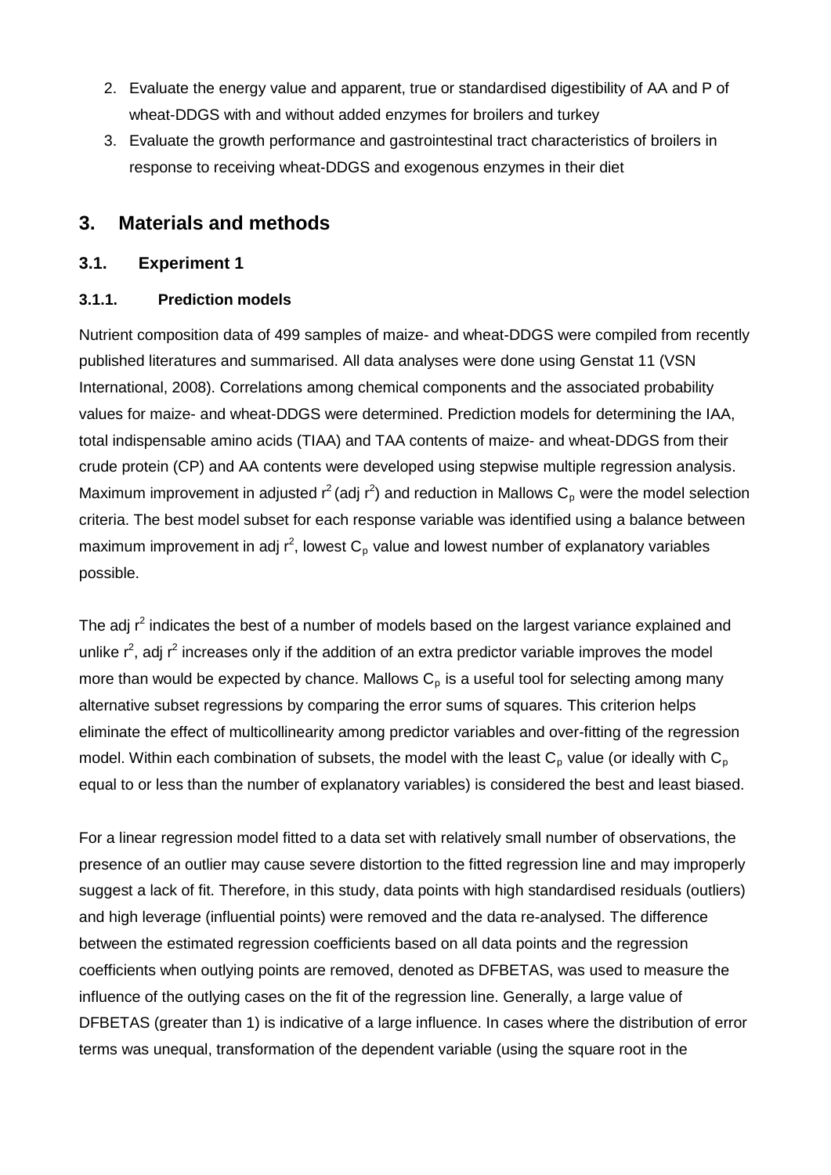- 2. Evaluate the energy value and apparent, true or standardised digestibility of AA and P of wheat-DDGS with and without added enzymes for broilers and turkey
- 3. Evaluate the growth performance and gastrointestinal tract characteristics of broilers in response to receiving wheat-DDGS and exogenous enzymes in their diet

# **3. Materials and methods**

### **3.1. Experiment 1**

### **3.1.1. Prediction models**

Nutrient composition data of 499 samples of maize- and wheat-DDGS were compiled from recently published literatures and summarised. All data analyses were done using Genstat 11 (VSN International, 2008). Correlations among chemical components and the associated probability values for maize- and wheat-DDGS were determined. Prediction models for determining the IAA, total indispensable amino acids (TIAA) and TAA contents of maize- and wheat-DDGS from their crude protein (CP) and AA contents were developed using stepwise multiple regression analysis. Maximum improvement in adjusted  $r^2$  (adj  $r^2$ ) and reduction in Mallows C<sub>p</sub> were the model selection criteria. The best model subset for each response variable was identified using a balance between maximum improvement in adj  $r^2$ , lowest  $C_p$  value and lowest number of explanatory variables possible.

The adj  $r^2$  indicates the best of a number of models based on the largest variance explained and unlike  $r^2$ , adj  $r^2$  increases only if the addition of an extra predictor variable improves the model more than would be expected by chance. Mallows  $C_p$  is a useful tool for selecting among many alternative subset regressions by comparing the error sums of squares. This criterion helps eliminate the effect of multicollinearity among predictor variables and over-fitting of the regression model. Within each combination of subsets, the model with the least  $C_p$  value (or ideally with  $C_p$ equal to or less than the number of explanatory variables) is considered the best and least biased.

For a linear regression model fitted to a data set with relatively small number of observations, the presence of an outlier may cause severe distortion to the fitted regression line and may improperly suggest a lack of fit. Therefore, in this study, data points with high standardised residuals (outliers) and high leverage (influential points) were removed and the data re-analysed. The difference between the estimated regression coefficients based on all data points and the regression coefficients when outlying points are removed, denoted as DFBETAS, was used to measure the influence of the outlying cases on the fit of the regression line. Generally, a large value of DFBETAS (greater than 1) is indicative of a large influence. In cases where the distribution of error terms was unequal, transformation of the dependent variable (using the square root in the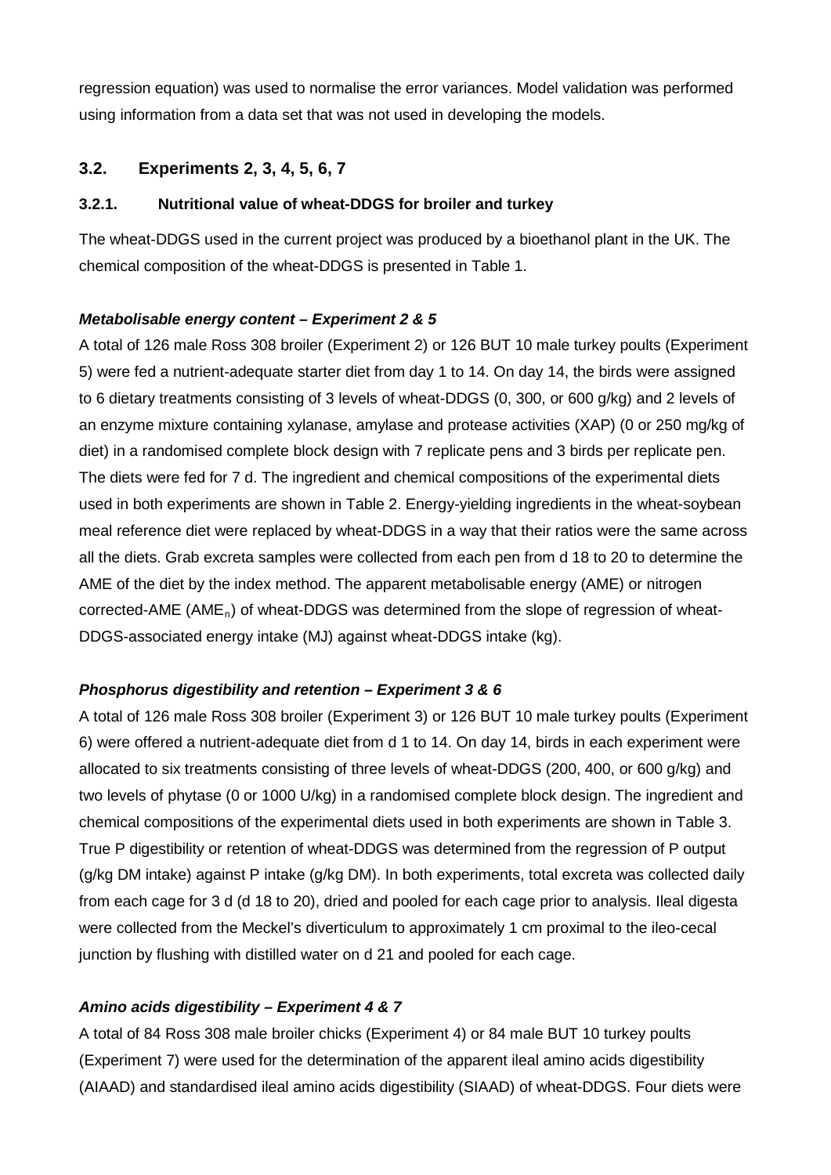regression equation) was used to normalise the error variances. Model validation was performed using information from a data set that was not used in developing the models.

# **3.2. Experiments 2, 3, 4, 5, 6, 7**

### **3.2.1. Nutritional value of wheat-DDGS for broiler and turkey**

The wheat-DDGS used in the current project was produced by a bioethanol plant in the UK. The chemical composition of the wheat-DDGS is presented in Table 1.

### *Metabolisable energy content – Experiment 2 & 5*

A total of 126 male Ross 308 broiler (Experiment 2) or 126 BUT 10 male turkey poults (Experiment 5) were fed a nutrient-adequate starter diet from day 1 to 14. On day 14, the birds were assigned to 6 dietary treatments consisting of 3 levels of wheat-DDGS (0, 300, or 600 g/kg) and 2 levels of an enzyme mixture containing xylanase, amylase and protease activities (XAP) (0 or 250 mg/kg of diet) in a randomised complete block design with 7 replicate pens and 3 birds per replicate pen. The diets were fed for 7 d. The ingredient and chemical compositions of the experimental diets used in both experiments are shown in Table 2. Energy-yielding ingredients in the wheat-soybean meal reference diet were replaced by wheat-DDGS in a way that their ratios were the same across all the diets. Grab excreta samples were collected from each pen from d 18 to 20 to determine the AME of the diet by the index method. The apparent metabolisable energy (AME) or nitrogen corrected-AME (AME<sub>n</sub>) of wheat-DDGS was determined from the slope of regression of wheat-DDGS-associated energy intake (MJ) against wheat-DDGS intake (kg).

# *Phosphorus digestibility and retention – Experiment 3 & 6*

A total of 126 male Ross 308 broiler (Experiment 3) or 126 BUT 10 male turkey poults (Experiment 6) were offered a nutrient-adequate diet from d 1 to 14. On day 14, birds in each experiment were allocated to six treatments consisting of three levels of wheat-DDGS (200, 400, or 600 g/kg) and two levels of phytase (0 or 1000 U/kg) in a randomised complete block design. The ingredient and chemical compositions of the experimental diets used in both experiments are shown in Table 3. True P digestibility or retention of wheat-DDGS was determined from the regression of P output (g/kg DM intake) against P intake (g/kg DM). In both experiments, total excreta was collected daily from each cage for 3 d (d 18 to 20), dried and pooled for each cage prior to analysis. Ileal digesta were collected from the Meckel's diverticulum to approximately 1 cm proximal to the ileo-cecal junction by flushing with distilled water on d 21 and pooled for each cage.

# *Amino acids digestibility – Experiment 4 & 7*

A total of 84 Ross 308 male broiler chicks (Experiment 4) or 84 male BUT 10 turkey poults (Experiment 7) were used for the determination of the apparent ileal amino acids digestibility (AIAAD) and standardised ileal amino acids digestibility (SIAAD) of wheat-DDGS. Four diets were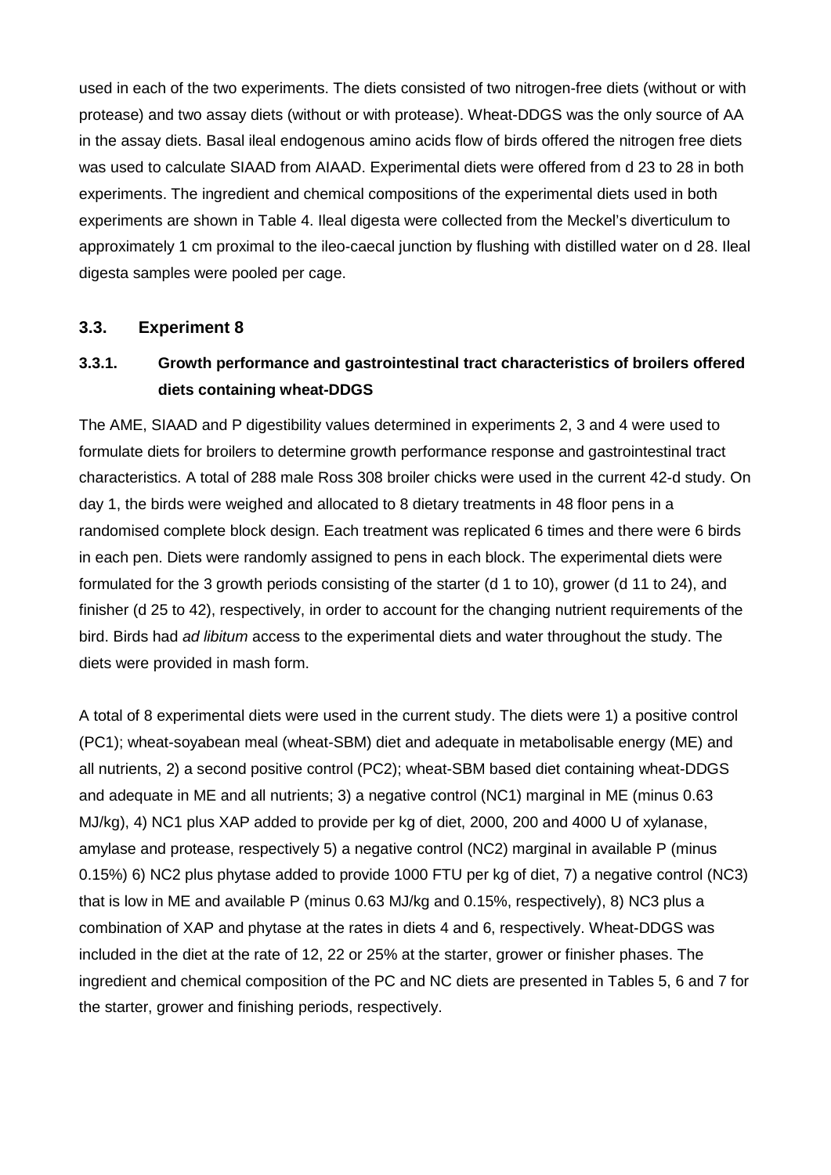used in each of the two experiments. The diets consisted of two nitrogen-free diets (without or with protease) and two assay diets (without or with protease). Wheat-DDGS was the only source of AA in the assay diets. Basal ileal endogenous amino acids flow of birds offered the nitrogen free diets was used to calculate SIAAD from AIAAD. Experimental diets were offered from d 23 to 28 in both experiments. The ingredient and chemical compositions of the experimental diets used in both experiments are shown in Table 4. Ileal digesta were collected from the Meckel's diverticulum to approximately 1 cm proximal to the ileo-caecal junction by flushing with distilled water on d 28. Ileal digesta samples were pooled per cage.

### **3.3. Experiment 8**

# **3.3.1. Growth performance and gastrointestinal tract characteristics of broilers offered diets containing wheat-DDGS**

The AME, SIAAD and P digestibility values determined in experiments 2, 3 and 4 were used to formulate diets for broilers to determine growth performance response and gastrointestinal tract characteristics. A total of 288 male Ross 308 broiler chicks were used in the current 42-d study. On day 1, the birds were weighed and allocated to 8 dietary treatments in 48 floor pens in a randomised complete block design. Each treatment was replicated 6 times and there were 6 birds in each pen. Diets were randomly assigned to pens in each block. The experimental diets were formulated for the 3 growth periods consisting of the starter (d 1 to 10), grower (d 11 to 24), and finisher (d 25 to 42), respectively, in order to account for the changing nutrient requirements of the bird. Birds had *ad libitum* access to the experimental diets and water throughout the study. The diets were provided in mash form.

A total of 8 experimental diets were used in the current study. The diets were 1) a positive control (PC1); wheat-soyabean meal (wheat-SBM) diet and adequate in metabolisable energy (ME) and all nutrients, 2) a second positive control (PC2); wheat-SBM based diet containing wheat-DDGS and adequate in ME and all nutrients; 3) a negative control (NC1) marginal in ME (minus 0.63 MJ/kg), 4) NC1 plus XAP added to provide per kg of diet, 2000, 200 and 4000 U of xylanase, amylase and protease, respectively 5) a negative control (NC2) marginal in available P (minus 0.15%) 6) NC2 plus phytase added to provide 1000 FTU per kg of diet, 7) a negative control (NC3) that is low in ME and available P (minus 0.63 MJ/kg and 0.15%, respectively), 8) NC3 plus a combination of XAP and phytase at the rates in diets 4 and 6, respectively. Wheat-DDGS was included in the diet at the rate of 12, 22 or 25% at the starter, grower or finisher phases. The ingredient and chemical composition of the PC and NC diets are presented in Tables 5, 6 and 7 for the starter, grower and finishing periods, respectively.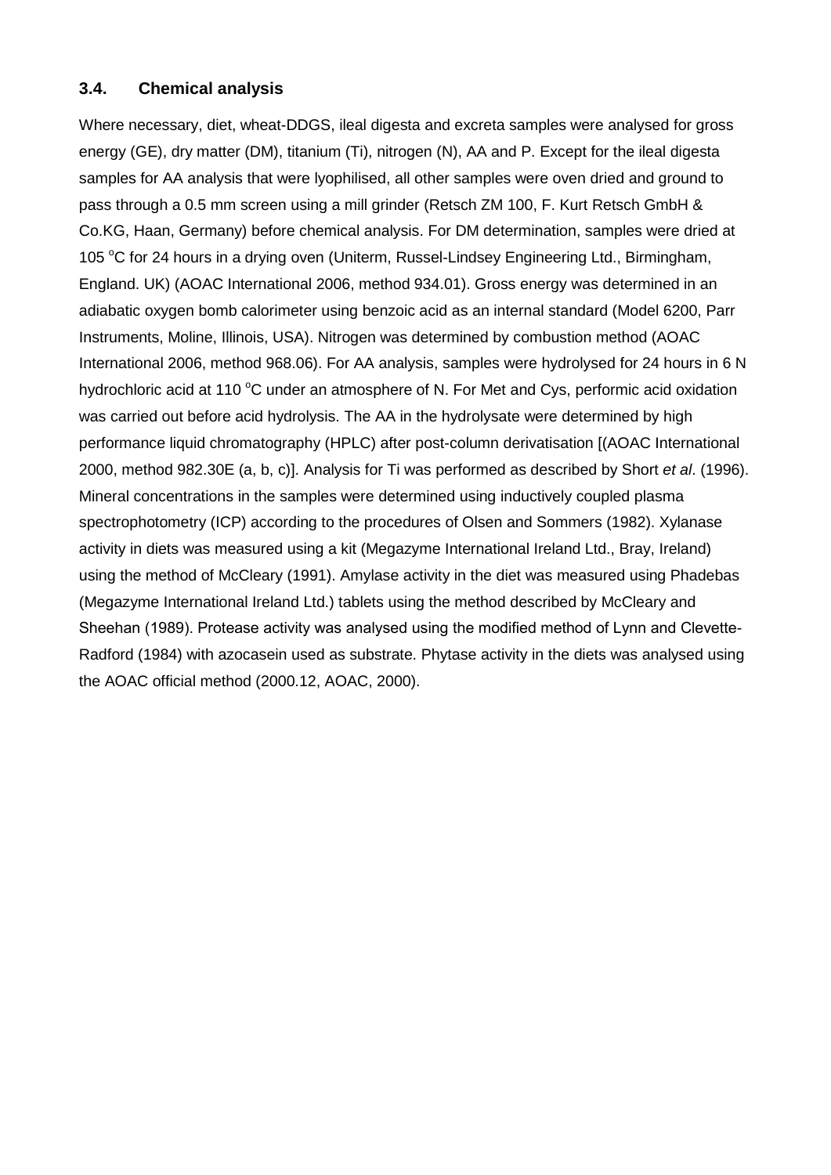# **3.4. Chemical analysis**

Where necessary, diet, wheat-DDGS, ileal digesta and excreta samples were analysed for gross energy (GE), dry matter (DM), titanium (Ti), nitrogen (N), AA and P. Except for the ileal digesta samples for AA analysis that were lyophilised, all other samples were oven dried and ground to pass through a 0.5 mm screen using a mill grinder (Retsch ZM 100, F. Kurt Retsch GmbH & Co.KG, Haan, Germany) before chemical analysis. For DM determination, samples were dried at 105 °C for 24 hours in a drying oven (Uniterm, Russel-Lindsey Engineering Ltd., Birmingham, England. UK) (AOAC International 2006, method 934.01). Gross energy was determined in an adiabatic oxygen bomb calorimeter using benzoic acid as an internal standard (Model 6200, Parr Instruments, Moline, Illinois, USA). Nitrogen was determined by combustion method (AOAC International 2006, method 968.06). For AA analysis, samples were hydrolysed for 24 hours in 6 N hydrochloric acid at 110 °C under an atmosphere of N. For Met and Cys, performic acid oxidation was carried out before acid hydrolysis. The AA in the hydrolysate were determined by high performance liquid chromatography (HPLC) after post-column derivatisation [(AOAC International 2000, method 982.30E (a, b, c)]. Analysis for Ti was performed as described by Short *et al*. (1996). Mineral concentrations in the samples were determined using inductively coupled plasma spectrophotometry (ICP) according to the procedures of Olsen and Sommers (1982). Xylanase activity in diets was measured using a kit (Megazyme International Ireland Ltd., Bray, Ireland) using the method of McCleary (1991). Amylase activity in the diet was measured using Phadebas (Megazyme International Ireland Ltd.) tablets using the method described by McCleary and Sheehan (1989). Protease activity was analysed using the modified method of Lynn and Clevette-Radford (1984) with azocasein used as substrate. Phytase activity in the diets was analysed using the AOAC official method (2000.12, AOAC, 2000).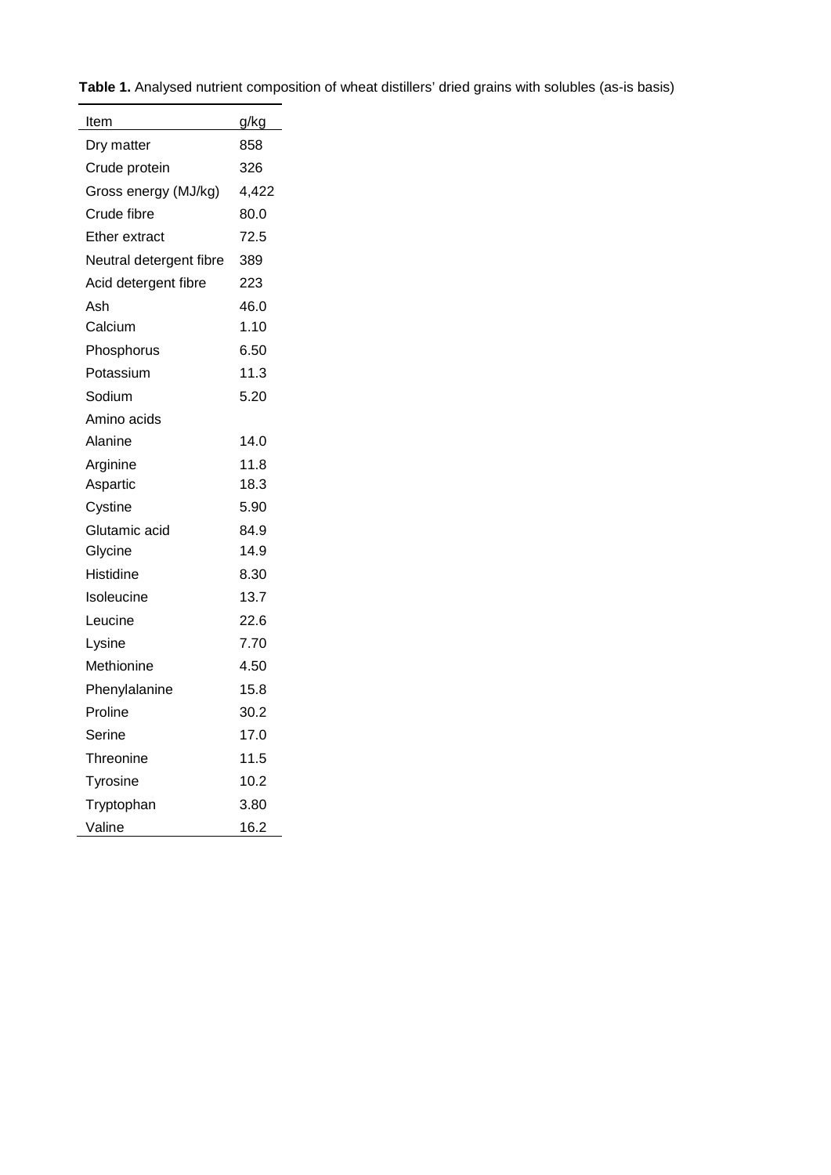|  |  |  |  |  |  | Table 1. Analysed nutrient composition of wheat distillers' dried grains with solubles (as-is basis) |  |
|--|--|--|--|--|--|------------------------------------------------------------------------------------------------------|--|
|--|--|--|--|--|--|------------------------------------------------------------------------------------------------------|--|

 $\overline{\phantom{0}}$ 

| Item                    | g/kg  |
|-------------------------|-------|
| Dry matter              | 858   |
| Crude protein           | 326   |
| Gross energy (MJ/kg)    | 4,422 |
| Crude fibre             | 80.0  |
| Ether extract           | 72.5  |
| Neutral detergent fibre | 389   |
| Acid detergent fibre    | 223   |
| Ash                     | 46.0  |
| Calcium                 | 1.10  |
| Phosphorus              | 6.50  |
| Potassium               | 11.3  |
| Sodium                  | 5.20  |
| Amino acids             |       |
| Alanine                 | 14.0  |
| Arginine                | 11.8  |
| Aspartic                | 18.3  |
| Cystine                 | 5.90  |
| Glutamic acid           | 84.9  |
| Glycine                 | 14.9  |
| <b>Histidine</b>        | 8.30  |
| Isoleucine              | 13.7  |
| Leucine                 | 22.6  |
| Lysine                  | 7.70  |
| Methionine              | 4.50  |
| Phenylalanine           | 15.8  |
| Proline                 | 30.2  |
| Serine                  | 17.0  |
| Threonine               | 11.5  |
| Tyrosine                | 10.2  |
| Tryptophan              | 3.80  |
| Valine                  | 16.2  |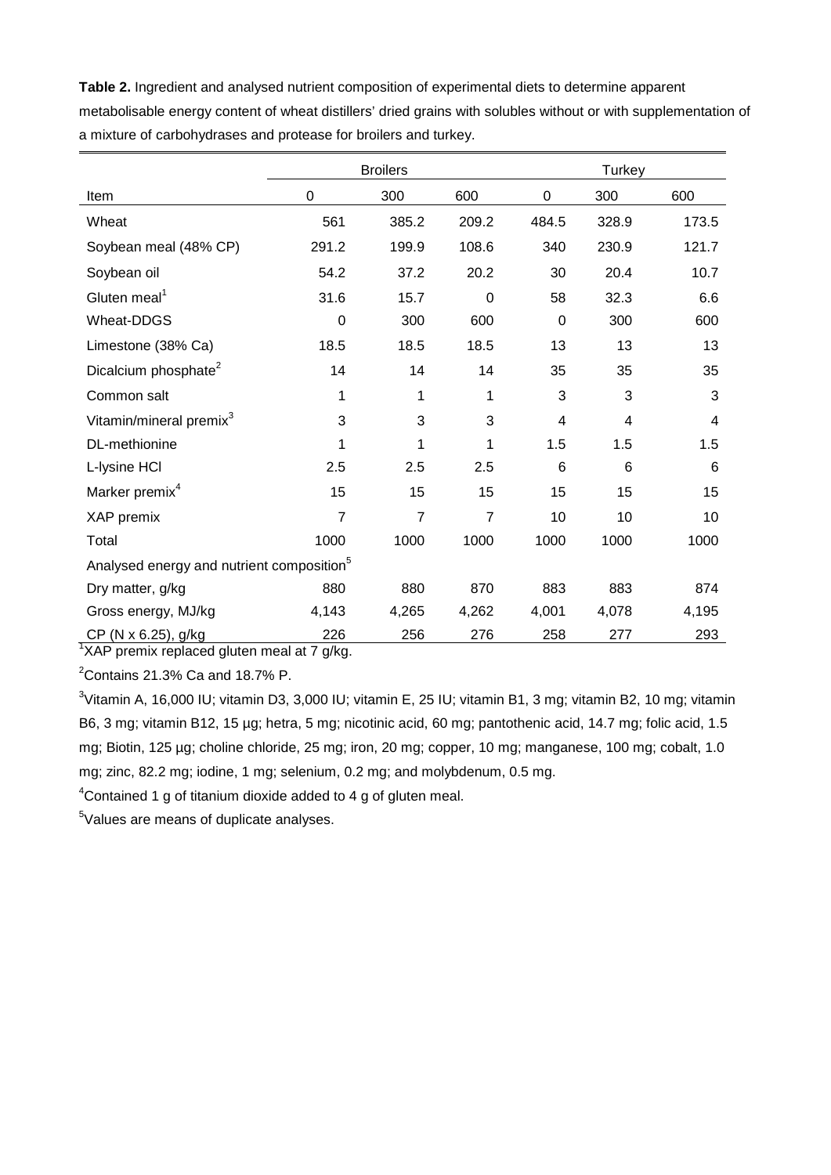**Table 2.** Ingredient and analysed nutrient composition of experimental diets to determine apparent metabolisable energy content of wheat distillers' dried grains with solubles without or with supplementation of a mixture of carbohydrases and protease for broilers and turkey.

|                                                       |                | <b>Broilers</b> |                | Turkey      |       |       |  |
|-------------------------------------------------------|----------------|-----------------|----------------|-------------|-------|-------|--|
| Item                                                  | $\mathbf 0$    | 300             | 600            | $\mathbf 0$ | 300   | 600   |  |
| Wheat                                                 | 561            | 385.2           | 209.2          | 484.5       | 328.9 | 173.5 |  |
| Soybean meal (48% CP)                                 | 291.2          | 199.9           | 108.6          | 340         | 230.9 | 121.7 |  |
| Soybean oil                                           | 54.2           | 37.2            | 20.2           | 30          | 20.4  | 10.7  |  |
| Gluten meal <sup>1</sup>                              | 31.6           | 15.7            | $\Omega$       | 58          | 32.3  | 6.6   |  |
| Wheat-DDGS                                            | 0              | 300             | 600            | 0           | 300   | 600   |  |
| Limestone (38% Ca)                                    | 18.5           | 18.5            | 18.5           | 13          | 13    | 13    |  |
| Dicalcium phosphate <sup>2</sup>                      | 14             | 14              | 14             | 35          | 35    | 35    |  |
| Common salt                                           | 1              | 1               | 1              | 3           | 3     | 3     |  |
| Vitamin/mineral premix <sup>3</sup>                   | 3              | 3               | 3              | 4           | 4     | 4     |  |
| DL-methionine                                         | 1              | 1               | 1              | 1.5         | 1.5   | 1.5   |  |
| L-lysine HCI                                          | 2.5            | 2.5             | 2.5            | 6           | 6     | 6     |  |
| Marker premix <sup>4</sup>                            | 15             | 15              | 15             | 15          | 15    | 15    |  |
| XAP premix                                            | $\overline{7}$ | $\overline{7}$  | $\overline{7}$ | 10          | 10    | 10    |  |
| Total                                                 | 1000           | 1000            | 1000           | 1000        | 1000  | 1000  |  |
| Analysed energy and nutrient composition <sup>5</sup> |                |                 |                |             |       |       |  |
| Dry matter, g/kg                                      | 880            | 880             | 870            | 883         | 883   | 874   |  |
| Gross energy, MJ/kg                                   | 4,143          | 4,265           | 4,262          | 4,001       | 4,078 | 4,195 |  |
| CP (N x 6.25), g/kg                                   | 226            | 256             | 276            | 258         | 277   | 293   |  |

<sup>1</sup>XAP premix replaced gluten meal at 7 g/kg.

 $2$ Contains 21.3% Ca and 18.7% P.

<sup>3</sup>Vitamin A, 16,000 IU; vitamin D3, 3,000 IU; vitamin E, 25 IU; vitamin B1, 3 mg; vitamin B2, 10 mg; vitamin B6, 3 mg; vitamin B12, 15 µg; hetra, 5 mg; nicotinic acid, 60 mg; pantothenic acid, 14.7 mg; folic acid, 1.5 mg; Biotin, 125 µg; choline chloride, 25 mg; iron, 20 mg; copper, 10 mg; manganese, 100 mg; cobalt, 1.0 mg; zinc, 82.2 mg; iodine, 1 mg; selenium, 0.2 mg; and molybdenum, 0.5 mg.

 ${}^{4}$ Contained 1 g of titanium dioxide added to 4 g of gluten meal.

5 Values are means of duplicate analyses.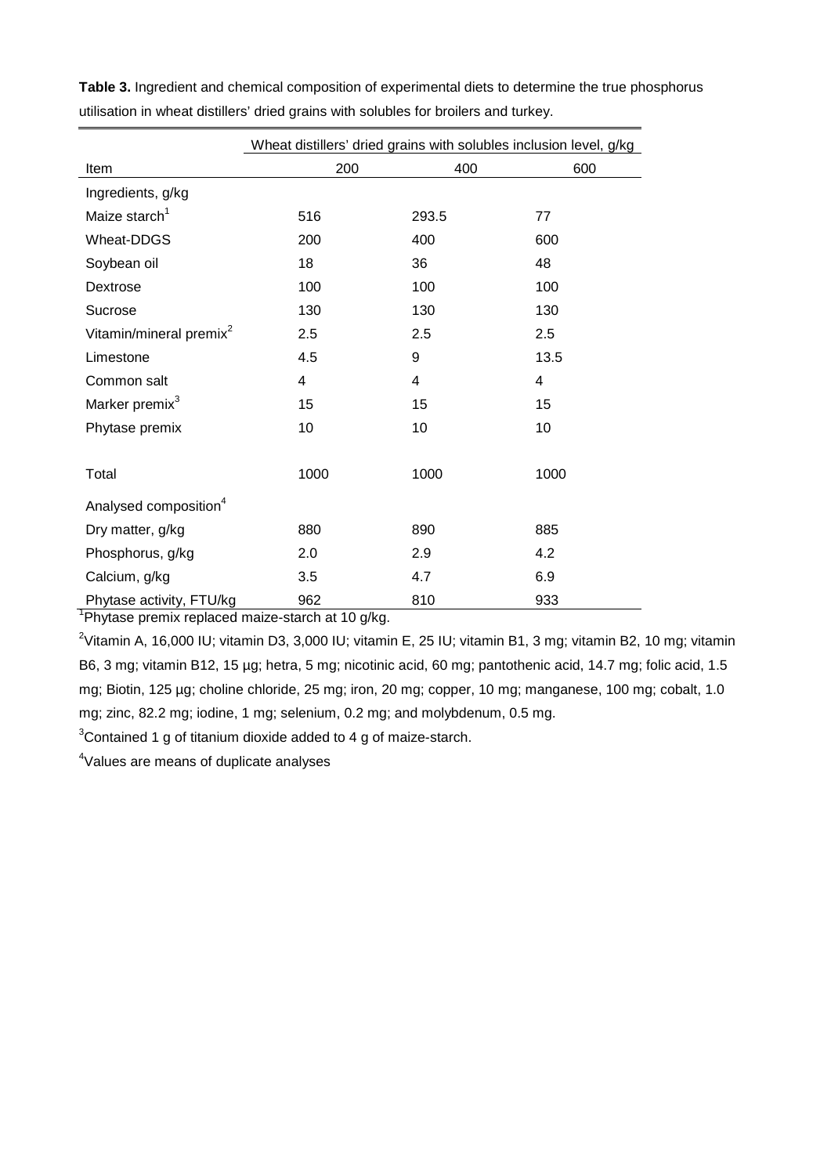|                                     | Wheat distillers' dried grains with solubles inclusion level, g/kg |                |                |  |  |  |
|-------------------------------------|--------------------------------------------------------------------|----------------|----------------|--|--|--|
| Item                                | 200                                                                | 400            | 600            |  |  |  |
| Ingredients, g/kg                   |                                                                    |                |                |  |  |  |
| Maize starch <sup>1</sup>           | 516                                                                | 293.5          | 77             |  |  |  |
| Wheat-DDGS                          | 200                                                                | 400            | 600            |  |  |  |
| Soybean oil                         | 18                                                                 | 36             | 48             |  |  |  |
| Dextrose                            | 100                                                                | 100            | 100            |  |  |  |
| Sucrose                             | 130                                                                | 130            | 130            |  |  |  |
| Vitamin/mineral premix <sup>2</sup> | 2.5                                                                | 2.5            | 2.5            |  |  |  |
| Limestone                           | 4.5                                                                | 9              | 13.5           |  |  |  |
| Common salt                         | $\overline{4}$                                                     | $\overline{4}$ | $\overline{4}$ |  |  |  |
| Marker premix <sup>3</sup>          | 15                                                                 | 15             | 15             |  |  |  |
| Phytase premix                      | 10                                                                 | 10             | 10             |  |  |  |
|                                     |                                                                    |                |                |  |  |  |
| Total                               | 1000                                                               | 1000           | 1000           |  |  |  |
| Analysed composition <sup>4</sup>   |                                                                    |                |                |  |  |  |
| Dry matter, g/kg                    | 880                                                                | 890            | 885            |  |  |  |
| Phosphorus, g/kg                    | 2.0                                                                | 2.9            | 4.2            |  |  |  |
| Calcium, g/kg                       | 3.5                                                                | 4.7            | 6.9            |  |  |  |
| Phytase activity, FTU/kg            | 962                                                                | 810            | 933            |  |  |  |

**Table 3.** Ingredient and chemical composition of experimental diets to determine the true phosphorus utilisation in wheat distillers' dried grains with solubles for broilers and turkey.

<sup>1</sup>Phytase premix replaced maize-starch at 10 g/kg.

<sup>2</sup>Vitamin A, 16,000 IU; vitamin D3, 3,000 IU; vitamin E, 25 IU; vitamin B1, 3 mg; vitamin B2, 10 mg; vitamin B6, 3 mg; vitamin B12, 15 µg; hetra, 5 mg; nicotinic acid, 60 mg; pantothenic acid, 14.7 mg; folic acid, 1.5 mg; Biotin, 125 µg; choline chloride, 25 mg; iron, 20 mg; copper, 10 mg; manganese, 100 mg; cobalt, 1.0 mg; zinc, 82.2 mg; iodine, 1 mg; selenium, 0.2 mg; and molybdenum, 0.5 mg.

 $3$ Contained 1 g of titanium dioxide added to 4 g of maize-starch.

4 Values are means of duplicate analyses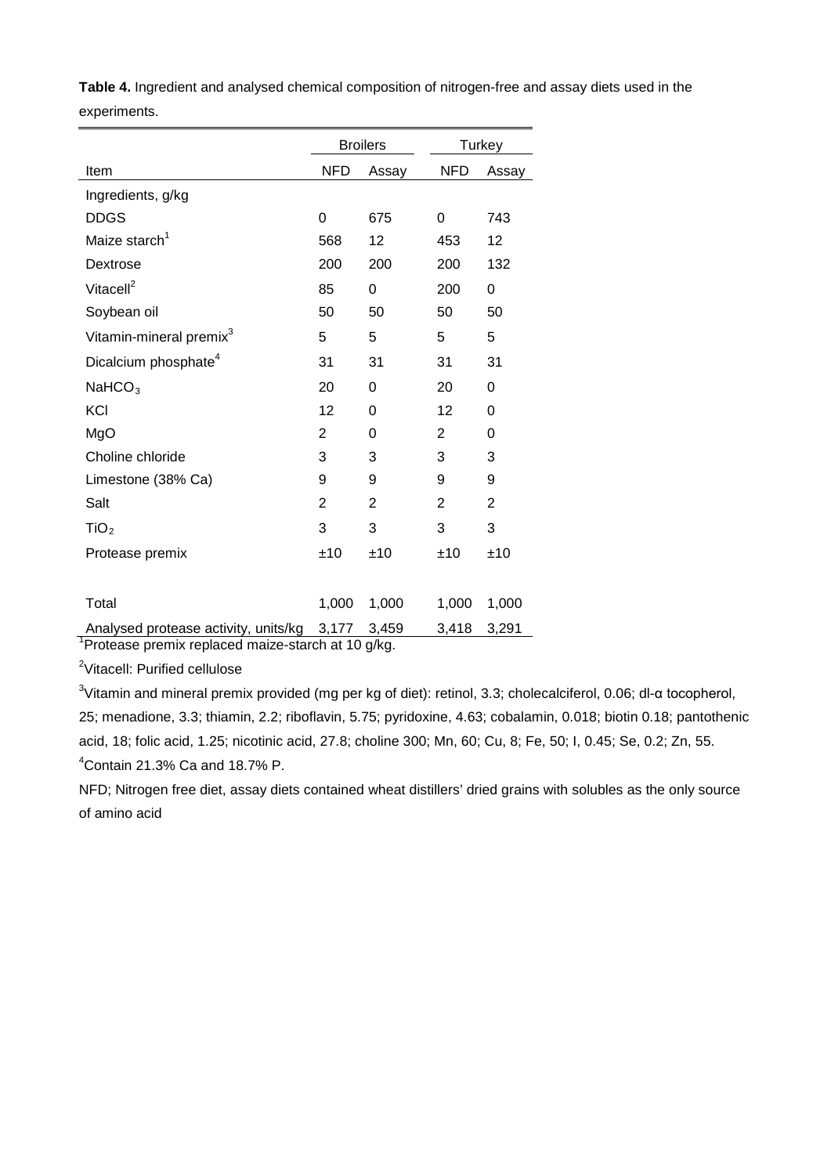|                                                               |                | <b>Broilers</b>         |            | Turkey   |
|---------------------------------------------------------------|----------------|-------------------------|------------|----------|
| Item                                                          | <b>NFD</b>     | Assay                   | <b>NFD</b> | Assay    |
| Ingredients, g/kg                                             |                |                         |            |          |
| <b>DDGS</b>                                                   | $\overline{0}$ | 675                     | 0          | 743      |
| Maize starch <sup>1</sup>                                     | 568            | 12                      | 453        | 12       |
| Dextrose                                                      | 200            | 200                     | 200        | 132      |
| Vitacell <sup>2</sup>                                         | 85             | 0                       | 200        | 0        |
| Soybean oil                                                   | 50             | 50                      | 50         | 50       |
| Vitamin-mineral premix <sup>3</sup>                           | 5              | 5                       | 5          | 5        |
| Dicalcium phosphate <sup>4</sup>                              | 31             | 31                      | 31         | 31       |
| NaHCO <sub>3</sub>                                            | 20             | 0                       | 20         | 0        |
| KCI                                                           | 12             | 0                       | 12         | $\Omega$ |
| MgO                                                           | $\overline{2}$ | 0                       | 2          | 0        |
| Choline chloride                                              | 3              | 3                       | 3          | 3        |
| Limestone (38% Ca)                                            | 9              | 9                       | 9          | 9        |
| Salt                                                          | $\overline{2}$ | 2                       | 2          | 2        |
| TiO <sub>2</sub>                                              | 3              | 3                       | 3          | 3        |
| Protease premix                                               | ±10            | ±10                     | ±10        | ±10      |
|                                                               |                |                         |            |          |
| Total                                                         | 1,000          | 1,000                   | 1,000      | 1,000    |
| Analysed protease activity, units/kg<br>٠.<br>.<br>د است<br>. | 3,177<br>٠.    | 3,459<br>$\mathbf{u}$ . | 3,418      | 3,291    |

**Table 4.** Ingredient and analysed chemical composition of nitrogen-free and assay diets used in the experiments.

<sup>1</sup>Protease premix replaced maize-starch at 10 g/kg.

<sup>2</sup>Vitacell: Purified cellulose

<sup>3</sup>Vitamin and mineral premix provided (mg per kg of diet): retinol, 3.3; cholecalciferol, 0.06; dl-α tocopherol, 25; menadione, 3.3; thiamin, 2.2; riboflavin, 5.75; pyridoxine, 4.63; cobalamin, 0.018; biotin 0.18; pantothenic acid, 18; folic acid, 1.25; nicotinic acid, 27.8; choline 300; Mn, 60; Cu, 8; Fe, 50; I, 0.45; Se, 0.2; Zn, 55. 4 Contain 21.3% Ca and 18.7% P.

NFD; Nitrogen free diet, assay diets contained wheat distillers' dried grains with solubles as the only source of amino acid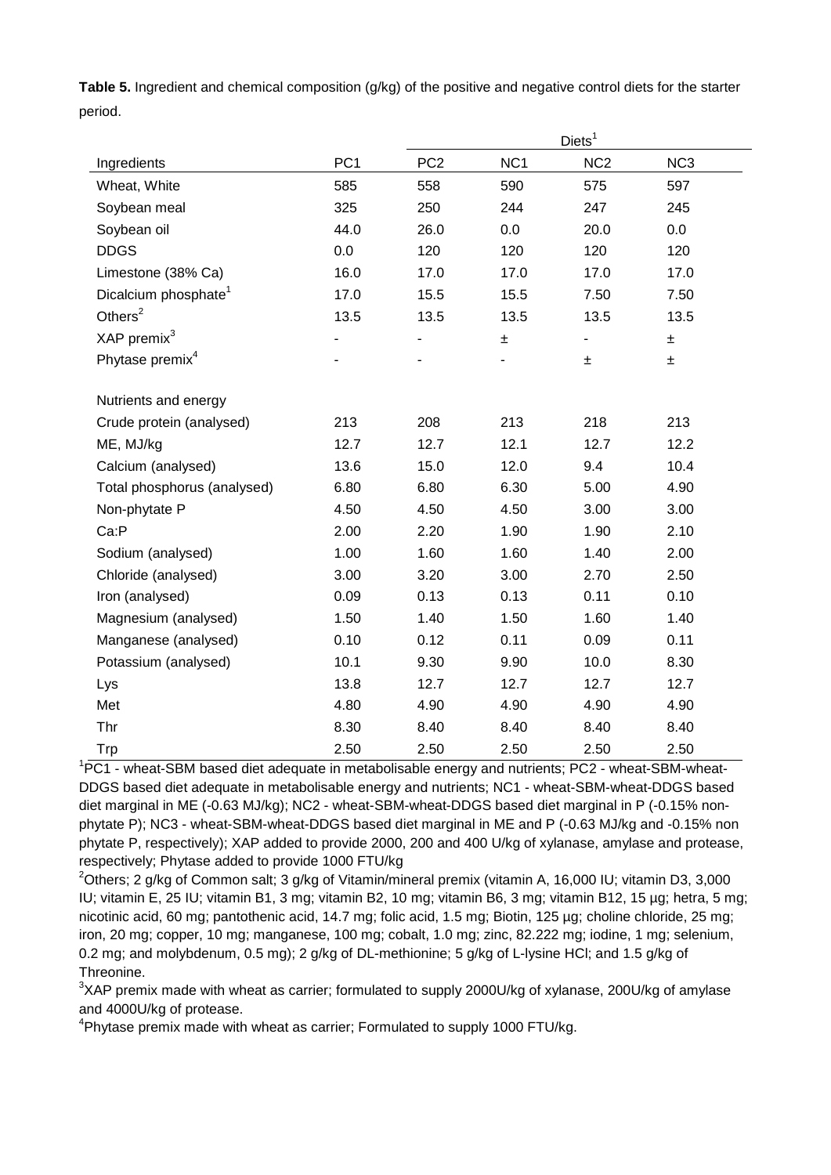**Table 5.** Ingredient and chemical composition (g/kg) of the positive and negative control diets for the starter period.

|                                  |                 | Diets <sup>1</sup> |                 |                 |                 |  |  |
|----------------------------------|-----------------|--------------------|-----------------|-----------------|-----------------|--|--|
| Ingredients                      | PC <sub>1</sub> | PC <sub>2</sub>    | NC <sub>1</sub> | NC <sub>2</sub> | NC <sub>3</sub> |  |  |
| Wheat, White                     | 585             | 558                | 590             | 575             | 597             |  |  |
| Soybean meal                     | 325             | 250                | 244             | 247             | 245             |  |  |
| Soybean oil                      | 44.0            | 26.0               | 0.0             | 20.0            | 0.0             |  |  |
| <b>DDGS</b>                      | 0.0             | 120                | 120             | 120             | 120             |  |  |
| Limestone (38% Ca)               | 16.0            | 17.0               | 17.0            | 17.0            | 17.0            |  |  |
| Dicalcium phosphate <sup>1</sup> | 17.0            | 15.5               | 15.5            | 7.50            | 7.50            |  |  |
| Others $2$                       | 13.5            | 13.5               | 13.5            | 13.5            | 13.5            |  |  |
| XAP premix <sup>3</sup>          |                 |                    | $\pm$           | -               | 土               |  |  |
| Phytase premix <sup>4</sup>      |                 |                    |                 | ±               | Ŧ               |  |  |
|                                  |                 |                    |                 |                 |                 |  |  |
| Nutrients and energy             |                 |                    |                 |                 |                 |  |  |
| Crude protein (analysed)         | 213             | 208                | 213             | 218             | 213             |  |  |
| ME, MJ/kg                        | 12.7            | 12.7               | 12.1            | 12.7            | 12.2            |  |  |
| Calcium (analysed)               | 13.6            | 15.0               | 12.0            | 9.4             | 10.4            |  |  |
| Total phosphorus (analysed)      | 6.80            | 6.80               | 6.30            | 5.00            | 4.90            |  |  |
| Non-phytate P                    | 4.50            | 4.50               | 4.50            | 3.00            | 3.00            |  |  |
| Ca:P                             | 2.00            | 2.20               | 1.90            | 1.90            | 2.10            |  |  |
| Sodium (analysed)                | 1.00            | 1.60               | 1.60            | 1.40            | 2.00            |  |  |
| Chloride (analysed)              | 3.00            | 3.20               | 3.00            | 2.70            | 2.50            |  |  |
| Iron (analysed)                  | 0.09            | 0.13               | 0.13            | 0.11            | 0.10            |  |  |
| Magnesium (analysed)             | 1.50            | 1.40               | 1.50            | 1.60            | 1.40            |  |  |
| Manganese (analysed)             | 0.10            | 0.12               | 0.11            | 0.09            | 0.11            |  |  |
| Potassium (analysed)             | 10.1            | 9.30               | 9.90            | 10.0            | 8.30            |  |  |
| Lys                              | 13.8            | 12.7               | 12.7            | 12.7            | 12.7            |  |  |
| Met                              | 4.80            | 4.90               | 4.90            | 4.90            | 4.90            |  |  |
| Thr                              | 8.30            | 8.40               | 8.40            | 8.40            | 8.40            |  |  |
| Trp                              | 2.50            | 2.50               | 2.50            | 2.50            | 2.50            |  |  |

<sup>1</sup>PC1 - wheat-SBM based diet adequate in metabolisable energy and nutrients; PC2 - wheat-SBM-wheat-DDGS based diet adequate in metabolisable energy and nutrients; NC1 - wheat-SBM-wheat-DDGS based diet marginal in ME (-0.63 MJ/kg); NC2 - wheat-SBM-wheat-DDGS based diet marginal in P (-0.15% nonphytate P); NC3 - wheat-SBM-wheat-DDGS based diet marginal in ME and P (-0.63 MJ/kg and -0.15% non phytate P, respectively); XAP added to provide 2000, 200 and 400 U/kg of xylanase, amylase and protease, respectively; Phytase added to provide 1000 FTU/kg

 $^{2}$ Others; 2 g/kg of Common salt; 3 g/kg of Vitamin/mineral premix (vitamin A, 16,000 IU; vitamin D3, 3,000 IU; vitamin E, 25 IU; vitamin B1, 3 mg; vitamin B2, 10 mg; vitamin B6, 3 mg; vitamin B12, 15 µg; hetra, 5 mg; nicotinic acid, 60 mg; pantothenic acid, 14.7 mg; folic acid, 1.5 mg; Biotin, 125 µg; choline chloride, 25 mg; iron, 20 mg; copper, 10 mg; manganese, 100 mg; cobalt, 1.0 mg; zinc, 82.222 mg; iodine, 1 mg; selenium, 0.2 mg; and molybdenum, 0.5 mg); 2 g/kg of DL-methionine; 5 g/kg of L-lysine HCl; and 1.5 g/kg of Threonine.

 $3$ XAP premix made with wheat as carrier; formulated to supply 2000U/kg of xylanase, 200U/kg of amylase and 4000U/kg of protease.

<sup>4</sup>Phytase premix made with wheat as carrier; Formulated to supply 1000 FTU/kg.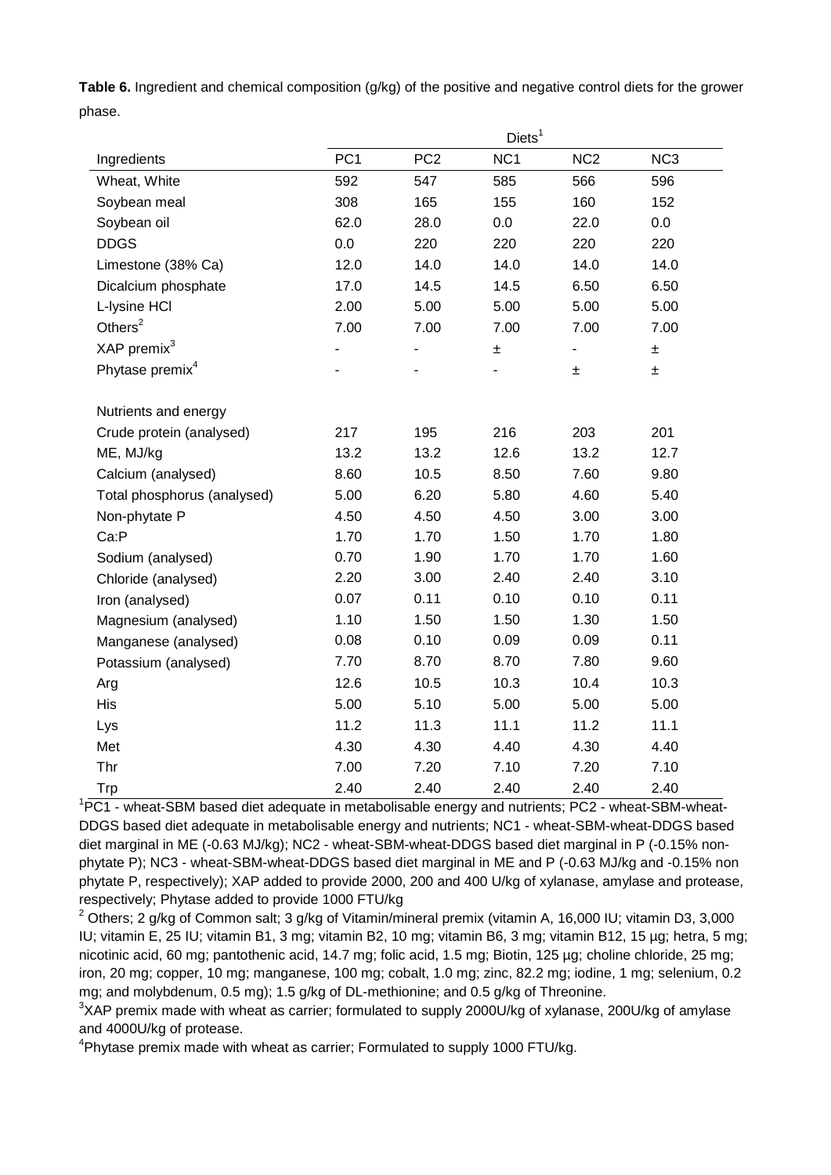**Table 6.** Ingredient and chemical composition (g/kg) of the positive and negative control diets for the grower phase.

|                             |                 |                              | Diets <sup>1</sup> |                              |                 |  |
|-----------------------------|-----------------|------------------------------|--------------------|------------------------------|-----------------|--|
| Ingredients                 | PC <sub>1</sub> | PC <sub>2</sub>              | NC <sub>1</sub>    | NC <sub>2</sub>              | NC <sub>3</sub> |  |
| Wheat, White                | 592             | 547                          | 585                | 566                          | 596             |  |
| Soybean meal                | 308             | 165                          | 155                | 160                          | 152             |  |
| Soybean oil                 | 62.0            | 28.0                         | 0.0                | 22.0                         | 0.0             |  |
| <b>DDGS</b>                 | 0.0             | 220                          | 220                | 220                          | 220             |  |
| Limestone (38% Ca)          | 12.0            | 14.0                         | 14.0               | 14.0                         | 14.0            |  |
| Dicalcium phosphate         | 17.0            | 14.5                         | 14.5               | 6.50                         | 6.50            |  |
| L-Iysine HCI                | 2.00            | 5.00                         | 5.00               | 5.00                         | 5.00            |  |
| Others $2$                  | 7.00            | 7.00                         | 7.00               | 7.00                         | 7.00            |  |
| XAP premix <sup>3</sup>     |                 | $\qquad \qquad \blacksquare$ | ±                  | $\qquad \qquad \blacksquare$ | $\pm$           |  |
| Phytase premix <sup>4</sup> |                 |                              |                    | Ŧ.                           | ±               |  |
|                             |                 |                              |                    |                              |                 |  |
| Nutrients and energy        |                 |                              |                    |                              |                 |  |
| Crude protein (analysed)    | 217             | 195                          | 216                | 203                          | 201             |  |
| ME, MJ/kg                   | 13.2            | 13.2                         | 12.6               | 13.2                         | 12.7            |  |
| Calcium (analysed)          | 8.60            | 10.5                         | 8.50               | 7.60                         | 9.80            |  |
| Total phosphorus (analysed) | 5.00            | 6.20                         | 5.80               | 4.60                         | 5.40            |  |
| Non-phytate P               | 4.50            | 4.50                         | 4.50               | 3.00                         | 3.00            |  |
| Ca:P                        | 1.70            | 1.70                         | 1.50               | 1.70                         | 1.80            |  |
| Sodium (analysed)           | 0.70            | 1.90                         | 1.70               | 1.70                         | 1.60            |  |
| Chloride (analysed)         | 2.20            | 3.00                         | 2.40               | 2.40                         | 3.10            |  |
| Iron (analysed)             | 0.07            | 0.11                         | 0.10               | 0.10                         | 0.11            |  |
| Magnesium (analysed)        | 1.10            | 1.50                         | 1.50               | 1.30                         | 1.50            |  |
| Manganese (analysed)        | 0.08            | 0.10                         | 0.09               | 0.09                         | 0.11            |  |
| Potassium (analysed)        | 7.70            | 8.70                         | 8.70               | 7.80                         | 9.60            |  |
| Arg                         | 12.6            | 10.5                         | 10.3               | 10.4                         | 10.3            |  |
| His                         | 5.00            | 5.10                         | 5.00               | 5.00                         | 5.00            |  |
| Lys                         | 11.2            | 11.3                         | 11.1               | 11.2                         | 11.1            |  |
| Met                         | 4.30            | 4.30                         | 4.40               | 4.30                         | 4.40            |  |
| Thr                         | 7.00            | 7.20                         | 7.10               | 7.20                         | 7.10            |  |
| Trp                         | 2.40            | 2.40                         | 2.40               | 2.40                         | 2.40            |  |

<sup>1</sup>PC1 - wheat-SBM based diet adequate in metabolisable energy and nutrients; PC2 - wheat-SBM-wheat-DDGS based diet adequate in metabolisable energy and nutrients; NC1 - wheat-SBM-wheat-DDGS based diet marginal in ME (-0.63 MJ/kg); NC2 - wheat-SBM-wheat-DDGS based diet marginal in P (-0.15% nonphytate P); NC3 - wheat-SBM-wheat-DDGS based diet marginal in ME and P (-0.63 MJ/kg and -0.15% non phytate P, respectively); XAP added to provide 2000, 200 and 400 U/kg of xylanase, amylase and protease, respectively; Phytase added to provide 1000 FTU/kg

<sup>2</sup> Others; 2 g/kg of Common salt; 3 g/kg of Vitamin/mineral premix (vitamin A, 16,000 IU; vitamin D3, 3,000 IU; vitamin E, 25 IU; vitamin B1, 3 mg; vitamin B2, 10 mg; vitamin B6, 3 mg; vitamin B12, 15 µg; hetra, 5 mg; nicotinic acid, 60 mg; pantothenic acid, 14.7 mg; folic acid, 1.5 mg; Biotin, 125 µg; choline chloride, 25 mg; iron, 20 mg; copper, 10 mg; manganese, 100 mg; cobalt, 1.0 mg; zinc, 82.2 mg; iodine, 1 mg; selenium, 0.2 mg; and molybdenum, 0.5 mg); 1.5 g/kg of DL-methionine; and 0.5 g/kg of Threonine.

 $3$ XAP premix made with wheat as carrier; formulated to supply 2000U/kg of xylanase, 200U/kg of amylase and 4000U/kg of protease.

<sup>4</sup>Phytase premix made with wheat as carrier; Formulated to supply 1000 FTU/kg.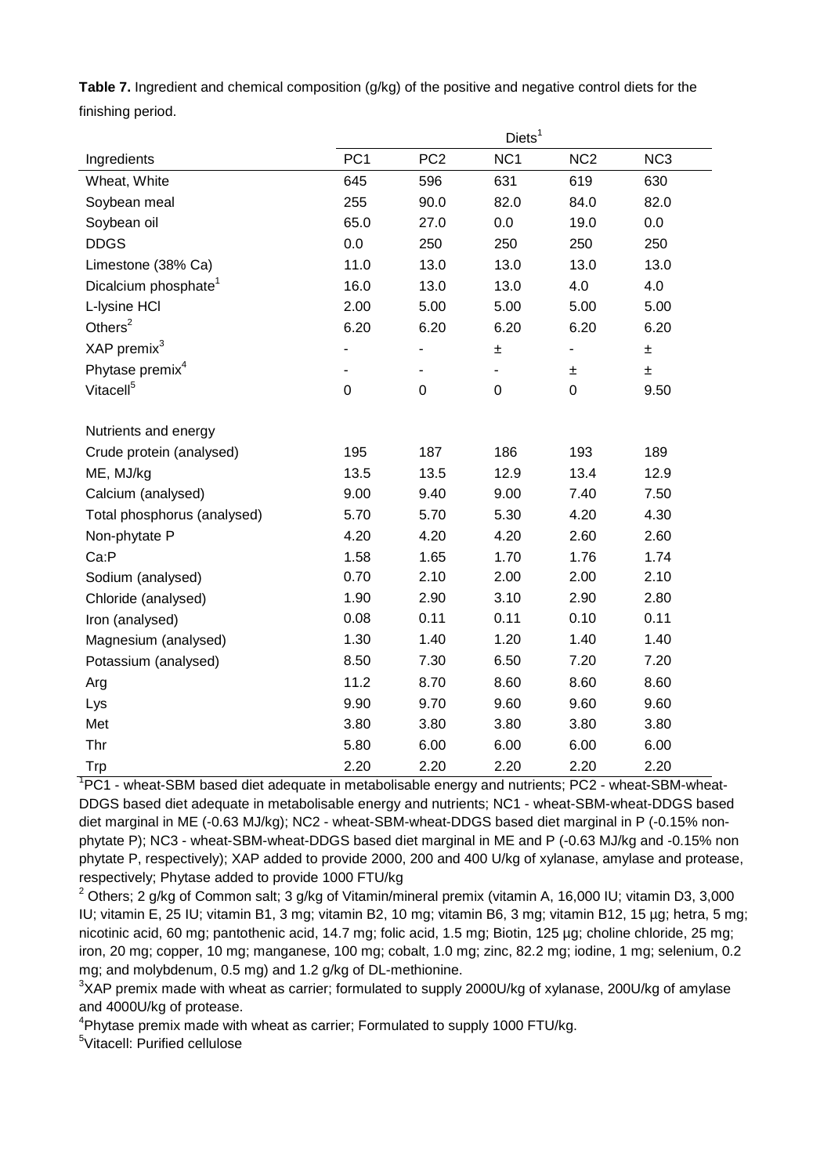**Table 7.** Ingredient and chemical composition (g/kg) of the positive and negative control diets for the finishing period.

|                                  | Diets <sup>1</sup> |                 |                 |                 |                 |  |  |  |
|----------------------------------|--------------------|-----------------|-----------------|-----------------|-----------------|--|--|--|
| Ingredients                      | PC <sub>1</sub>    | PC <sub>2</sub> | NC <sub>1</sub> | NC <sub>2</sub> | NC <sub>3</sub> |  |  |  |
| Wheat, White                     | 645                | 596             | 631             | 619             | 630             |  |  |  |
| Soybean meal                     | 255                | 90.0            | 82.0            | 84.0            | 82.0            |  |  |  |
| Soybean oil                      | 65.0               | 27.0            | 0.0             | 19.0            | 0.0             |  |  |  |
| <b>DDGS</b>                      | 0.0                | 250             | 250             | 250             | 250             |  |  |  |
| Limestone (38% Ca)               | 11.0               | 13.0            | 13.0            | 13.0            | 13.0            |  |  |  |
| Dicalcium phosphate <sup>1</sup> | 16.0               | 13.0            | 13.0            | 4.0             | 4.0             |  |  |  |
| L-Iysine HCI                     | 2.00               | 5.00            | 5.00            | 5.00            | 5.00            |  |  |  |
| Others $2$                       | 6.20               | 6.20            | 6.20            | 6.20            | 6.20            |  |  |  |
| XAP premix <sup>3</sup>          |                    | $\blacksquare$  | ±               |                 | ±               |  |  |  |
| Phytase premix <sup>4</sup>      |                    |                 |                 | ±               | ±.              |  |  |  |
| Vitacell <sup>5</sup>            | $\mathbf 0$        | $\mathbf 0$     | $\mathbf 0$     | 0               | 9.50            |  |  |  |
|                                  |                    |                 |                 |                 |                 |  |  |  |
| Nutrients and energy             |                    |                 |                 |                 |                 |  |  |  |
| Crude protein (analysed)         | 195                | 187             | 186             | 193             | 189             |  |  |  |
| ME, MJ/kg                        | 13.5               | 13.5            | 12.9            | 13.4            | 12.9            |  |  |  |
| Calcium (analysed)               | 9.00               | 9.40            | 9.00            | 7.40            | 7.50            |  |  |  |
| Total phosphorus (analysed)      | 5.70               | 5.70            | 5.30            | 4.20            | 4.30            |  |  |  |
| Non-phytate P                    | 4.20               | 4.20            | 4.20            | 2.60            | 2.60            |  |  |  |
| Ca:P                             | 1.58               | 1.65            | 1.70            | 1.76            | 1.74            |  |  |  |
| Sodium (analysed)                | 0.70               | 2.10            | 2.00            | 2.00            | 2.10            |  |  |  |
| Chloride (analysed)              | 1.90               | 2.90            | 3.10            | 2.90            | 2.80            |  |  |  |
| Iron (analysed)                  | 0.08               | 0.11            | 0.11            | 0.10            | 0.11            |  |  |  |
| Magnesium (analysed)             | 1.30               | 1.40            | 1.20            | 1.40            | 1.40            |  |  |  |
| Potassium (analysed)             | 8.50               | 7.30            | 6.50            | 7.20            | 7.20            |  |  |  |
| Arg                              | 11.2               | 8.70            | 8.60            | 8.60            | 8.60            |  |  |  |
| Lys                              | 9.90               | 9.70            | 9.60            | 9.60            | 9.60            |  |  |  |
| Met                              | 3.80               | 3.80            | 3.80            | 3.80            | 3.80            |  |  |  |
| Thr                              | 5.80               | 6.00            | 6.00            | 6.00            | 6.00            |  |  |  |
| Trp                              | 2.20               | 2.20            | 2.20            | 2.20            | 2.20            |  |  |  |

<sup>1</sup>PC1 - wheat-SBM based diet adequate in metabolisable energy and nutrients; PC2 - wheat-SBM-wheat-DDGS based diet adequate in metabolisable energy and nutrients; NC1 - wheat-SBM-wheat-DDGS based diet marginal in ME (-0.63 MJ/kg); NC2 - wheat-SBM-wheat-DDGS based diet marginal in P (-0.15% nonphytate P); NC3 - wheat-SBM-wheat-DDGS based diet marginal in ME and P (-0.63 MJ/kg and -0.15% non phytate P, respectively); XAP added to provide 2000, 200 and 400 U/kg of xylanase, amylase and protease, respectively; Phytase added to provide 1000 FTU/kg

 $2$  Others; 2 g/kg of Common salt; 3 g/kg of Vitamin/mineral premix (vitamin A, 16,000 IU; vitamin D3, 3,000 IU; vitamin E, 25 IU; vitamin B1, 3 mg; vitamin B2, 10 mg; vitamin B6, 3 mg; vitamin B12, 15 µg; hetra, 5 mg; nicotinic acid, 60 mg; pantothenic acid, 14.7 mg; folic acid, 1.5 mg; Biotin, 125 µg; choline chloride, 25 mg; iron, 20 mg; copper, 10 mg; manganese, 100 mg; cobalt, 1.0 mg; zinc, 82.2 mg; iodine, 1 mg; selenium, 0.2 mg; and molybdenum, 0.5 mg) and 1.2 g/kg of DL-methionine.

 $3$ XAP premix made with wheat as carrier; formulated to supply 2000U/kg of xylanase, 200U/kg of amylase and 4000U/kg of protease.

<sup>4</sup>Phytase premix made with wheat as carrier; Formulated to supply 1000 FTU/kg.

5 Vitacell: Purified cellulose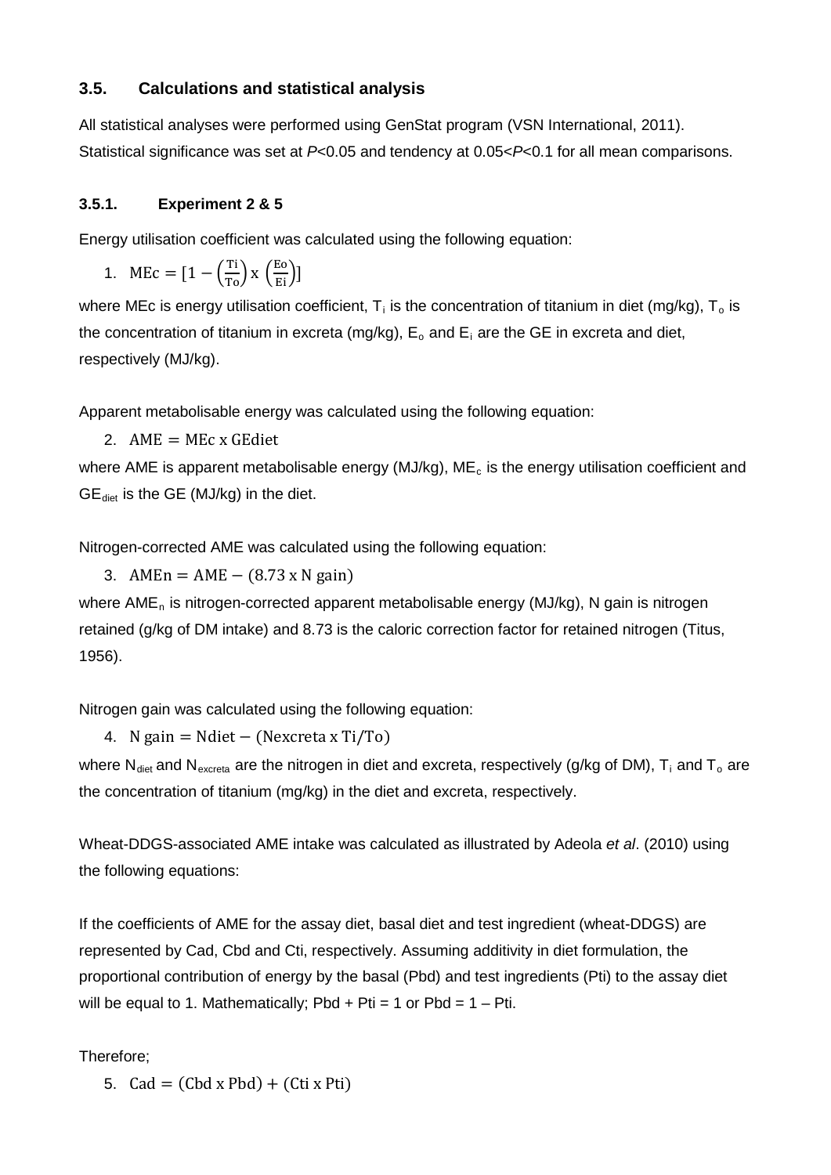# **3.5. Calculations and statistical analysis**

All statistical analyses were performed using GenStat program (VSN International, 2011). Statistical significance was set at *P*<0.05 and tendency at 0.05<*P*<0.1 for all mean comparisons.

# **3.5.1. Experiment 2 & 5**

Energy utilisation coefficient was calculated using the following equation:

1. MEc =  $[1 - (\frac{T_1}{T_0}) \times (\frac{E_0}{E_1})]$ 

where MEc is energy utilisation coefficient,  $T_i$  is the concentration of titanium in diet (mg/kg),  $T_o$  is the concentration of titanium in excreta (mg/kg),  $E_0$  and  $E_i$  are the GE in excreta and diet, respectively (MJ/kg).

Apparent metabolisable energy was calculated using the following equation:

2.  $AME = MEc \times GEdiet$ 

where AME is apparent metabolisable energy (MJ/kg),  $ME_c$  is the energy utilisation coefficient and  $GE_{\text{dict}}$  is the GE (MJ/kg) in the diet.

Nitrogen-corrected AME was calculated using the following equation:

3. AMEn = AME –  $(8.73 \times N \text{ gain})$ 

where  $AME<sub>n</sub>$  is nitrogen-corrected apparent metabolisable energy (MJ/kg), N gain is nitrogen retained (g/kg of DM intake) and 8.73 is the caloric correction factor for retained nitrogen (Titus, 1956).

Nitrogen gain was calculated using the following equation:

4. N gain = Ndiet − (Nexcreta x Ti/To)

where N<sub>diet</sub> and N<sub>excreta</sub> are the nitrogen in diet and excreta, respectively (g/kg of DM), T<sub>i</sub> and T<sub>o</sub> are the concentration of titanium (mg/kg) in the diet and excreta, respectively.

Wheat-DDGS-associated AME intake was calculated as illustrated by Adeola *et al*. (2010) using the following equations:

If the coefficients of AME for the assay diet, basal diet and test ingredient (wheat-DDGS) are represented by Cad, Cbd and Cti, respectively. Assuming additivity in diet formulation, the proportional contribution of energy by the basal (Pbd) and test ingredients (Pti) to the assay diet will be equal to 1. Mathematically; Pbd + Pti = 1 or Pbd =  $1 - Pti$ .

Therefore;

5.  $\text{Cad} = (\text{Cbd } x \text{ Pbd}) + (\text{Cti } x \text{ Pti})$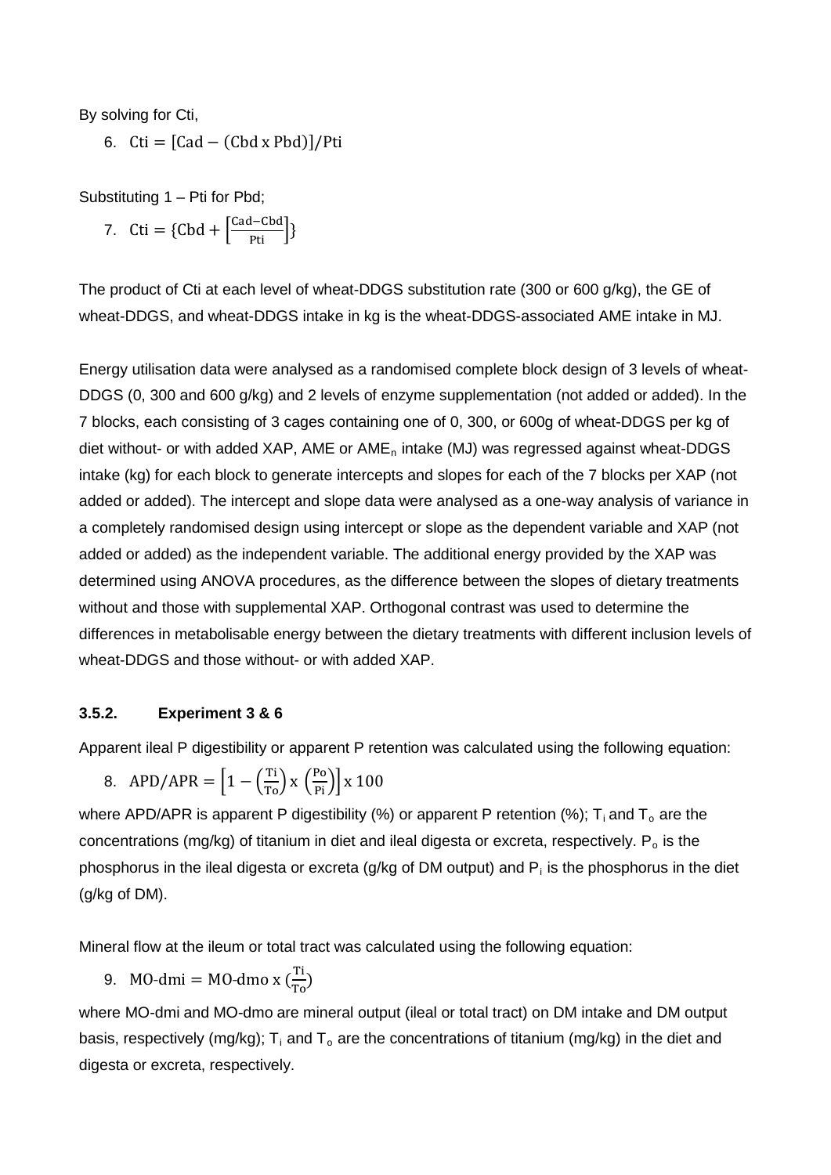By solving for Cti,

6. Cti =  $[$ Cad – (Cbd x Pbd) $]$ /Pti

Substituting 1 - Pti for Pbd;

7. Cti = {Cbd +  $\left[\frac{\text{Cad-Cbd}}{\text{Pti}}\right]$ }

The product of Cti at each level of wheat-DDGS substitution rate (300 or 600 g/kg), the GE of wheat-DDGS, and wheat-DDGS intake in kg is the wheat-DDGS-associated AME intake in MJ.

Energy utilisation data were analysed as a randomised complete block design of 3 levels of wheat-DDGS (0, 300 and 600 g/kg) and 2 levels of enzyme supplementation (not added or added). In the 7 blocks, each consisting of 3 cages containing one of 0, 300, or 600g of wheat-DDGS per kg of diet without- or with added XAP, AME or  $AME<sub>n</sub>$  intake (MJ) was regressed against wheat-DDGS intake (kg) for each block to generate intercepts and slopes for each of the 7 blocks per XAP (not added or added). The intercept and slope data were analysed as a one-way analysis of variance in a completely randomised design using intercept or slope as the dependent variable and XAP (not added or added) as the independent variable. The additional energy provided by the XAP was determined using ANOVA procedures, as the difference between the slopes of dietary treatments without and those with supplemental XAP. Orthogonal contrast was used to determine the differences in metabolisable energy between the dietary treatments with different inclusion levels of wheat-DDGS and those without- or with added XAP.

#### **3.5.2. Experiment 3 & 6**

Apparent ileal P digestibility or apparent P retention was calculated using the following equation:

8. 
$$
APD/APR = \left[1 - \left(\frac{\text{Ti}}{\text{To}}\right) \times \left(\frac{\text{Po}}{\text{Pi}}\right)\right] \times 100
$$

where APD/APR is apparent P digestibility (%) or apparent P retention (%);  $T_i$  and  $T_o$  are the concentrations (mg/kg) of titanium in diet and ileal digesta or excreta, respectively.  $P_0$  is the phosphorus in the ileal digesta or excreta (g/kg of DM output) and  $P_i$  is the phosphorus in the diet (g/kg of DM).

Mineral flow at the ileum or total tract was calculated using the following equation:

9. MO-dmi = MO-dmo x  $(\frac{T_1}{T_0})$ 

where MO-dmi and MO-dmo are mineral output (ileal or total tract) on DM intake and DM output basis, respectively (mg/kg);  $T_i$  and  $T_o$  are the concentrations of titanium (mg/kg) in the diet and digesta or excreta, respectively.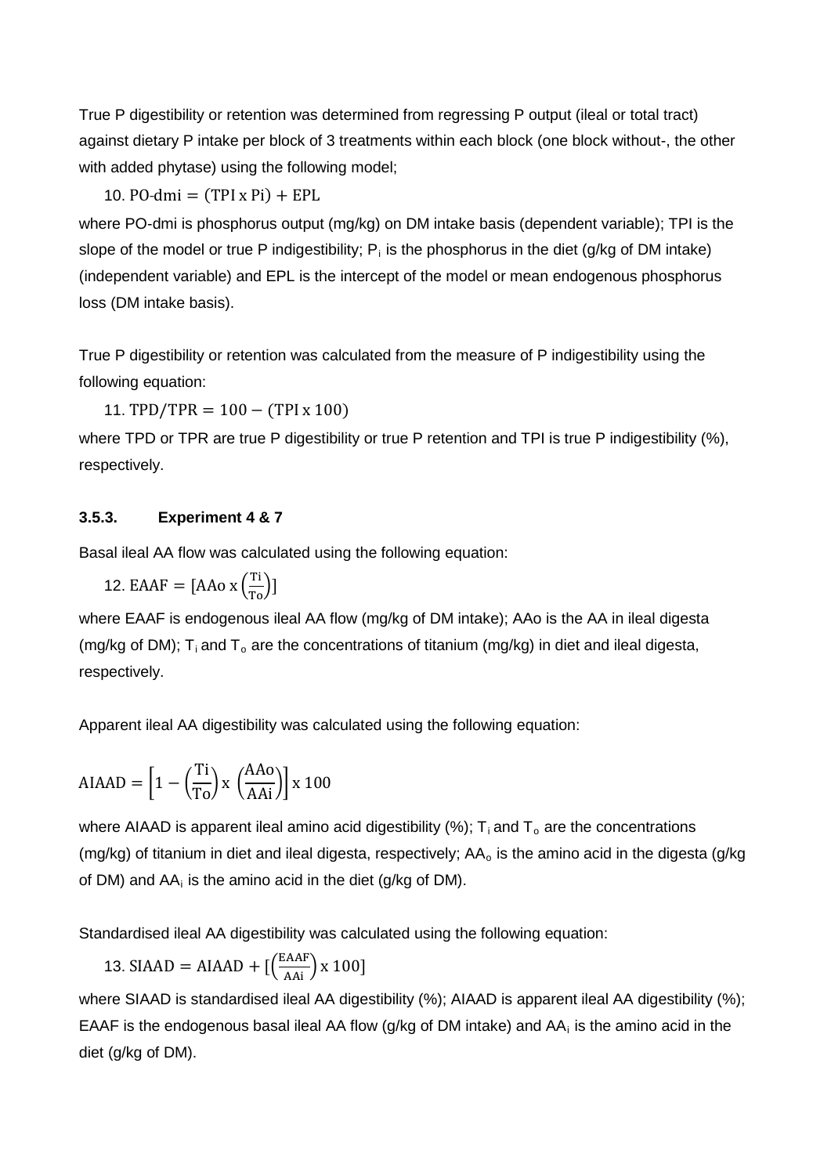True P digestibility or retention was determined from regressing P output (ileal or total tract) against dietary P intake per block of 3 treatments within each block (one block without-, the other with added phytase) using the following model;

10. PO-dmi  $=$  (TPI x Pi) + EPL

where PO-dmi is phosphorus output (mg/kg) on DM intake basis (dependent variable); TPI is the slope of the model or true P indigestibility;  $P_i$  is the phosphorus in the diet (g/kg of DM intake) (independent variable) and EPL is the intercept of the model or mean endogenous phosphorus loss (DM intake basis).

True P digestibility or retention was calculated from the measure of P indigestibility using the following equation:

11. TPD/TPR =  $100 - (TPI \times 100)$ 

where TPD or TPR are true P digestibility or true P retention and TPI is true P indigestibility (%), respectively.

### **3.5.3. Experiment 4 & 7**

Basal ileal AA flow was calculated using the following equation:

12. EAAF =  $[AAo \times (\frac{T_1}{T_0})]$ 

where EAAF is endogenous ileal AA flow (mg/kg of DM intake); AAo is the AA in ileal digesta (mg/kg of DM);  $T_i$  and  $T_o$  are the concentrations of titanium (mg/kg) in diet and ileal digesta, respectively.

Apparent ileal AA digestibility was calculated using the following equation:

$$
AIAAD = \left[1 - \left(\frac{\text{Ti}}{\text{To}}\right) \times \left(\frac{\text{AAo}}{\text{AAi}}\right)\right] \times 100
$$

where AIAAD is apparent ileal amino acid digestibility (%);  $T_i$  and  $T_o$  are the concentrations (mg/kg) of titanium in diet and ileal digesta, respectively;  $AA<sub>o</sub>$  is the amino acid in the digesta (g/kg) of DM) and  $AA_i$  is the amino acid in the diet (g/kg of DM).

Standardised ileal AA digestibility was calculated using the following equation:

13. SIAAD = AIAAD + 
$$
\left[\left(\frac{\text{EAAF}}{\text{AAi}}\right)x\ 100\right]
$$

where SIAAD is standardised ileal AA digestibility (%); AIAAD is apparent ileal AA digestibility (%); EAAF is the endogenous basal ileal AA flow (g/kg of DM intake) and  $AA_i$  is the amino acid in the diet (g/kg of DM).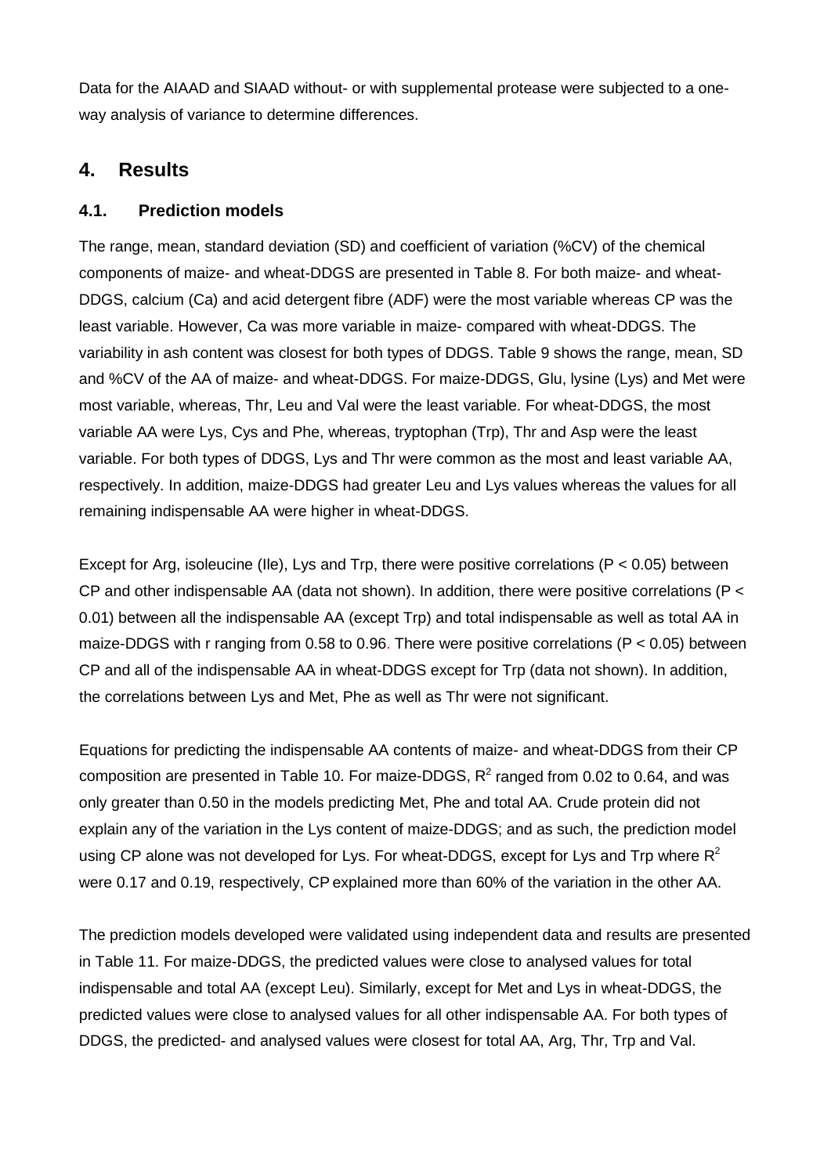Data for the AIAAD and SIAAD without- or with supplemental protease were subjected to a oneway analysis of variance to determine differences.

# **4. Results**

# **4.1. Prediction models**

The range, mean, standard deviation (SD) and coefficient of variation (%CV) of the chemical components of maize- and wheat-DDGS are presented in Table 8. For both maize- and wheat-DDGS, calcium (Ca) and acid detergent fibre (ADF) were the most variable whereas CP was the least variable. However, Ca was more variable in maize- compared with wheat-DDGS. The variability in ash content was closest for both types of DDGS. Table 9 shows the range, mean, SD and %CV of the AA of maize- and wheat-DDGS. For maize-DDGS, Glu, lysine (Lys) and Met were most variable, whereas, Thr, Leu and Val were the least variable. For wheat-DDGS, the most variable AA were Lys, Cys and Phe, whereas, tryptophan (Trp), Thr and Asp were the least variable. For both types of DDGS, Lys and Thr were common as the most and least variable AA, respectively. In addition, maize-DDGS had greater Leu and Lys values whereas the values for all remaining indispensable AA were higher in wheat-DDGS.

Except for Arg, isoleucine (IIe), Lys and Trp, there were positive correlations ( $P < 0.05$ ) between CP and other indispensable AA (data not shown). In addition, there were positive correlations (P < 0.01) between all the indispensable AA (except Trp) and total indispensable as well as total AA in maize-DDGS with r ranging from 0.58 to 0.96. There were positive correlations (P < 0.05) between CP and all of the indispensable AA in wheat-DDGS except for Trp (data not shown). In addition, the correlations between Lys and Met, Phe as well as Thr were not significant.

Equations for predicting the indispensable AA contents of maize- and wheat-DDGS from their CP composition are presented in Table 10. For maize-DDGS,  $R^2$  ranged from 0.02 to 0.64, and was only greater than 0.50 in the models predicting Met, Phe and total AA. Crude protein did not explain any of the variation in the Lys content of maize-DDGS; and as such, the prediction model using CP alone was not developed for Lys. For wheat-DDGS, except for Lys and Trp where  $R^2$ were 0.17 and 0.19, respectively, CP explained more than 60% of the variation in the other AA.

The prediction models developed were validated using independent data and results are presented in Table 11. For maize-DDGS, the predicted values were close to analysed values for total indispensable and total AA (except Leu). Similarly, except for Met and Lys in wheat-DDGS, the predicted values were close to analysed values for all other indispensable AA. For both types of DDGS, the predicted- and analysed values were closest for total AA, Arg, Thr, Trp and Val.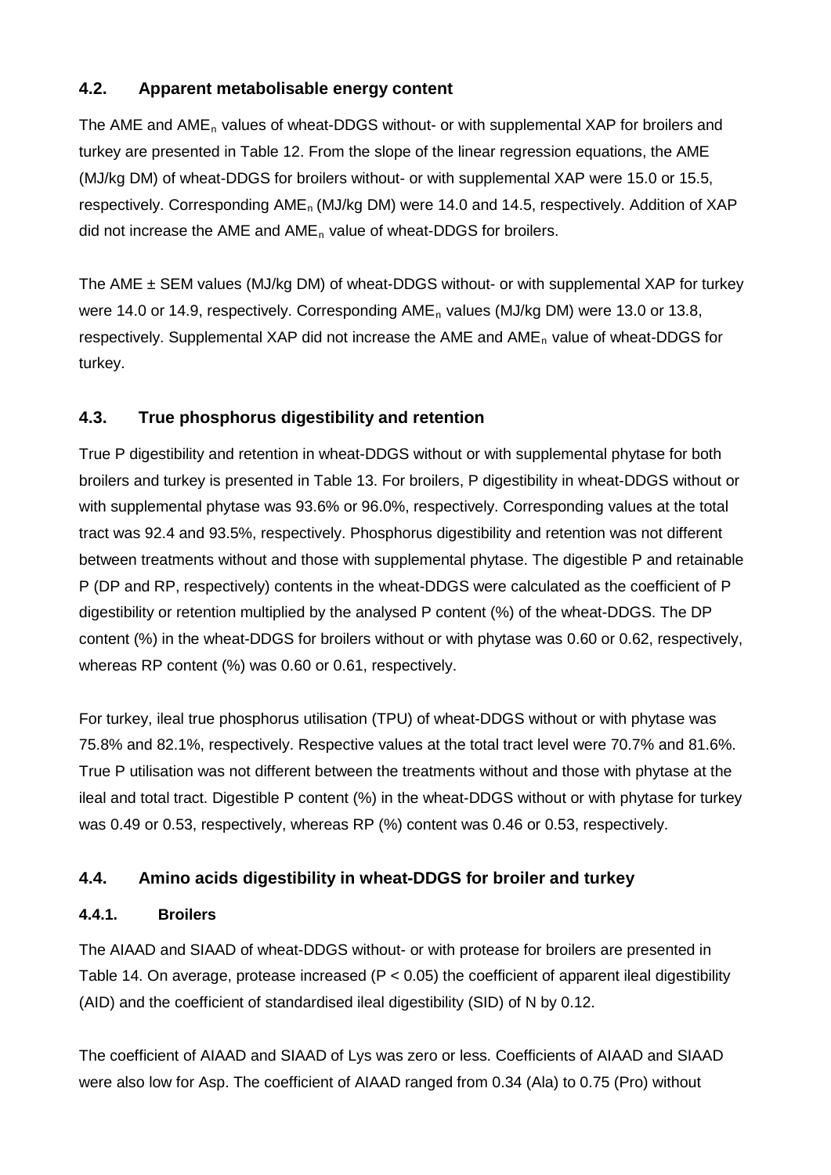# **4.2. Apparent metabolisable energy content**

The AME and  $AME<sub>n</sub>$  values of wheat-DDGS without- or with supplemental XAP for broilers and turkey are presented in Table 12. From the slope of the linear regression equations, the AME (MJ/kg DM) of wheat-DDGS for broilers without- or with supplemental XAP were 15.0 or 15.5, respectively. Corresponding AME<sub>n</sub> (MJ/kg DM) were 14.0 and 14.5, respectively. Addition of XAP did not increase the AME and AME<sub>n</sub> value of wheat-DDGS for broilers.

The AME  $\pm$  SEM values (MJ/kg DM) of wheat-DDGS without- or with supplemental XAP for turkey were 14.0 or 14.9, respectively. Corresponding  $AME<sub>n</sub>$  values (MJ/kg DM) were 13.0 or 13.8, respectively. Supplemental XAP did not increase the AME and AME<sub>n</sub> value of wheat-DDGS for turkey.

# **4.3. True phosphorus digestibility and retention**

True P digestibility and retention in wheat-DDGS without or with supplemental phytase for both broilers and turkey is presented in Table 13. For broilers, P digestibility in wheat-DDGS without or with supplemental phytase was 93.6% or 96.0%, respectively. Corresponding values at the total tract was 92.4 and 93.5%, respectively. Phosphorus digestibility and retention was not different between treatments without and those with supplemental phytase. The digestible P and retainable P (DP and RP, respectively) contents in the wheat-DDGS were calculated as the coefficient of P digestibility or retention multiplied by the analysed P content (%) of the wheat-DDGS. The DP content (%) in the wheat-DDGS for broilers without or with phytase was 0.60 or 0.62, respectively, whereas RP content (%) was 0.60 or 0.61, respectively.

For turkey, ileal true phosphorus utilisation (TPU) of wheat-DDGS without or with phytase was 75.8% and 82.1%, respectively. Respective values at the total tract level were 70.7% and 81.6%. True P utilisation was not different between the treatments without and those with phytase at the ileal and total tract. Digestible P content (%) in the wheat-DDGS without or with phytase for turkey was 0.49 or 0.53, respectively, whereas RP (%) content was 0.46 or 0.53, respectively.

# **4.4. Amino acids digestibility in wheat-DDGS for broiler and turkey**

# **4.4.1. Broilers**

The AIAAD and SIAAD of wheat-DDGS without- or with protease for broilers are presented in Table 14. On average, protease increased ( $P < 0.05$ ) the coefficient of apparent ileal digestibility (AID) and the coefficient of standardised ileal digestibility (SID) of N by 0.12.

The coefficient of AIAAD and SIAAD of Lys was zero or less. Coefficients of AIAAD and SIAAD were also low for Asp. The coefficient of AIAAD ranged from 0.34 (Ala) to 0.75 (Pro) without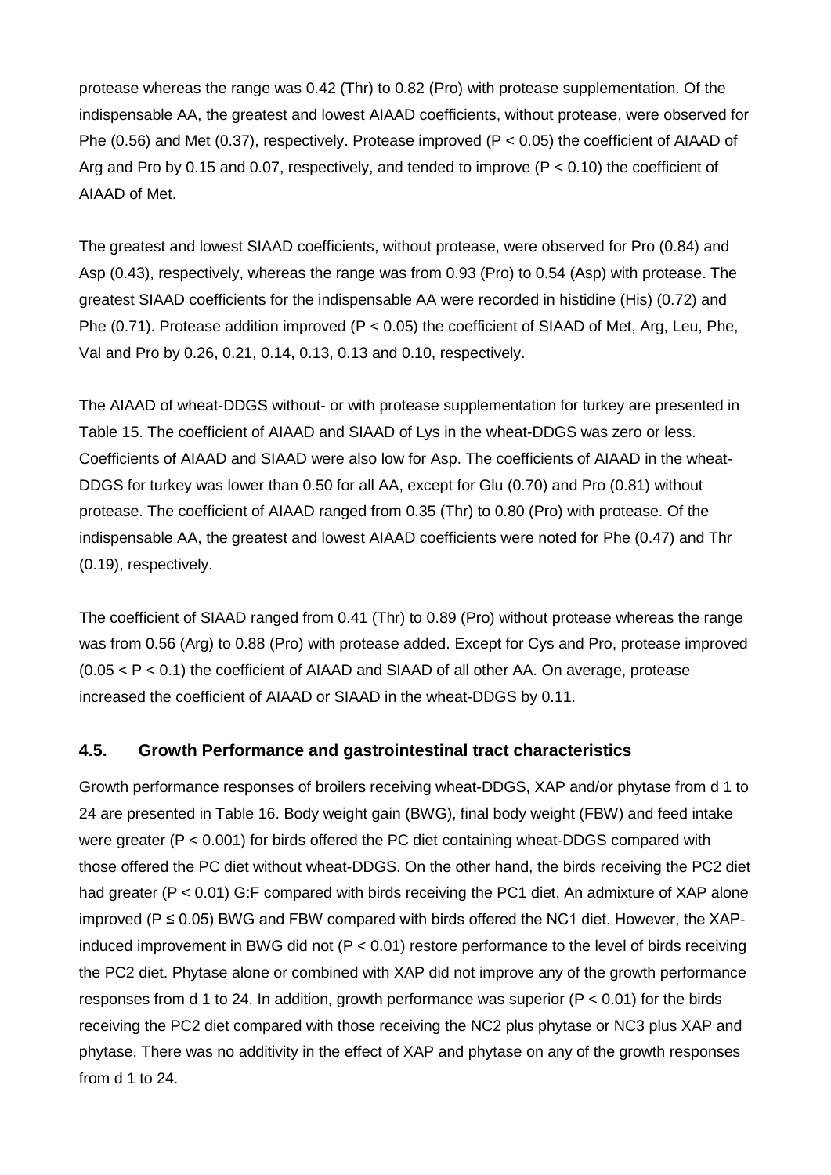protease whereas the range was 0.42 (Thr) to 0.82 (Pro) with protease supplementation. Of the indispensable AA, the greatest and lowest AIAAD coefficients, without protease, were observed for Phe (0.56) and Met (0.37), respectively. Protease improved ( $P < 0.05$ ) the coefficient of AIAAD of Arg and Pro by 0.15 and 0.07, respectively, and tended to improve ( $P < 0.10$ ) the coefficient of AIAAD of Met.

The greatest and lowest SIAAD coefficients, without protease, were observed for Pro (0.84) and Asp (0.43), respectively, whereas the range was from 0.93 (Pro) to 0.54 (Asp) with protease. The greatest SIAAD coefficients for the indispensable AA were recorded in histidine (His) (0.72) and Phe (0.71). Protease addition improved (P < 0.05) the coefficient of SIAAD of Met, Arg, Leu, Phe, Val and Pro by 0.26, 0.21, 0.14, 0.13, 0.13 and 0.10, respectively.

The AIAAD of wheat-DDGS without- or with protease supplementation for turkey are presented in Table 15. The coefficient of AIAAD and SIAAD of Lys in the wheat-DDGS was zero or less. Coefficients of AIAAD and SIAAD were also low for Asp. The coefficients of AIAAD in the wheat-DDGS for turkey was lower than 0.50 for all AA, except for Glu (0.70) and Pro (0.81) without protease. The coefficient of AIAAD ranged from 0.35 (Thr) to 0.80 (Pro) with protease. Of the indispensable AA, the greatest and lowest AIAAD coefficients were noted for Phe (0.47) and Thr (0.19), respectively.

The coefficient of SIAAD ranged from 0.41 (Thr) to 0.89 (Pro) without protease whereas the range was from 0.56 (Arg) to 0.88 (Pro) with protease added. Except for Cys and Pro, protease improved  $(0.05 < P < 0.1)$  the coefficient of AIAAD and SIAAD of all other AA. On average, protease increased the coefficient of AIAAD or SIAAD in the wheat-DDGS by 0.11.

### **4.5. Growth Performance and gastrointestinal tract characteristics**

Growth performance responses of broilers receiving wheat-DDGS, XAP and/or phytase from d 1 to 24 are presented in Table 16. Body weight gain (BWG), final body weight (FBW) and feed intake were greater (P < 0.001) for birds offered the PC diet containing wheat-DDGS compared with those offered the PC diet without wheat-DDGS. On the other hand, the birds receiving the PC2 diet had greater (P < 0.01) G:F compared with birds receiving the PC1 diet. An admixture of XAP alone improved ( $P \le 0.05$ ) BWG and FBW compared with birds offered the NC1 diet. However, the XAPinduced improvement in BWG did not (P < 0.01) restore performance to the level of birds receiving the PC2 diet. Phytase alone or combined with XAP did not improve any of the growth performance responses from d 1 to 24. In addition, growth performance was superior ( $P < 0.01$ ) for the birds receiving the PC2 diet compared with those receiving the NC2 plus phytase or NC3 plus XAP and phytase. There was no additivity in the effect of XAP and phytase on any of the growth responses from d 1 to 24.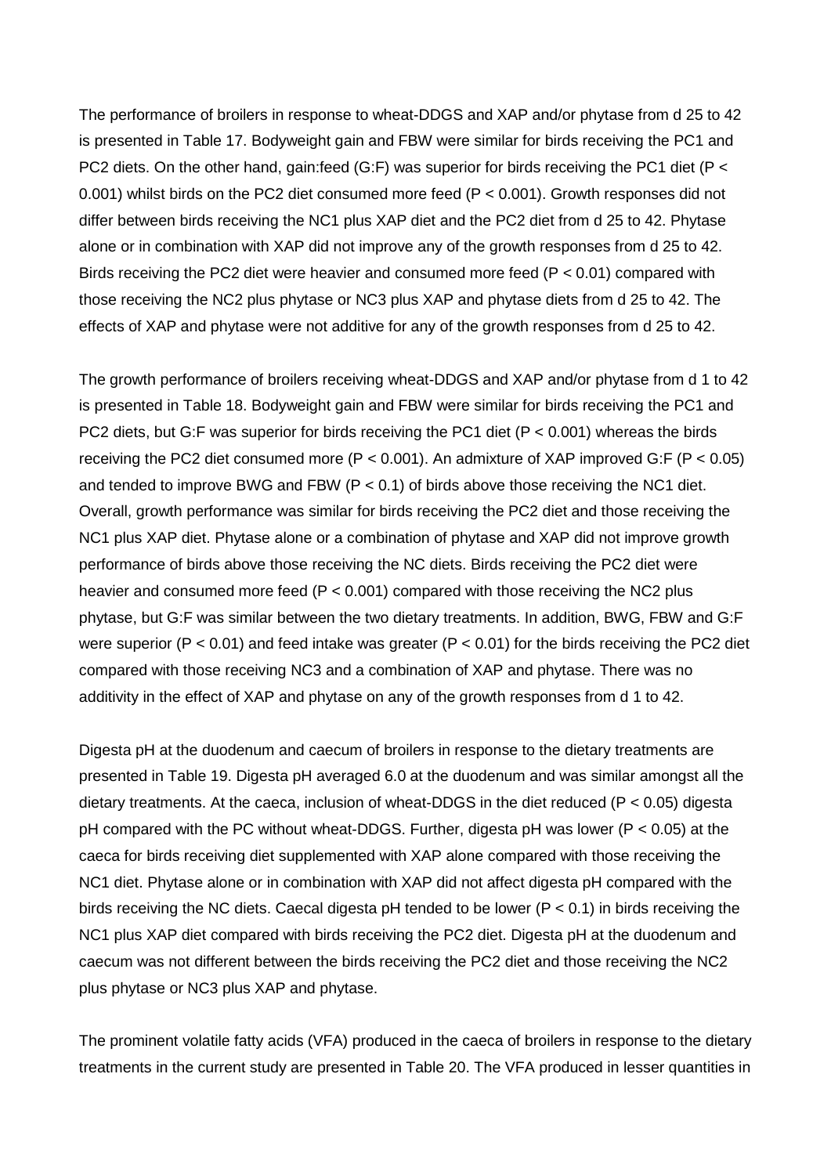The performance of broilers in response to wheat-DDGS and XAP and/or phytase from d 25 to 42 is presented in Table 17. Bodyweight gain and FBW were similar for birds receiving the PC1 and PC2 diets. On the other hand, gain:feed (G:F) was superior for birds receiving the PC1 diet (P < 0.001) whilst birds on the PC2 diet consumed more feed (P < 0.001). Growth responses did not differ between birds receiving the NC1 plus XAP diet and the PC2 diet from d 25 to 42. Phytase alone or in combination with XAP did not improve any of the growth responses from d 25 to 42. Birds receiving the PC2 diet were heavier and consumed more feed (P < 0.01) compared with those receiving the NC2 plus phytase or NC3 plus XAP and phytase diets from d 25 to 42. The effects of XAP and phytase were not additive for any of the growth responses from d 25 to 42.

The growth performance of broilers receiving wheat-DDGS and XAP and/or phytase from d 1 to 42 is presented in Table 18. Bodyweight gain and FBW were similar for birds receiving the PC1 and PC2 diets, but G:F was superior for birds receiving the PC1 diet (P < 0.001) whereas the birds receiving the PC2 diet consumed more (P < 0.001). An admixture of XAP improved G:F (P < 0.05) and tended to improve BWG and FBW ( $P < 0.1$ ) of birds above those receiving the NC1 diet. Overall, growth performance was similar for birds receiving the PC2 diet and those receiving the NC1 plus XAP diet. Phytase alone or a combination of phytase and XAP did not improve growth performance of birds above those receiving the NC diets. Birds receiving the PC2 diet were heavier and consumed more feed ( $P < 0.001$ ) compared with those receiving the NC2 plus phytase, but G:F was similar between the two dietary treatments. In addition, BWG, FBW and G:F were superior ( $P < 0.01$ ) and feed intake was greater ( $P < 0.01$ ) for the birds receiving the PC2 diet compared with those receiving NC3 and a combination of XAP and phytase. There was no additivity in the effect of XAP and phytase on any of the growth responses from d 1 to 42.

Digesta pH at the duodenum and caecum of broilers in response to the dietary treatments are presented in Table 19. Digesta pH averaged 6.0 at the duodenum and was similar amongst all the dietary treatments. At the caeca, inclusion of wheat-DDGS in the diet reduced ( $P < 0.05$ ) digesta pH compared with the PC without wheat-DDGS. Further, digesta pH was lower (P < 0.05) at the caeca for birds receiving diet supplemented with XAP alone compared with those receiving the NC1 diet. Phytase alone or in combination with XAP did not affect digesta pH compared with the birds receiving the NC diets. Caecal digesta pH tended to be lower ( $P < 0.1$ ) in birds receiving the NC1 plus XAP diet compared with birds receiving the PC2 diet. Digesta pH at the duodenum and caecum was not different between the birds receiving the PC2 diet and those receiving the NC2 plus phytase or NC3 plus XAP and phytase.

The prominent volatile fatty acids (VFA) produced in the caeca of broilers in response to the dietary treatments in the current study are presented in Table 20. The VFA produced in lesser quantities in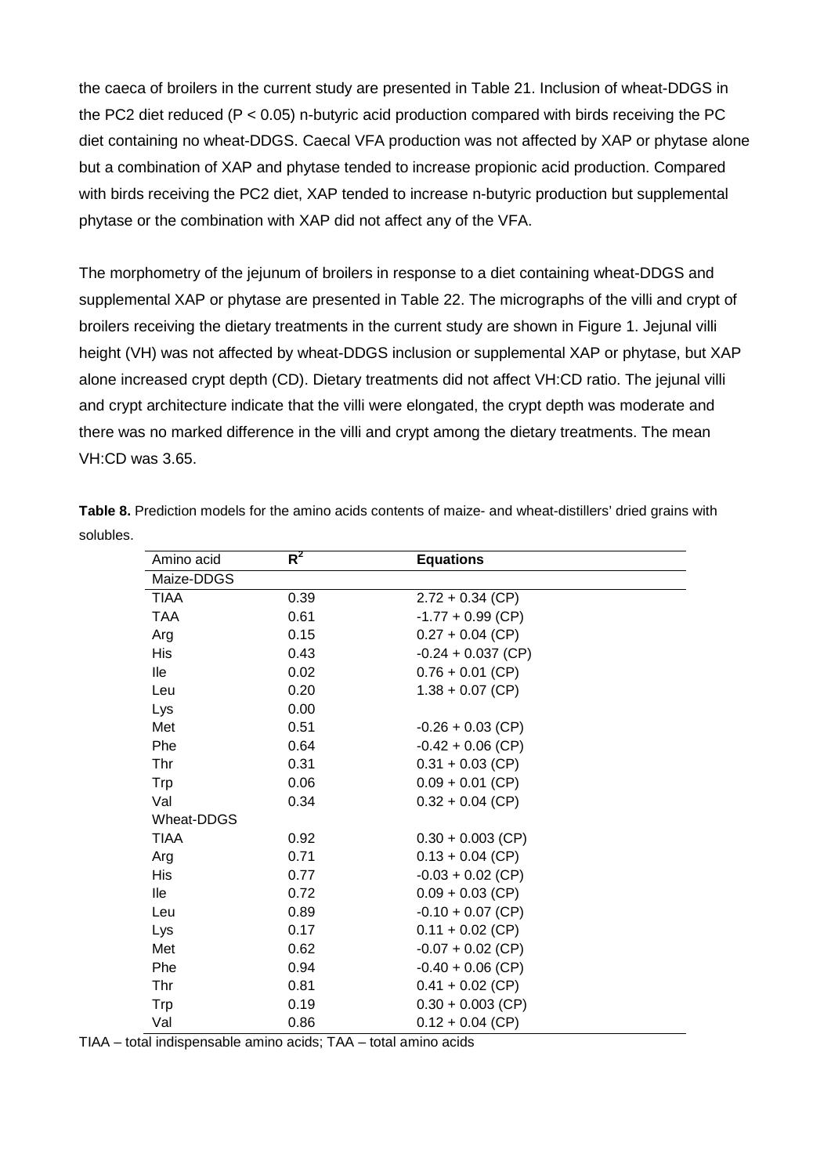the caeca of broilers in the current study are presented in Table 21. Inclusion of wheat-DDGS in the PC2 diet reduced ( $P < 0.05$ ) n-butyric acid production compared with birds receiving the PC diet containing no wheat-DDGS. Caecal VFA production was not affected by XAP or phytase alone but a combination of XAP and phytase tended to increase propionic acid production. Compared with birds receiving the PC2 diet, XAP tended to increase n-butyric production but supplemental phytase or the combination with XAP did not affect any of the VFA.

The morphometry of the jejunum of broilers in response to a diet containing wheat-DDGS and supplemental XAP or phytase are presented in Table 22. The micrographs of the villi and crypt of broilers receiving the dietary treatments in the current study are shown in Figure 1. Jejunal villi height (VH) was not affected by wheat-DDGS inclusion or supplemental XAP or phytase, but XAP alone increased crypt depth (CD). Dietary treatments did not affect VH:CD ratio. The jejunal villi and crypt architecture indicate that the villi were elongated, the crypt depth was moderate and there was no marked difference in the villi and crypt among the dietary treatments. The mean VH:CD was 3.65.

| Amino acid  | $R^2$ | <b>Equations</b>     |  |
|-------------|-------|----------------------|--|
| Maize-DDGS  |       |                      |  |
| TIAA        | 0.39  | $2.72 + 0.34$ (CP)   |  |
| <b>TAA</b>  | 0.61  | $-1.77 + 0.99$ (CP)  |  |
| Arg         | 0.15  | $0.27 + 0.04$ (CP)   |  |
| <b>His</b>  | 0.43  | $-0.24 + 0.037$ (CP) |  |
| lle         | 0.02  | $0.76 + 0.01$ (CP)   |  |
| Leu         | 0.20  | $1.38 + 0.07$ (CP)   |  |
| Lys         | 0.00  |                      |  |
| Met         | 0.51  | $-0.26 + 0.03$ (CP)  |  |
| Phe         | 0.64  | $-0.42 + 0.06$ (CP)  |  |
| Thr         | 0.31  | $0.31 + 0.03$ (CP)   |  |
| Trp         | 0.06  | $0.09 + 0.01$ (CP)   |  |
| Val         | 0.34  | $0.32 + 0.04$ (CP)   |  |
| Wheat-DDGS  |       |                      |  |
| <b>TIAA</b> | 0.92  | $0.30 + 0.003$ (CP)  |  |
| Arg         | 0.71  | $0.13 + 0.04$ (CP)   |  |
| <b>His</b>  | 0.77  | $-0.03 + 0.02$ (CP)  |  |
| lle         | 0.72  | $0.09 + 0.03$ (CP)   |  |
| Leu         | 0.89  | $-0.10 + 0.07$ (CP)  |  |
| Lys         | 0.17  | $0.11 + 0.02$ (CP)   |  |
| Met         | 0.62  | $-0.07 + 0.02$ (CP)  |  |
| Phe         | 0.94  | $-0.40 + 0.06$ (CP)  |  |
| Thr         | 0.81  | $0.41 + 0.02$ (CP)   |  |
| Trp         | 0.19  | $0.30 + 0.003$ (CP)  |  |
| Val         | 0.86  | $0.12 + 0.04$ (CP)   |  |

**Table 8.** Prediction models for the amino acids contents of maize- and wheat-distillers' dried grains with solubles.

TIAA – total indispensable amino acids; TAA – total amino acids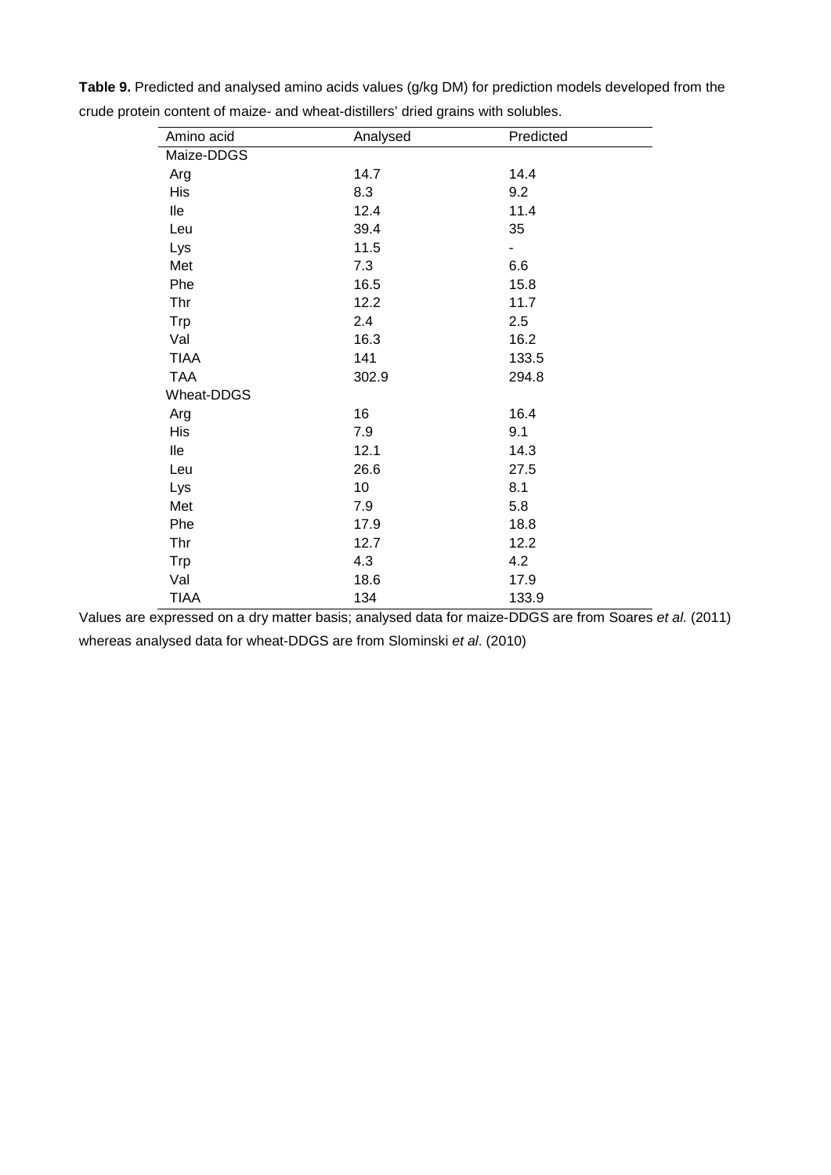| Amino acid  | Analysed | Predicted                |  |
|-------------|----------|--------------------------|--|
| Maize-DDGS  |          |                          |  |
| Arg         | 14.7     | 14.4                     |  |
| His         | 8.3      | 9.2                      |  |
| lle         | 12.4     | 11.4                     |  |
| Leu         | 39.4     | 35                       |  |
| Lys         | 11.5     | $\overline{\phantom{0}}$ |  |
| Met         | 7.3      | 6.6                      |  |
| Phe         | 16.5     | 15.8                     |  |
| Thr         | 12.2     | 11.7                     |  |
| Trp         | 2.4      | 2.5                      |  |
| Val         | 16.3     | 16.2                     |  |
| <b>TIAA</b> | 141      | 133.5                    |  |
| <b>TAA</b>  | 302.9    | 294.8                    |  |
| Wheat-DDGS  |          |                          |  |
| Arg         | 16       | 16.4                     |  |
| His         | 7.9      | 9.1                      |  |
| lle         | 12.1     | 14.3                     |  |
| Leu         | 26.6     | 27.5                     |  |
| Lys         | 10       | 8.1                      |  |
| Met         | 7.9      | 5.8                      |  |
| Phe         | 17.9     | 18.8                     |  |
| Thr         | 12.7     | 12.2                     |  |
| <b>Trp</b>  | 4.3      | 4.2                      |  |
| Val         | 18.6     | 17.9                     |  |
| <b>TIAA</b> | 134      | 133.9                    |  |

**Table 9.** Predicted and analysed amino acids values (g/kg DM) for prediction models developed from the crude protein content of maize- and wheat-distillers' dried grains with solubles.

Values are expressed on a dry matter basis; analysed data for maize-DDGS are from Soares *et al.* (2011) whereas analysed data for wheat-DDGS are from Slominski *et al*. (2010)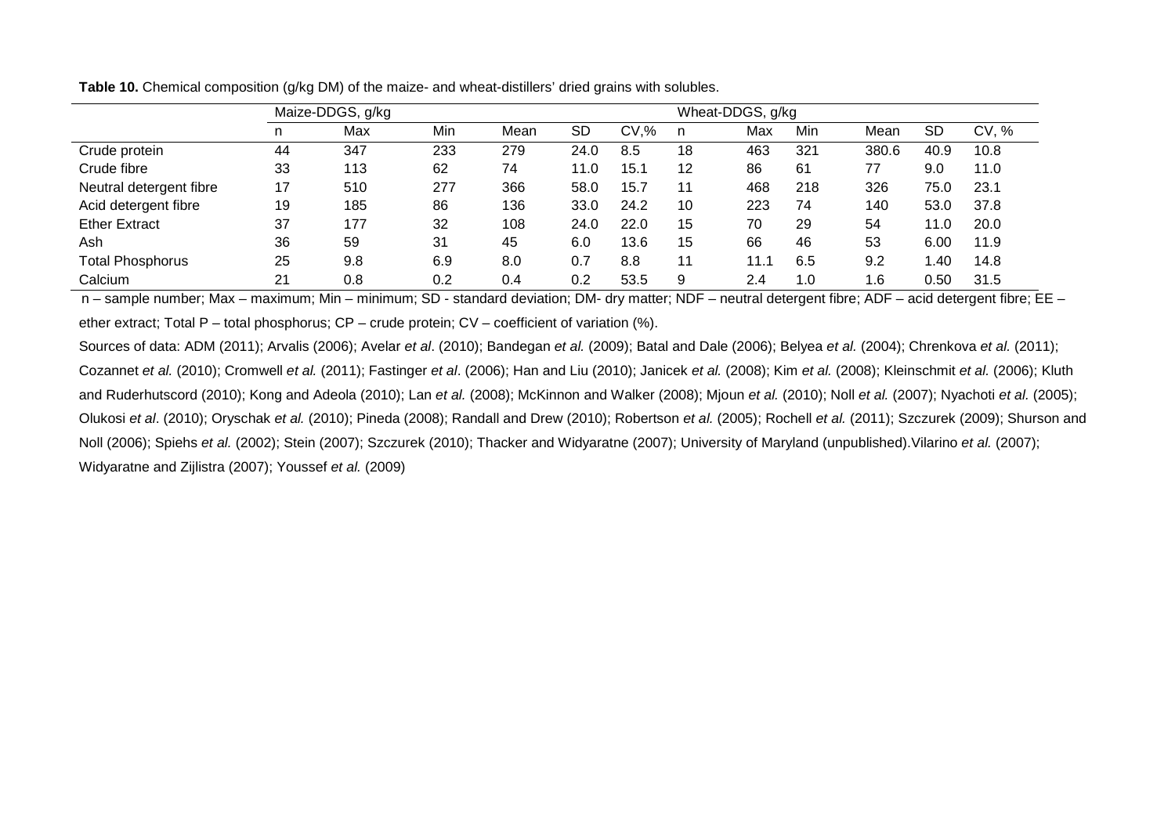|                         |    | Maize-DDGS, g/kg |     |      |      |      | Wheat-DDGS, g/kg |      |     |       |           |       |
|-------------------------|----|------------------|-----|------|------|------|------------------|------|-----|-------|-----------|-------|
|                         | n. | Max              | Min | Mean | SD   | CV.% |                  | Max  | Min | Mean  | <b>SD</b> | CV, % |
| Crude protein           | 44 | 347              | 233 | 279  | 24.0 | 8.5  | 18               | 463  | 321 | 380.6 | 40.9      | 10.8  |
| Crude fibre             | 33 | 113              | 62  | 74   | 11.0 | 15.1 | 12               | 86   | 61  | 77    | 9.0       | 11.0  |
| Neutral detergent fibre | 17 | 510              | 277 | 366  | 58.0 | 15.7 | 11               | 468  | 218 | 326   | 75.0      | 23.1  |
| Acid detergent fibre    | 19 | 185              | 86  | 136  | 33.0 | 24.2 | 10               | 223  | 74  | 140   | 53.0      | 37.8  |
| <b>Ether Extract</b>    | 37 | 177              | 32  | 108  | 24.0 | 22.0 | 15               | 70   | 29  | 54    | 11.0      | 20.0  |
| Ash                     | 36 | 59               | 31  | 45   | 6.0  | 13.6 | 15               | 66   | 46  | 53    | 6.00      | 11.9  |
| <b>Total Phosphorus</b> | 25 | 9.8              | 6.9 | 8.0  | 0.7  | 8.8  | 11               | 11.1 | 6.5 | 9.2   | 40. ا     | 14.8  |
| Calcium                 | 21 | 0.8              | 0.2 | 0.4  | 0.2  | 53.5 | 9                | 2.4  | 1.0 | 1.6   | 0.50      | 31.5  |

**Table 10.** Chemical composition (g/kg DM) of the maize- and wheat-distillers' dried grains with solubles.

n – sample number; Max – maximum; Min – minimum; SD - standard deviation; DM- dry matter; NDF – neutral detergent fibre; ADF – acid detergent fibre; EE – ether extract; Total P – total phosphorus; CP – crude protein; CV – coefficient of variation (%).

Sources of data: ADM (2011); Arvalis (2006); Avelar *et al*. (2010); Bandegan *et al.* (2009); Batal and Dale (2006); Belyea *et al.* (2004); Chrenkova *et al.* (2011); Cozannet *et al.* (2010); Cromwell *et al.* (2011); Fastinger *et al*. (2006); Han and Liu (2010); Janicek *et al.* (2008); Kim *et al.* (2008); Kleinschmit *et al.* (2006); Kluth and Ruderhutscord (2010); Kong and Adeola (2010); Lan *et al.* (2008); McKinnon and Walker (2008); Mjoun *et al.* (2010); Noll *et al.* (2007); Nyachoti *et al.* (2005); Olukosi *et al*. (2010); Oryschak *et al.* (2010); Pineda (2008); Randall and Drew (2010); Robertson *et al.* (2005); Rochell *et al.* (2011); Szczurek (2009); Shurson and Noll (2006); Spiehs *et al.* (2002); Stein (2007); Szczurek (2010); Thacker and Widyaratne (2007); University of Maryland (unpublished).Vilarino *et al.* (2007); Widyaratne and Zijlistra (2007); Youssef *et al.* (2009)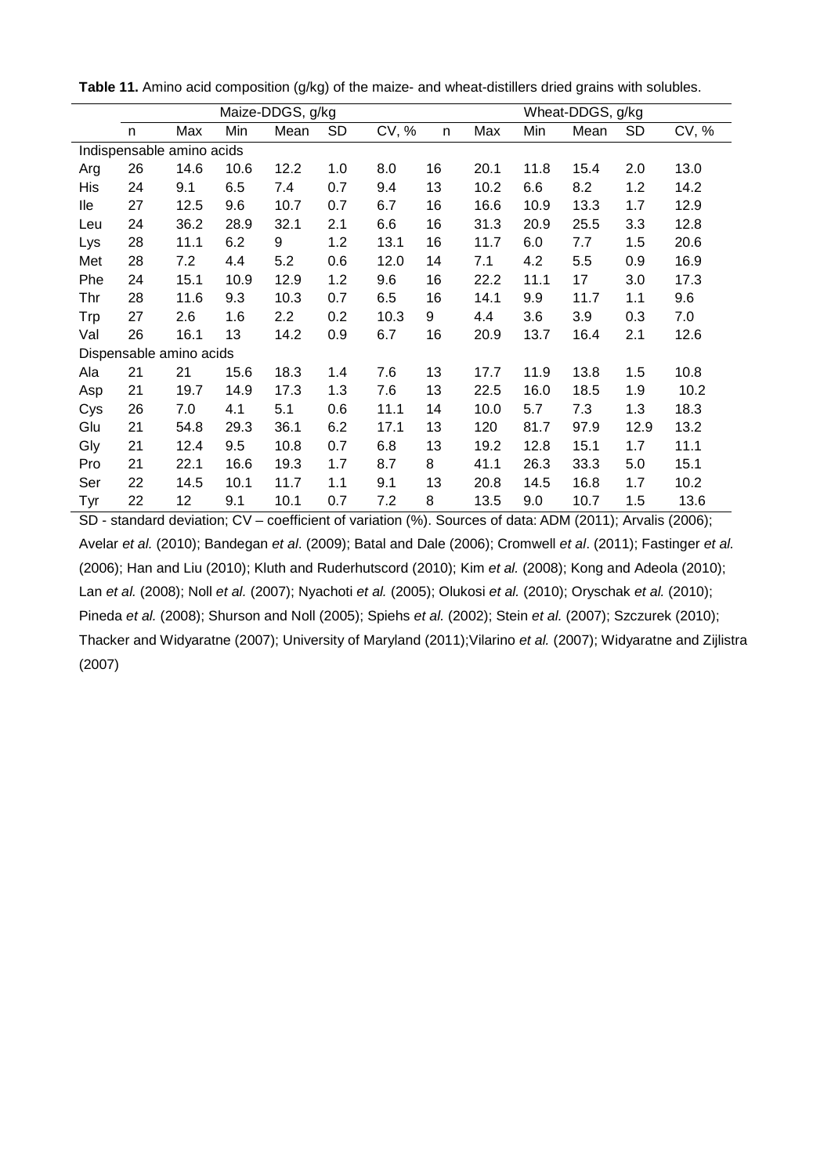|     | Maize-DDGS, g/kg          |      |      |      |           | Wheat-DDGS, g/kg |    |      |      |      |           |       |
|-----|---------------------------|------|------|------|-----------|------------------|----|------|------|------|-----------|-------|
|     | n                         | Max  | Min  | Mean | <b>SD</b> | CV, %            | n  | Max  | Min  | Mean | <b>SD</b> | CV, % |
|     | Indispensable amino acids |      |      |      |           |                  |    |      |      |      |           |       |
| Arg | 26                        | 14.6 | 10.6 | 12.2 | 1.0       | 8.0              | 16 | 20.1 | 11.8 | 15.4 | 2.0       | 13.0  |
| His | 24                        | 9.1  | 6.5  | 7.4  | 0.7       | 9.4              | 13 | 10.2 | 6.6  | 8.2  | 1.2       | 14.2  |
| lle | 27                        | 12.5 | 9.6  | 10.7 | 0.7       | 6.7              | 16 | 16.6 | 10.9 | 13.3 | 1.7       | 12.9  |
| Leu | 24                        | 36.2 | 28.9 | 32.1 | 2.1       | 6.6              | 16 | 31.3 | 20.9 | 25.5 | 3.3       | 12.8  |
| Lys | 28                        | 11.1 | 6.2  | 9    | 1.2       | 13.1             | 16 | 11.7 | 6.0  | 7.7  | 1.5       | 20.6  |
| Met | 28                        | 7.2  | 4.4  | 5.2  | 0.6       | 12.0             | 14 | 7.1  | 4.2  | 5.5  | 0.9       | 16.9  |
| Phe | 24                        | 15.1 | 10.9 | 12.9 | 1.2       | 9.6              | 16 | 22.2 | 11.1 | 17   | 3.0       | 17.3  |
| Thr | 28                        | 11.6 | 9.3  | 10.3 | 0.7       | 6.5              | 16 | 14.1 | 9.9  | 11.7 | 1.1       | 9.6   |
| Trp | 27                        | 2.6  | 1.6  | 2.2  | 0.2       | 10.3             | 9  | 4.4  | 3.6  | 3.9  | 0.3       | 7.0   |
| Val | 26                        | 16.1 | 13   | 14.2 | 0.9       | 6.7              | 16 | 20.9 | 13.7 | 16.4 | 2.1       | 12.6  |
|     | Dispensable amino acids   |      |      |      |           |                  |    |      |      |      |           |       |
| Ala | 21                        | 21   | 15.6 | 18.3 | 1.4       | 7.6              | 13 | 17.7 | 11.9 | 13.8 | 1.5       | 10.8  |
| Asp | 21                        | 19.7 | 14.9 | 17.3 | 1.3       | 7.6              | 13 | 22.5 | 16.0 | 18.5 | 1.9       | 10.2  |
| Cys | 26                        | 7.0  | 4.1  | 5.1  | 0.6       | 11.1             | 14 | 10.0 | 5.7  | 7.3  | 1.3       | 18.3  |
| Glu | 21                        | 54.8 | 29.3 | 36.1 | 6.2       | 17.1             | 13 | 120  | 81.7 | 97.9 | 12.9      | 13.2  |
| Gly | 21                        | 12.4 | 9.5  | 10.8 | 0.7       | 6.8              | 13 | 19.2 | 12.8 | 15.1 | 1.7       | 11.1  |
| Pro | 21                        | 22.1 | 16.6 | 19.3 | 1.7       | 8.7              | 8  | 41.1 | 26.3 | 33.3 | 5.0       | 15.1  |
| Ser | 22                        | 14.5 | 10.1 | 11.7 | 1.1       | 9.1              | 13 | 20.8 | 14.5 | 16.8 | 1.7       | 10.2  |
| Tyr | 22                        | 12   | 9.1  | 10.1 | 0.7       | 7.2              | 8  | 13.5 | 9.0  | 10.7 | 1.5       | 13.6  |

**Table 11.** Amino acid composition (g/kg) of the maize- and wheat-distillers dried grains with solubles.

SD - standard deviation; CV – coefficient of variation (%). Sources of data: ADM (2011); Arvalis (2006); Avelar *et al.* (2010); Bandegan *et al*. (2009); Batal and Dale (2006); Cromwell *et al*. (2011); Fastinger *et al.* (2006); Han and Liu (2010); Kluth and Ruderhutscord (2010); Kim *et al.* (2008); Kong and Adeola (2010); Lan *et al.* (2008); Noll *et al.* (2007); Nyachoti *et al.* (2005); Olukosi *et al.* (2010); Oryschak *et al.* (2010); Pineda *et al.* (2008); Shurson and Noll (2005); Spiehs *et al.* (2002); Stein *et al.* (2007); Szczurek (2010); Thacker and Widyaratne (2007); University of Maryland (2011);Vilarino *et al.* (2007); Widyaratne and Zijlistra (2007)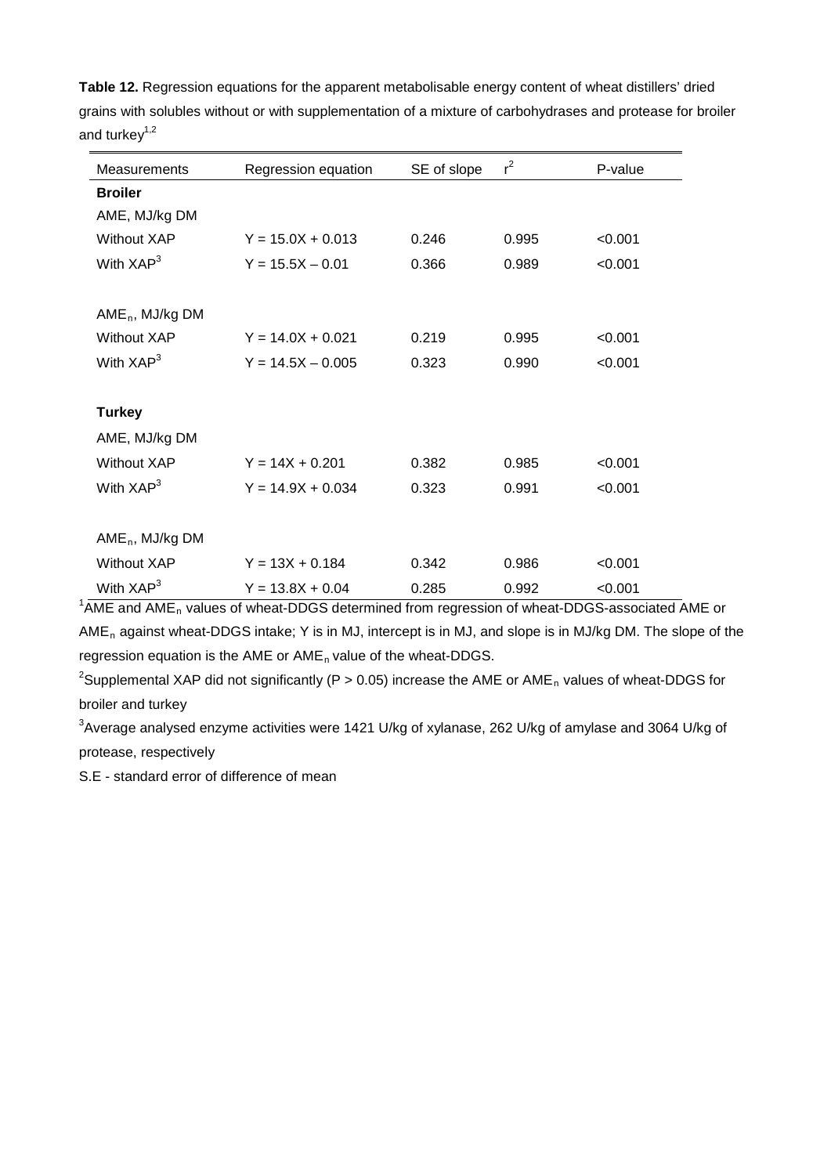| Measurements          | Regression equation | SE of slope | $r^2$ | P-value |
|-----------------------|---------------------|-------------|-------|---------|
| <b>Broiler</b>        |                     |             |       |         |
| AME, MJ/kg DM         |                     |             |       |         |
| <b>Without XAP</b>    | $Y = 15.0X + 0.013$ | 0.246       | 0.995 | < 0.001 |
| With $XAP3$           | $Y = 15.5X - 0.01$  | 0.366       | 0.989 | < 0.001 |
|                       |                     |             |       |         |
| $AME_n$ , MJ/kg DM    |                     |             |       |         |
| <b>Without XAP</b>    | $Y = 14.0X + 0.021$ | 0.219       | 0.995 | < 0.001 |
| With $XAP3$           | $Y = 14.5X - 0.005$ | 0.323       | 0.990 | < 0.001 |
|                       |                     |             |       |         |
| <b>Turkey</b>         |                     |             |       |         |
| AME, MJ/kg DM         |                     |             |       |         |
| <b>Without XAP</b>    | $Y = 14X + 0.201$   | 0.382       | 0.985 | < 0.001 |
| With $XAP3$           | $Y = 14.9X + 0.034$ | 0.323       | 0.991 | < 0.001 |
|                       |                     |             |       |         |
| $AME_n$ , MJ/kg DM    |                     |             |       |         |
| Without XAP           | $Y = 13X + 0.184$   | 0.342       | 0.986 | < 0.001 |
| With XAP <sup>3</sup> | $Y = 13.8X + 0.04$  | 0.285       | 0.992 | < 0.001 |

**Table 12.** Regression equations for the apparent metabolisable energy content of wheat distillers' dried grains with solubles without or with supplementation of a mixture of carbohydrases and protease for broiler and turkey $1,2$ 

 $1/4$ ME and AME<sub>n</sub> values of wheat-DDGS determined from regression of wheat-DDGS-associated AME or AMEn against wheat-DDGS intake; Y is in MJ, intercept is in MJ, and slope is in MJ/kg DM. The slope of the regression equation is the AME or  $AME<sub>n</sub>$  value of the wheat-DDGS.

<sup>2</sup>Supplemental XAP did not significantly (P > 0.05) increase the AME or AME<sub>n</sub> values of wheat-DDGS for broiler and turkey

 ${}^{3}$ Average analysed enzyme activities were 1421 U/kg of xylanase, 262 U/kg of amylase and 3064 U/kg of protease, respectively

S.E - standard error of difference of mean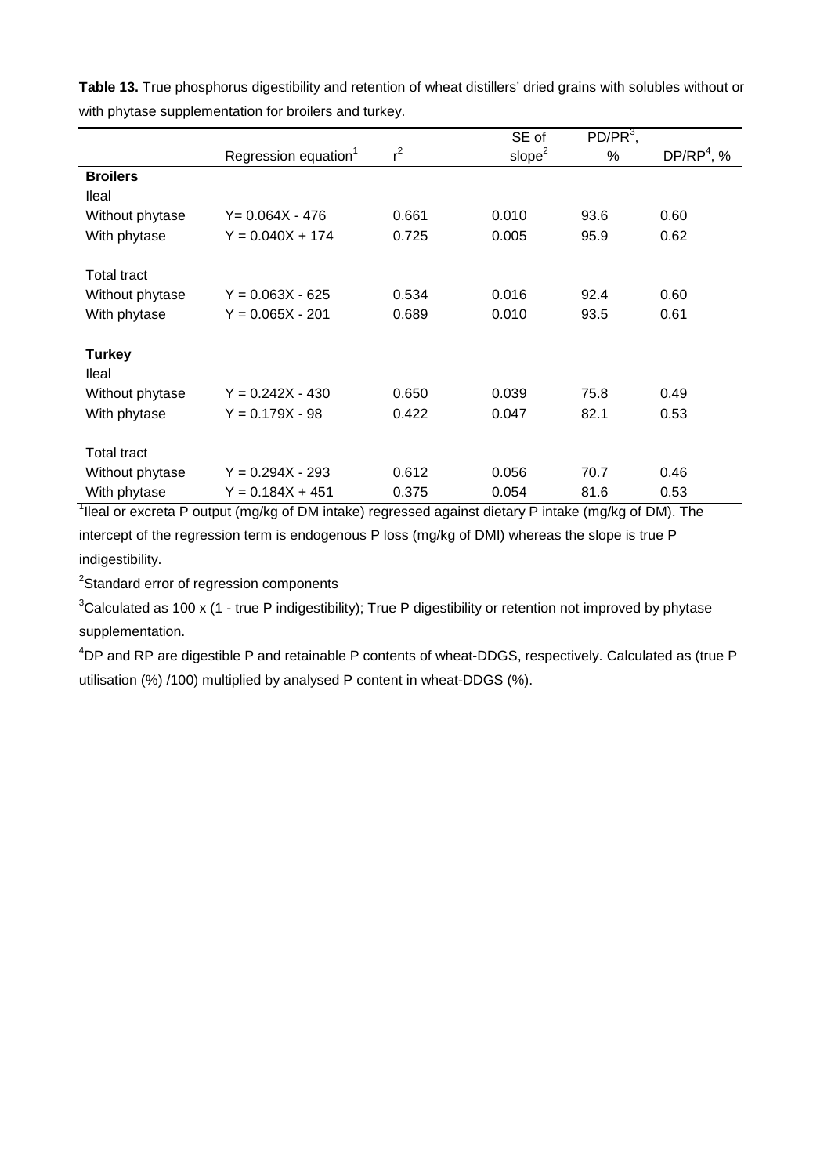|                                          |                                  |       | SE of              | $PD/PR3$ , |                        |
|------------------------------------------|----------------------------------|-------|--------------------|------------|------------------------|
|                                          | Regression equation <sup>1</sup> | $r^2$ | slope <sup>2</sup> | $\%$       | DP/RP <sup>4</sup> , % |
| <b>Broilers</b>                          |                                  |       |                    |            |                        |
| <b>Ileal</b>                             |                                  |       |                    |            |                        |
| Without phytase                          | $Y = 0.064X - 476$               | 0.661 | 0.010              | 93.6       | 0.60                   |
| With phytase                             | $Y = 0.040X + 174$               | 0.725 | 0.005              | 95.9       | 0.62                   |
| <b>Total tract</b>                       |                                  |       |                    |            |                        |
| Without phytase                          | $Y = 0.063X - 625$               | 0.534 | 0.016              | 92.4       | 0.60                   |
| With phytase                             | $Y = 0.065X - 201$               | 0.689 | 0.010              | 93.5       | 0.61                   |
| <b>Turkey</b>                            |                                  |       |                    |            |                        |
| <b>Ileal</b>                             |                                  |       |                    |            |                        |
| Without phytase                          | $Y = 0.242X - 430$               | 0.650 | 0.039              | 75.8       | 0.49                   |
| With phytase                             | $Y = 0.179X - 98$                | 0.422 | 0.047              | 82.1       | 0.53                   |
| <b>Total tract</b>                       |                                  |       |                    |            |                        |
| Without phytase                          | $Y = 0.294X - 293$               | 0.612 | 0.056              | 70.7       | 0.46                   |
| With phytase<br>$\overline{\phantom{0}}$ | $Y = 0.184X + 451$               | 0.375 | 0.054              | 81.6       | 0.53                   |

**Table 13.** True phosphorus digestibility and retention of wheat distillers' dried grains with solubles without or with phytase supplementation for broilers and turkey.

<sup>1</sup>lleal or excreta P output (mg/kg of DM intake) regressed against dietary P intake (mg/kg of DM). The

intercept of the regression term is endogenous P loss (mg/kg of DMI) whereas the slope is true P indigestibility.

<sup>2</sup>Standard error of regression components

 ${}^{3}$ Calculated as 100 x (1 - true P indigestibility); True P digestibility or retention not improved by phytase supplementation.

4 DP and RP are digestible P and retainable P contents of wheat-DDGS, respectively. Calculated as (true P utilisation (%) /100) multiplied by analysed P content in wheat-DDGS (%).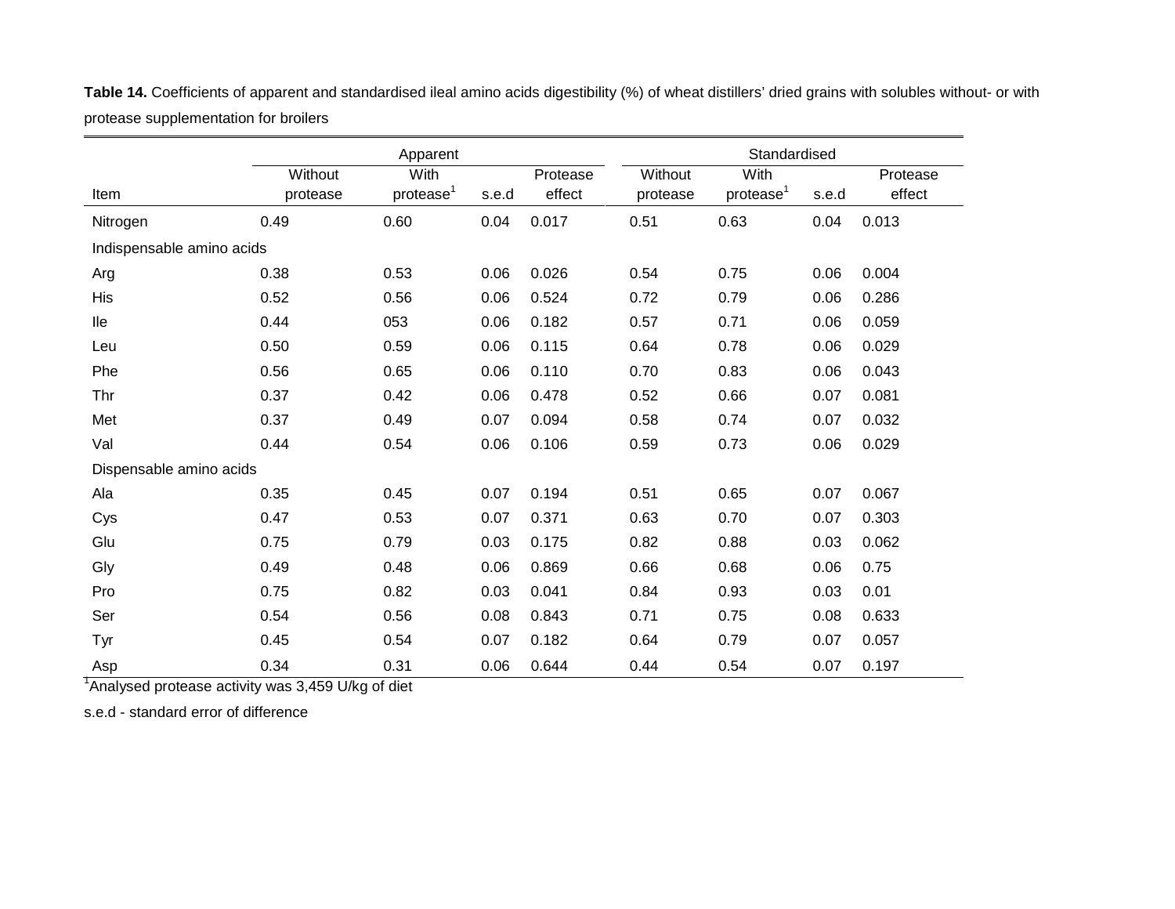|                           |          | Apparent              |       |          |          | Standardised          |       |          |
|---------------------------|----------|-----------------------|-------|----------|----------|-----------------------|-------|----------|
|                           | Without  | With                  |       | Protease | Without  | With                  |       | Protease |
| Item                      | protease | protease <sup>1</sup> | s.e.d | effect   | protease | protease <sup>1</sup> | s.e.d | effect   |
| Nitrogen                  | 0.49     | 0.60                  | 0.04  | 0.017    | 0.51     | 0.63                  | 0.04  | 0.013    |
| Indispensable amino acids |          |                       |       |          |          |                       |       |          |
| Arg                       | 0.38     | 0.53                  | 0.06  | 0.026    | 0.54     | 0.75                  | 0.06  | 0.004    |
| His                       | 0.52     | 0.56                  | 0.06  | 0.524    | 0.72     | 0.79                  | 0.06  | 0.286    |
| <b>Ile</b>                | 0.44     | 053                   | 0.06  | 0.182    | 0.57     | 0.71                  | 0.06  | 0.059    |
| Leu                       | 0.50     | 0.59                  | 0.06  | 0.115    | 0.64     | 0.78                  | 0.06  | 0.029    |
| Phe                       | 0.56     | 0.65                  | 0.06  | 0.110    | 0.70     | 0.83                  | 0.06  | 0.043    |
| Thr                       | 0.37     | 0.42                  | 0.06  | 0.478    | 0.52     | 0.66                  | 0.07  | 0.081    |
| Met                       | 0.37     | 0.49                  | 0.07  | 0.094    | 0.58     | 0.74                  | 0.07  | 0.032    |
| Val                       | 0.44     | 0.54                  | 0.06  | 0.106    | 0.59     | 0.73                  | 0.06  | 0.029    |
| Dispensable amino acids   |          |                       |       |          |          |                       |       |          |
| Ala                       | 0.35     | 0.45                  | 0.07  | 0.194    | 0.51     | 0.65                  | 0.07  | 0.067    |
| Cys                       | 0.47     | 0.53                  | 0.07  | 0.371    | 0.63     | 0.70                  | 0.07  | 0.303    |
| Glu                       | 0.75     | 0.79                  | 0.03  | 0.175    | 0.82     | 0.88                  | 0.03  | 0.062    |
| Gly                       | 0.49     | 0.48                  | 0.06  | 0.869    | 0.66     | 0.68                  | 0.06  | 0.75     |
| Pro                       | 0.75     | 0.82                  | 0.03  | 0.041    | 0.84     | 0.93                  | 0.03  | 0.01     |
| Ser                       | 0.54     | 0.56                  | 0.08  | 0.843    | 0.71     | 0.75                  | 0.08  | 0.633    |
| Tyr                       | 0.45     | 0.54                  | 0.07  | 0.182    | 0.64     | 0.79                  | 0.07  | 0.057    |
| Asp                       | 0.34     | 0.31                  | 0.06  | 0.644    | 0.44     | 0.54                  | 0.07  | 0.197    |

**Table 14.** Coefficients of apparent and standardised ileal amino acids digestibility (%) of wheat distillers' dried grains with solubles without- or with protease supplementation for broilers

<sup>1</sup>Analysed protease activity was 3,459 U/kg of diet

s.e.d - standard error of difference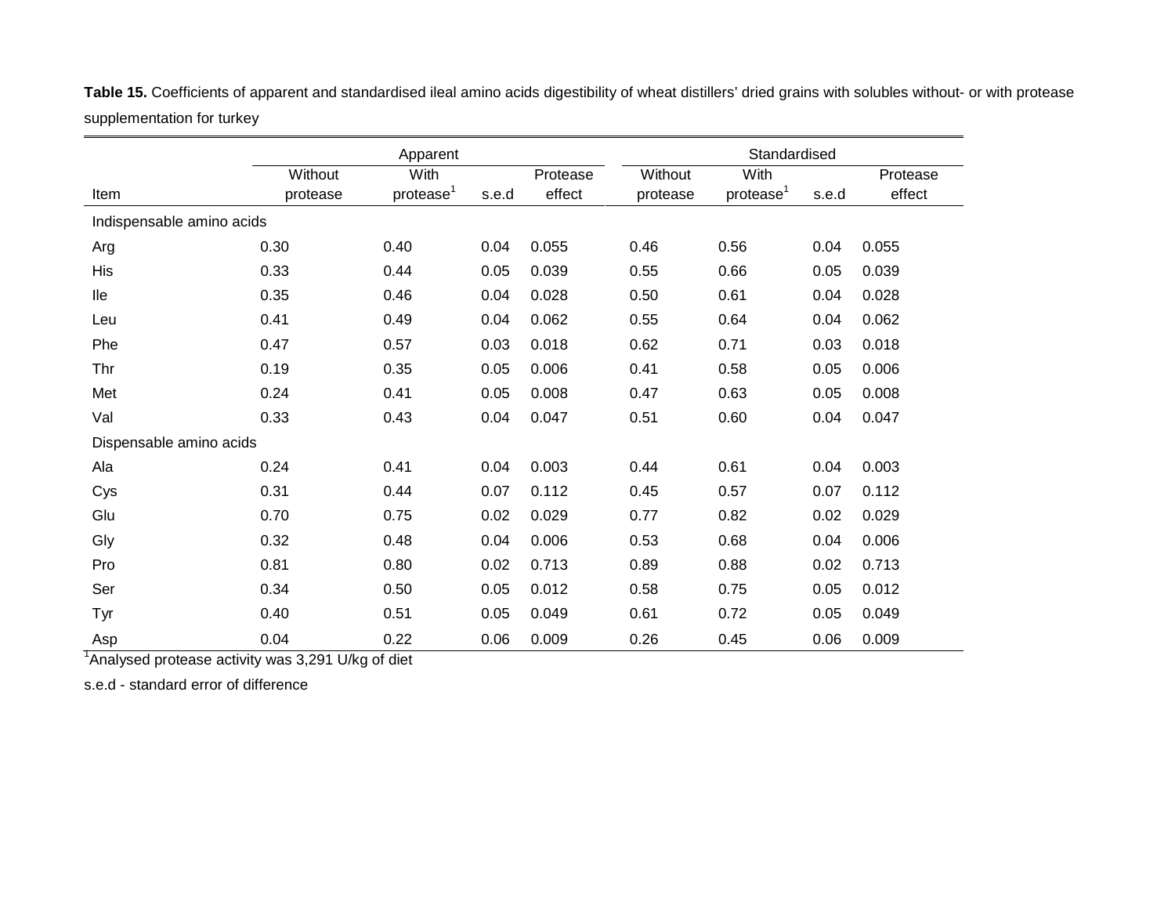|                           |          | Apparent              |       |          |          | Standardised          |       |          |
|---------------------------|----------|-----------------------|-------|----------|----------|-----------------------|-------|----------|
|                           | Without  | With                  |       | Protease | Without  | With                  |       | Protease |
| Item                      | protease | protease <sup>1</sup> | s.e.d | effect   | protease | protease <sup>1</sup> | s.e.d | effect   |
| Indispensable amino acids |          |                       |       |          |          |                       |       |          |
| Arg                       | 0.30     | 0.40                  | 0.04  | 0.055    | 0.46     | 0.56                  | 0.04  | 0.055    |
| His                       | 0.33     | 0.44                  | 0.05  | 0.039    | 0.55     | 0.66                  | 0.05  | 0.039    |
| lle                       | 0.35     | 0.46                  | 0.04  | 0.028    | 0.50     | 0.61                  | 0.04  | 0.028    |
| Leu                       | 0.41     | 0.49                  | 0.04  | 0.062    | 0.55     | 0.64                  | 0.04  | 0.062    |
| Phe                       | 0.47     | 0.57                  | 0.03  | 0.018    | 0.62     | 0.71                  | 0.03  | 0.018    |
| Thr                       | 0.19     | 0.35                  | 0.05  | 0.006    | 0.41     | 0.58                  | 0.05  | 0.006    |
| Met                       | 0.24     | 0.41                  | 0.05  | 0.008    | 0.47     | 0.63                  | 0.05  | 0.008    |
| Val                       | 0.33     | 0.43                  | 0.04  | 0.047    | 0.51     | 0.60                  | 0.04  | 0.047    |
| Dispensable amino acids   |          |                       |       |          |          |                       |       |          |
| Ala                       | 0.24     | 0.41                  | 0.04  | 0.003    | 0.44     | 0.61                  | 0.04  | 0.003    |
| Cys                       | 0.31     | 0.44                  | 0.07  | 0.112    | 0.45     | 0.57                  | 0.07  | 0.112    |
| Glu                       | 0.70     | 0.75                  | 0.02  | 0.029    | 0.77     | 0.82                  | 0.02  | 0.029    |
| Gly                       | 0.32     | 0.48                  | 0.04  | 0.006    | 0.53     | 0.68                  | 0.04  | 0.006    |
| Pro                       | 0.81     | 0.80                  | 0.02  | 0.713    | 0.89     | 0.88                  | 0.02  | 0.713    |
| Ser                       | 0.34     | 0.50                  | 0.05  | 0.012    | 0.58     | 0.75                  | 0.05  | 0.012    |
| Tyr                       | 0.40     | 0.51                  | 0.05  | 0.049    | 0.61     | 0.72                  | 0.05  | 0.049    |
| Asp                       | 0.04     | 0.22                  | 0.06  | 0.009    | 0.26     | 0.45                  | 0.06  | 0.009    |

Table 15. Coefficients of apparent and standardised ileal amino acids digestibility of wheat distillers' dried grains with solubles without- or with protease supplementation for turkey

<sup>1</sup>Analysed protease activity was 3,291 U/kg of diet

s.e.d - standard error of difference

L.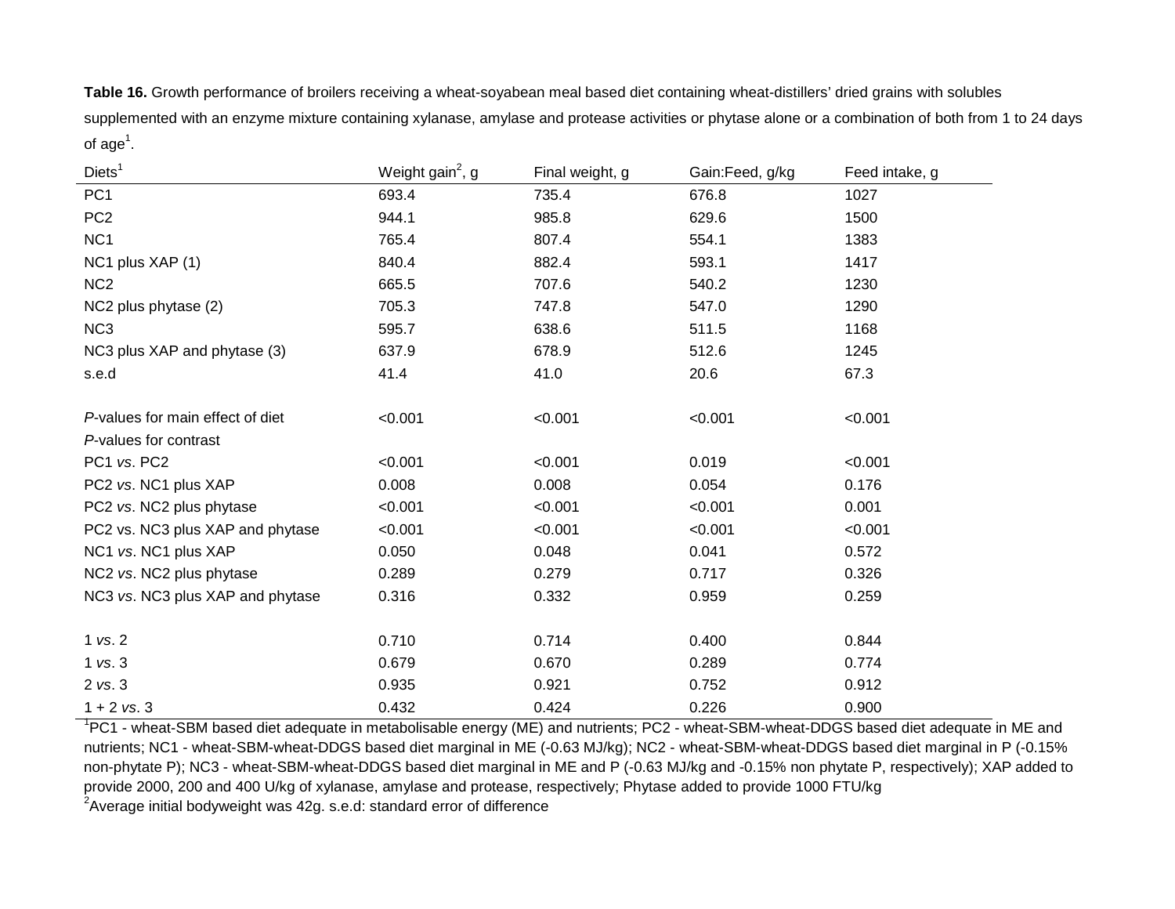**Table 16.** Growth performance of broilers receiving a wheat-soyabean meal based diet containing wheat-distillers' dried grains with solubles supplemented with an enzyme mixture containing xylanase, amylase and protease activities or phytase alone or a combination of both from 1 to 24 days of  $\mathsf{age}^1$ .

| Diets <sup>1</sup>               | Weight gain <sup>2</sup> , g | Final weight, g | Gain:Feed, g/kg | Feed intake, g |
|----------------------------------|------------------------------|-----------------|-----------------|----------------|
| PC <sub>1</sub>                  | 693.4                        | 735.4           | 676.8           | 1027           |
| PC <sub>2</sub>                  | 944.1                        | 985.8           | 629.6           | 1500           |
| NC <sub>1</sub>                  | 765.4                        | 807.4           | 554.1           | 1383           |
| NC1 plus XAP (1)                 | 840.4                        | 882.4           | 593.1           | 1417           |
| NC <sub>2</sub>                  | 665.5                        | 707.6           | 540.2           | 1230           |
| NC2 plus phytase (2)             | 705.3                        | 747.8           | 547.0           | 1290           |
| NC <sub>3</sub>                  | 595.7                        | 638.6           | 511.5           | 1168           |
| NC3 plus XAP and phytase (3)     | 637.9                        | 678.9           | 512.6           | 1245           |
| s.e.d                            | 41.4                         | 41.0            | 20.6            | 67.3           |
|                                  |                              |                 |                 |                |
| P-values for main effect of diet | < 0.001                      | < 0.001         | < 0.001         | < 0.001        |
| P-values for contrast            |                              |                 |                 |                |
| PC1 vs. PC2                      | < 0.001                      | < 0.001         | 0.019           | < 0.001        |
| PC2 vs. NC1 plus XAP             | 0.008                        | 0.008           | 0.054           | 0.176          |
| PC2 vs. NC2 plus phytase         | < 0.001                      | < 0.001         | < 0.001         | 0.001          |
| PC2 vs. NC3 plus XAP and phytase | < 0.001                      | < 0.001         | < 0.001         | < 0.001        |
| NC1 vs. NC1 plus XAP             | 0.050                        | 0.048           | 0.041           | 0.572          |
| NC2 vs. NC2 plus phytase         | 0.289                        | 0.279           | 0.717           | 0.326          |
| NC3 vs. NC3 plus XAP and phytase | 0.316                        | 0.332           | 0.959           | 0.259          |
|                                  |                              |                 |                 |                |
| $1$ vs. $2$                      | 0.710                        | 0.714           | 0.400           | 0.844          |
| $1$ vs. $3$                      | 0.679                        | 0.670           | 0.289           | 0.774          |
| 2 vs. 3                          | 0.935                        | 0.921           | 0.752           | 0.912          |
| $1 + 2$ vs. 3                    | 0.432                        | 0.424           | 0.226           | 0.900          |

<sup>1</sup>PC1 - wheat-SBM based diet adequate in metabolisable energy (ME) and nutrients; PC2 - wheat-SBM-wheat-DDGS based diet adequate in ME and nutrients; NC1 - wheat-SBM-wheat-DDGS based diet marginal in ME (-0.63 MJ/kg); NC2 - wheat-SBM-wheat-DDGS based diet marginal in P (-0.15% non-phytate P); NC3 - wheat-SBM-wheat-DDGS based diet marginal in ME and P (-0.63 MJ/kg and -0.15% non phytate P, respectively); XAP added to provide 2000, 200 and 400 U/kg of xylanase, amylase and protease, respectively; Phytase added to provide 1000 FTU/kg

 $^{2}$ Average initial bodyweight was 42g. s.e.d: standard error of difference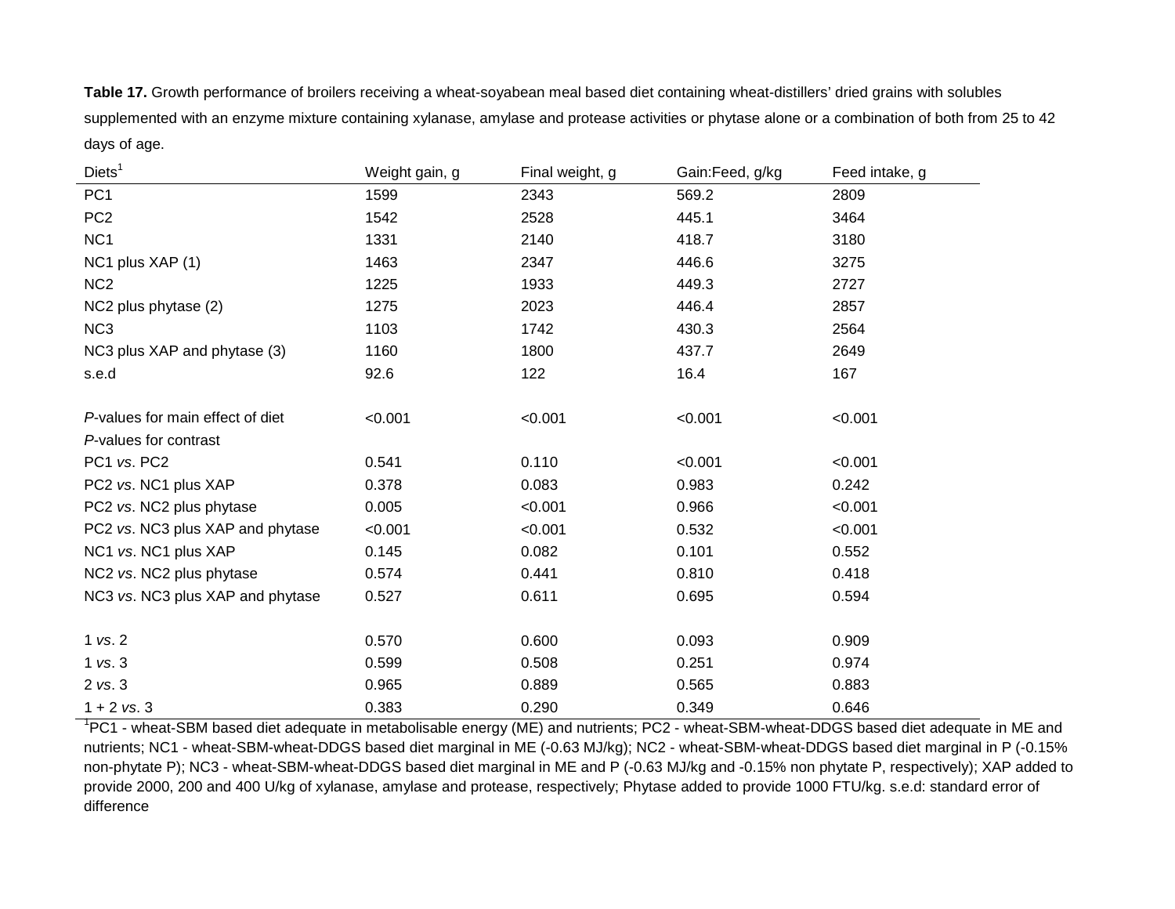**Table 17.** Growth performance of broilers receiving a wheat-soyabean meal based diet containing wheat-distillers' dried grains with solubles supplemented with an enzyme mixture containing xylanase, amylase and protease activities or phytase alone or a combination of both from 25 to 42 days of age.

| Diets <sup>1</sup>               | Weight gain, g | Final weight, g | Gain:Feed, g/kg | Feed intake, g |
|----------------------------------|----------------|-----------------|-----------------|----------------|
| PC <sub>1</sub>                  | 1599           | 2343            | 569.2           | 2809           |
| PC <sub>2</sub>                  | 1542           | 2528            | 445.1           | 3464           |
| NC <sub>1</sub>                  | 1331           | 2140            | 418.7           | 3180           |
| NC1 plus XAP (1)                 | 1463           | 2347            | 446.6           | 3275           |
| NC <sub>2</sub>                  | 1225           | 1933            | 449.3           | 2727           |
| NC2 plus phytase (2)             | 1275           | 2023            | 446.4           | 2857           |
| NC <sub>3</sub>                  | 1103           | 1742            | 430.3           | 2564           |
| NC3 plus XAP and phytase (3)     | 1160           | 1800            | 437.7           | 2649           |
| s.e.d                            | 92.6           | 122             | 16.4            | 167            |
|                                  |                |                 |                 |                |
| P-values for main effect of diet | < 0.001        | < 0.001         | < 0.001         | < 0.001        |
| P-values for contrast            |                |                 |                 |                |
| PC1 vs. PC2                      | 0.541          | 0.110           | < 0.001         | < 0.001        |
| PC2 vs. NC1 plus XAP             | 0.378          | 0.083           | 0.983           | 0.242          |
| PC2 vs. NC2 plus phytase         | 0.005          | < 0.001         | 0.966           | < 0.001        |
| PC2 vs. NC3 plus XAP and phytase | < 0.001        | < 0.001         | 0.532           | < 0.001        |
| NC1 vs. NC1 plus XAP             | 0.145          | 0.082           | 0.101           | 0.552          |
| NC2 vs. NC2 plus phytase         | 0.574          | 0.441           | 0.810           | 0.418          |
| NC3 vs. NC3 plus XAP and phytase | 0.527          | 0.611           | 0.695           | 0.594          |
|                                  |                |                 |                 |                |
| 1 vs. 2                          | 0.570          | 0.600           | 0.093           | 0.909          |
| $1$ vs. $3$                      | 0.599          | 0.508           | 0.251           | 0.974          |
| 2 vs. 3                          | 0.965          | 0.889           | 0.565           | 0.883          |
| $1 + 2$ vs. 3                    | 0.383          | 0.290           | 0.349           | 0.646          |

<sup>1</sup>PC1 - wheat-SBM based diet adequate in metabolisable energy (ME) and nutrients; PC2 - wheat-SBM-wheat-DDGS based diet adequate in ME and nutrients; NC1 - wheat-SBM-wheat-DDGS based diet marginal in ME (-0.63 MJ/kg); NC2 - wheat-SBM-wheat-DDGS based diet marginal in P (-0.15% non-phytate P); NC3 - wheat-SBM-wheat-DDGS based diet marginal in ME and P (-0.63 MJ/kg and -0.15% non phytate P, respectively); XAP added to provide 2000, 200 and 400 U/kg of xylanase, amylase and protease, respectively; Phytase added to provide 1000 FTU/kg. s.e.d: standard error of difference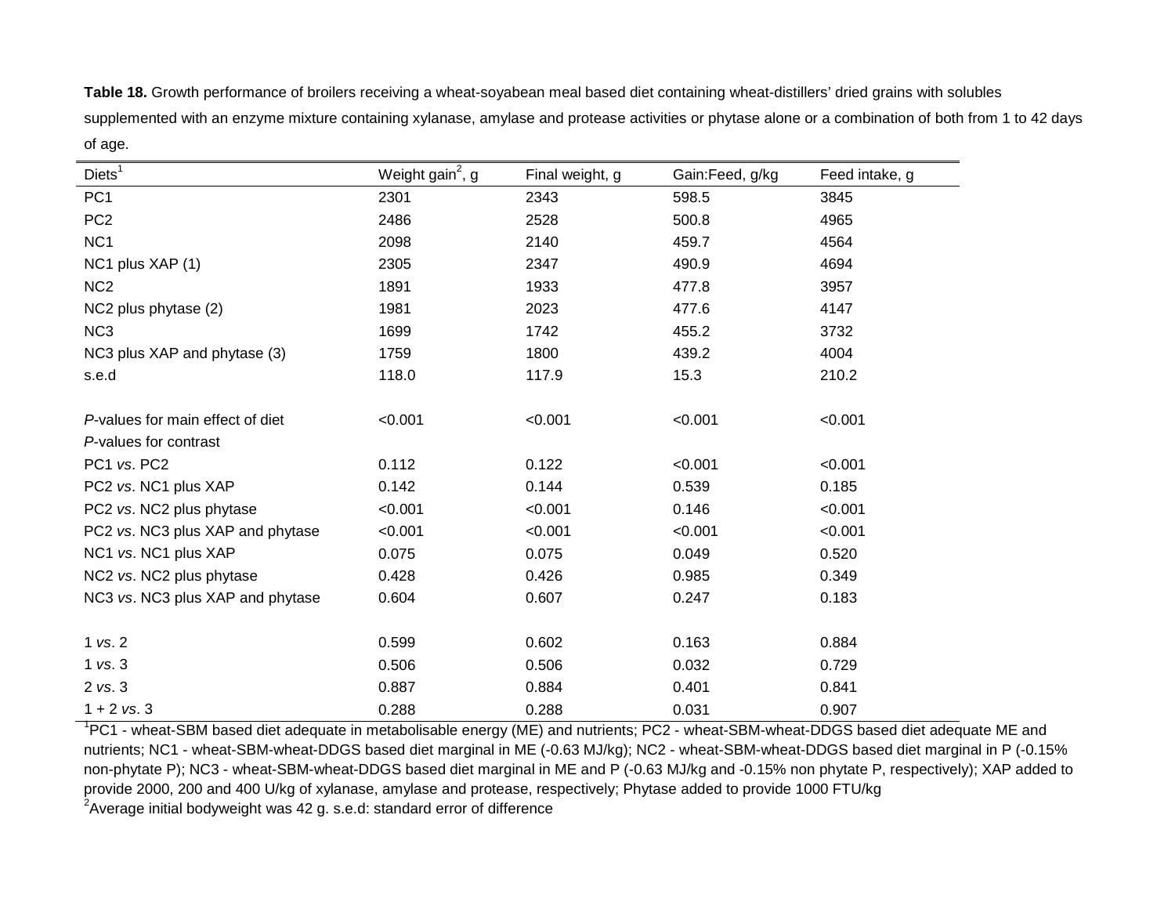**Table 18.** Growth performance of broilers receiving a wheat-soyabean meal based diet containing wheat-distillers' dried grains with solubles supplemented with an enzyme mixture containing xylanase, amylase and protease activities or phytase alone or a combination of both from 1 to 42 days of age.

| $\text{Diets}^1$                 | Weight gain <sup>2</sup> , g | Final weight, g | Gain:Feed, g/kg | Feed intake, g |
|----------------------------------|------------------------------|-----------------|-----------------|----------------|
| PC <sub>1</sub>                  | 2301                         | 2343            | 598.5           | 3845           |
| PC <sub>2</sub>                  | 2486                         | 2528            | 500.8           | 4965           |
| NC <sub>1</sub>                  | 2098                         | 2140            | 459.7           | 4564           |
| NC1 plus XAP (1)                 | 2305                         | 2347            | 490.9           | 4694           |
| NC <sub>2</sub>                  | 1891                         | 1933            | 477.8           | 3957           |
| NC2 plus phytase (2)             | 1981                         | 2023            | 477.6           | 4147           |
| NC <sub>3</sub>                  | 1699                         | 1742            | 455.2           | 3732           |
| NC3 plus XAP and phytase (3)     | 1759                         | 1800            | 439.2           | 4004           |
| s.e.d                            | 118.0                        | 117.9           | 15.3            | 210.2          |
|                                  |                              |                 |                 |                |
| P-values for main effect of diet | < 0.001                      | < 0.001         | < 0.001         | < 0.001        |
| P-values for contrast            |                              |                 |                 |                |
| PC1 vs. PC2                      | 0.112                        | 0.122           | < 0.001         | < 0.001        |
| PC2 vs. NC1 plus XAP             | 0.142                        | 0.144           | 0.539           | 0.185          |
| PC2 vs. NC2 plus phytase         | < 0.001                      | < 0.001         | 0.146           | < 0.001        |
| PC2 vs. NC3 plus XAP and phytase | < 0.001                      | < 0.001         | < 0.001         | < 0.001        |
| NC1 vs. NC1 plus XAP             | 0.075                        | 0.075           | 0.049           | 0.520          |
| NC2 vs. NC2 plus phytase         | 0.428                        | 0.426           | 0.985           | 0.349          |
| NC3 vs. NC3 plus XAP and phytase | 0.604                        | 0.607           | 0.247           | 0.183          |
|                                  |                              |                 |                 |                |
| 1 vs. 2                          | 0.599                        | 0.602           | 0.163           | 0.884          |
| $1$ vs. $3$                      | 0.506                        | 0.506           | 0.032           | 0.729          |
| 2 vs. 3                          | 0.887                        | 0.884           | 0.401           | 0.841          |
| $1 + 2$ vs. 3                    | 0.288                        | 0.288           | 0.031           | 0.907          |

<sup>1</sup>PC1 - wheat-SBM based diet adequate in metabolisable energy (ME) and nutrients; PC2 - wheat-SBM-wheat-DDGS based diet adequate ME and nutrients; NC1 - wheat-SBM-wheat-DDGS based diet marginal in ME (-0.63 MJ/kg); NC2 - wheat-SBM-wheat-DDGS based diet marginal in P (-0.15% non-phytate P); NC3 - wheat-SBM-wheat-DDGS based diet marginal in ME and P (-0.63 MJ/kg and -0.15% non phytate P, respectively); XAP added to provide 2000, 200 and 400 U/kg of xylanase, amylase and protease, respectively; Phytase added to provide 1000 FTU/kg  $^{2}$ Average initial bodyweight was 42 g. s.e.d: standard error of difference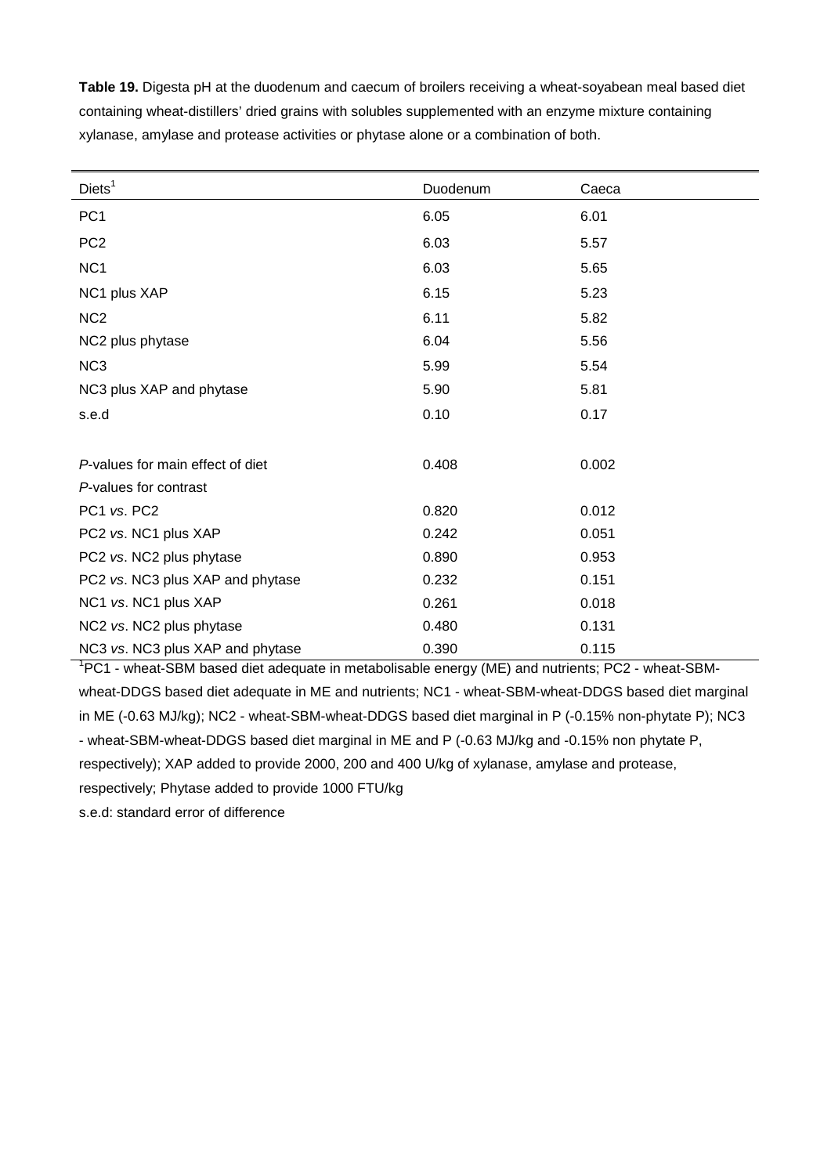**Table 19.** Digesta pH at the duodenum and caecum of broilers receiving a wheat-soyabean meal based diet containing wheat-distillers' dried grains with solubles supplemented with an enzyme mixture containing xylanase, amylase and protease activities or phytase alone or a combination of both.

| Diets <sup>1</sup>               | Duodenum | Caeca |
|----------------------------------|----------|-------|
| PC <sub>1</sub>                  | 6.05     | 6.01  |
| PC <sub>2</sub>                  | 6.03     | 5.57  |
| NC <sub>1</sub>                  | 6.03     | 5.65  |
| NC1 plus XAP                     | 6.15     | 5.23  |
| NC <sub>2</sub>                  | 6.11     | 5.82  |
| NC2 plus phytase                 | 6.04     | 5.56  |
| NC <sub>3</sub>                  | 5.99     | 5.54  |
| NC3 plus XAP and phytase         | 5.90     | 5.81  |
| s.e.d                            | 0.10     | 0.17  |
|                                  |          |       |
| P-values for main effect of diet | 0.408    | 0.002 |
| P-values for contrast            |          |       |
| PC1 vs. PC2                      | 0.820    | 0.012 |
| PC2 vs. NC1 plus XAP             | 0.242    | 0.051 |
| PC2 vs. NC2 plus phytase         | 0.890    | 0.953 |
| PC2 vs. NC3 plus XAP and phytase | 0.232    | 0.151 |
| NC1 vs. NC1 plus XAP             | 0.261    | 0.018 |
| NC2 vs. NC2 plus phytase         | 0.480    | 0.131 |
| NC3 vs. NC3 plus XAP and phytase | 0.390    | 0.115 |

<sup>1</sup>PC1 - wheat-SBM based diet adequate in metabolisable energy (ME) and nutrients; PC2 - wheat-SBMwheat-DDGS based diet adequate in ME and nutrients; NC1 - wheat-SBM-wheat-DDGS based diet marginal in ME (-0.63 MJ/kg); NC2 - wheat-SBM-wheat-DDGS based diet marginal in P (-0.15% non-phytate P); NC3 - wheat-SBM-wheat-DDGS based diet marginal in ME and P (-0.63 MJ/kg and -0.15% non phytate P, respectively); XAP added to provide 2000, 200 and 400 U/kg of xylanase, amylase and protease, respectively; Phytase added to provide 1000 FTU/kg

s.e.d: standard error of difference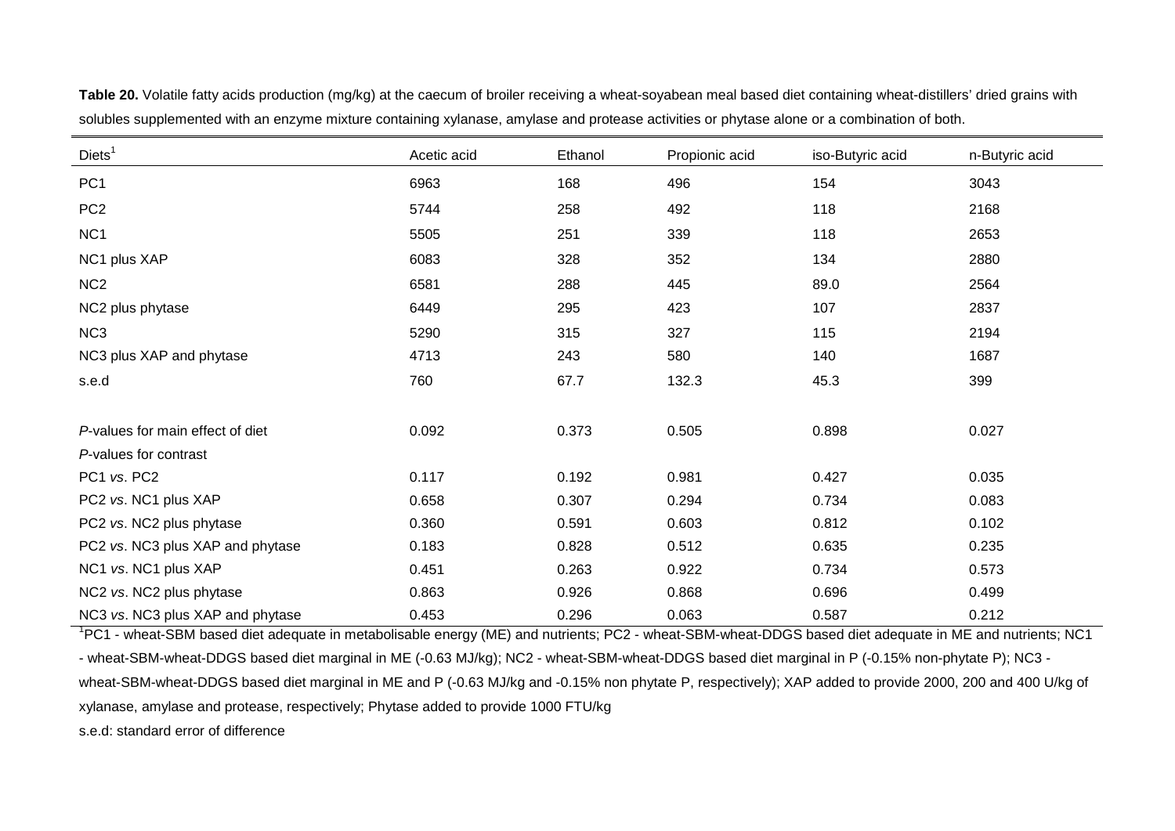| Diets <sup>1</sup>               | Acetic acid | Ethanol | Propionic acid | iso-Butyric acid | n-Butyric acid |
|----------------------------------|-------------|---------|----------------|------------------|----------------|
| PC <sub>1</sub>                  | 6963        | 168     | 496            | 154              | 3043           |
| PC <sub>2</sub>                  | 5744        | 258     | 492            | 118              | 2168           |
| NC <sub>1</sub>                  | 5505        | 251     | 339            | 118              | 2653           |
| NC1 plus XAP                     | 6083        | 328     | 352            | 134              | 2880           |
| NC <sub>2</sub>                  | 6581        | 288     | 445            | 89.0             | 2564           |
| NC2 plus phytase                 | 6449        | 295     | 423            | 107              | 2837           |
| NC <sub>3</sub>                  | 5290        | 315     | 327            | 115              | 2194           |
| NC3 plus XAP and phytase         | 4713        | 243     | 580            | 140              | 1687           |
| s.e.d                            | 760         | 67.7    | 132.3          | 45.3             | 399            |
| P-values for main effect of diet | 0.092       | 0.373   | 0.505          | 0.898            | 0.027          |
| P-values for contrast            |             |         |                |                  |                |
| PC1 vs. PC2                      | 0.117       | 0.192   | 0.981          | 0.427            | 0.035          |
| PC2 vs. NC1 plus XAP             | 0.658       | 0.307   | 0.294          | 0.734            | 0.083          |
| PC2 vs. NC2 plus phytase         | 0.360       | 0.591   | 0.603          | 0.812            | 0.102          |
| PC2 vs. NC3 plus XAP and phytase | 0.183       | 0.828   | 0.512          | 0.635            | 0.235          |
| NC1 vs. NC1 plus XAP             | 0.451       | 0.263   | 0.922          | 0.734            | 0.573          |
| NC2 vs. NC2 plus phytase         | 0.863       | 0.926   | 0.868          | 0.696            | 0.499          |
| NC3 vs. NC3 plus XAP and phytase | 0.453       | 0.296   | 0.063          | 0.587            | 0.212          |

**Table 20.** Volatile fatty acids production (mg/kg) at the caecum of broiler receiving a wheat-soyabean meal based diet containing wheat-distillers' dried grains with solubles supplemented with an enzyme mixture containing xylanase, amylase and protease activities or phytase alone or a combination of both.

<sup>1</sup>PC1 - wheat-SBM based diet adequate in metabolisable energy (ME) and nutrients; PC2 - wheat-SBM-wheat-DDGS based diet adequate in ME and nutrients; NC1 - wheat-SBM-wheat-DDGS based diet marginal in ME (-0.63 MJ/kg); NC2 - wheat-SBM-wheat-DDGS based diet marginal in P (-0.15% non-phytate P); NC3 wheat-SBM-wheat-DDGS based diet marginal in ME and P (-0.63 MJ/kg and -0.15% non phytate P, respectively); XAP added to provide 2000, 200 and 400 U/kg of xylanase, amylase and protease, respectively; Phytase added to provide 1000 FTU/kg

s.e.d: standard error of difference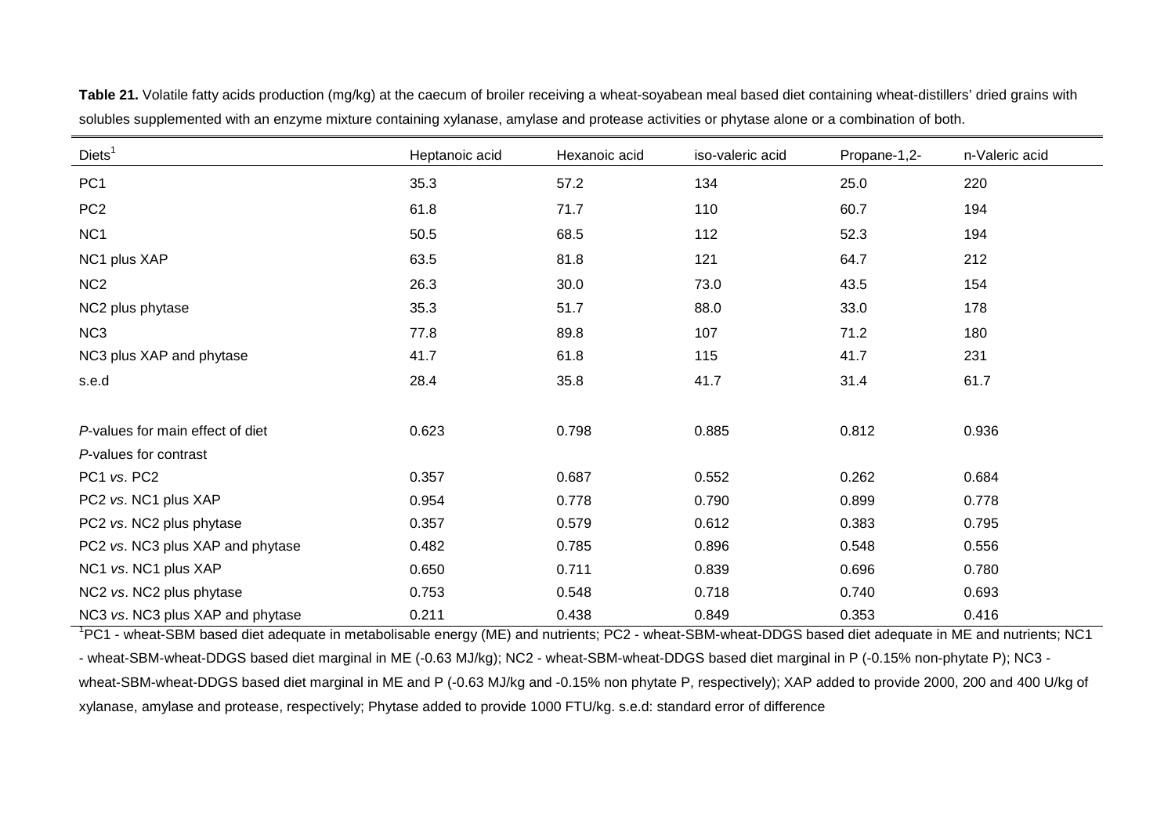| Diets <sup>1</sup>               | Heptanoic acid | Hexanoic acid | iso-valeric acid | Propane-1,2- | n-Valeric acid |
|----------------------------------|----------------|---------------|------------------|--------------|----------------|
| PC <sub>1</sub>                  | 35.3           | 57.2          | 134              | 25.0         | 220            |
| PC <sub>2</sub>                  | 61.8           | 71.7          | 110              | 60.7         | 194            |
| NC <sub>1</sub>                  | 50.5           | 68.5          | 112              | 52.3         | 194            |
| NC1 plus XAP                     | 63.5           | 81.8          | 121              | 64.7         | 212            |
| NC <sub>2</sub>                  | 26.3           | 30.0          | 73.0             | 43.5         | 154            |
| NC2 plus phytase                 | 35.3           | 51.7          | 88.0             | 33.0         | 178            |
| NC <sub>3</sub>                  | 77.8           | 89.8          | 107              | 71.2         | 180            |
| NC3 plus XAP and phytase         | 41.7           | 61.8          | 115              | 41.7         | 231            |
| s.e.d                            | 28.4           | 35.8          | 41.7             | 31.4         | 61.7           |
| P-values for main effect of diet | 0.623          | 0.798         | 0.885            | 0.812        | 0.936          |
| P-values for contrast            |                |               |                  |              |                |
| PC1 vs. PC2                      | 0.357          | 0.687         | 0.552            | 0.262        | 0.684          |
| PC2 vs. NC1 plus XAP             | 0.954          | 0.778         | 0.790            | 0.899        | 0.778          |
| PC2 vs. NC2 plus phytase         | 0.357          | 0.579         | 0.612            | 0.383        | 0.795          |
| PC2 vs. NC3 plus XAP and phytase | 0.482          | 0.785         | 0.896            | 0.548        | 0.556          |
| NC1 vs. NC1 plus XAP             | 0.650          | 0.711         | 0.839            | 0.696        | 0.780          |
| NC2 vs. NC2 plus phytase         | 0.753          | 0.548         | 0.718            | 0.740        | 0.693          |
| NC3 vs. NC3 plus XAP and phytase | 0.211          | 0.438         | 0.849            | 0.353        | 0.416          |

**Table 21.** Volatile fatty acids production (mg/kg) at the caecum of broiler receiving a wheat-soyabean meal based diet containing wheat-distillers' dried grains with solubles supplemented with an enzyme mixture containing xylanase, amylase and protease activities or phytase alone or a combination of both.

<sup>1</sup>PC1 - wheat-SBM based diet adequate in metabolisable energy (ME) and nutrients; PC2 - wheat-SBM-wheat-DDGS based diet adequate in ME and nutrients; NC1 - wheat-SBM-wheat-DDGS based diet marginal in ME (-0.63 MJ/kg); NC2 - wheat-SBM-wheat-DDGS based diet marginal in P (-0.15% non-phytate P); NC3 wheat-SBM-wheat-DDGS based diet marginal in ME and P (-0.63 MJ/kg and -0.15% non phytate P, respectively); XAP added to provide 2000, 200 and 400 U/kg of xylanase, amylase and protease, respectively; Phytase added to provide 1000 FTU/kg. s.e.d: standard error of difference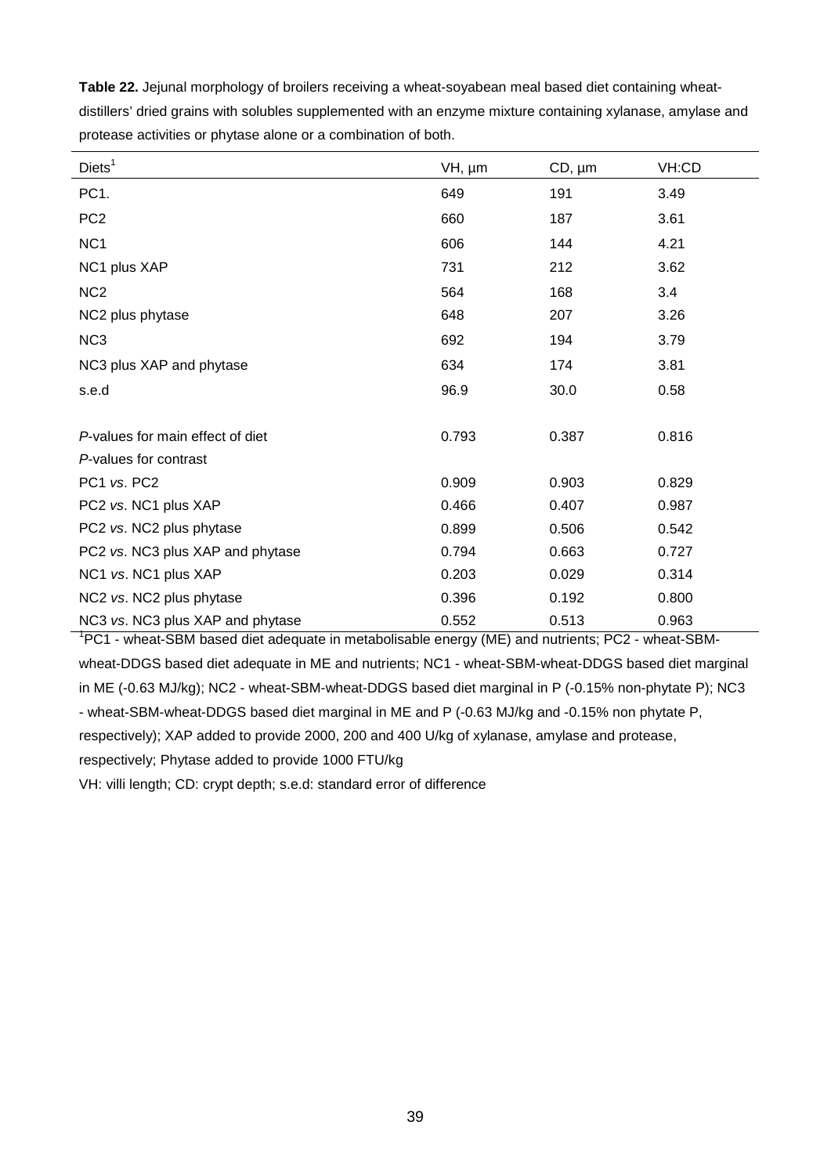**Table 22.** Jejunal morphology of broilers receiving a wheat-soyabean meal based diet containing wheatdistillers' dried grains with solubles supplemented with an enzyme mixture containing xylanase, amylase and protease activities or phytase alone or a combination of both.

| Diets <sup>1</sup>               | VH, µm | $CD, \mu m$ | VH:CD |
|----------------------------------|--------|-------------|-------|
| PC1.                             | 649    | 191         | 3.49  |
| PC <sub>2</sub>                  | 660    | 187         | 3.61  |
| NC <sub>1</sub>                  | 606    | 144         | 4.21  |
| NC1 plus XAP                     | 731    | 212         | 3.62  |
| NC <sub>2</sub>                  | 564    | 168         | 3.4   |
| NC2 plus phytase                 | 648    | 207         | 3.26  |
| NC <sub>3</sub>                  | 692    | 194         | 3.79  |
| NC3 plus XAP and phytase         | 634    | 174         | 3.81  |
| s.e.d                            | 96.9   | 30.0        | 0.58  |
|                                  |        |             |       |
| P-values for main effect of diet | 0.793  | 0.387       | 0.816 |
| P-values for contrast            |        |             |       |
| PC1 vs. PC2                      | 0.909  | 0.903       | 0.829 |
| PC2 vs. NC1 plus XAP             | 0.466  | 0.407       | 0.987 |
| PC2 vs. NC2 plus phytase         | 0.899  | 0.506       | 0.542 |
| PC2 vs. NC3 plus XAP and phytase | 0.794  | 0.663       | 0.727 |
| NC1 vs. NC1 plus XAP             | 0.203  | 0.029       | 0.314 |
| NC2 vs. NC2 plus phytase         | 0.396  | 0.192       | 0.800 |
| NC3 vs. NC3 plus XAP and phytase | 0.552  | 0.513       | 0.963 |

<sup>1</sup>PC1 - wheat-SBM based diet adequate in metabolisable energy (ME) and nutrients; PC2 - wheat-SBMwheat-DDGS based diet adequate in ME and nutrients; NC1 - wheat-SBM-wheat-DDGS based diet marginal in ME (-0.63 MJ/kg); NC2 - wheat-SBM-wheat-DDGS based diet marginal in P (-0.15% non-phytate P); NC3 - wheat-SBM-wheat-DDGS based diet marginal in ME and P (-0.63 MJ/kg and -0.15% non phytate P, respectively); XAP added to provide 2000, 200 and 400 U/kg of xylanase, amylase and protease,

respectively; Phytase added to provide 1000 FTU/kg

VH: villi length; CD: crypt depth; s.e.d: standard error of difference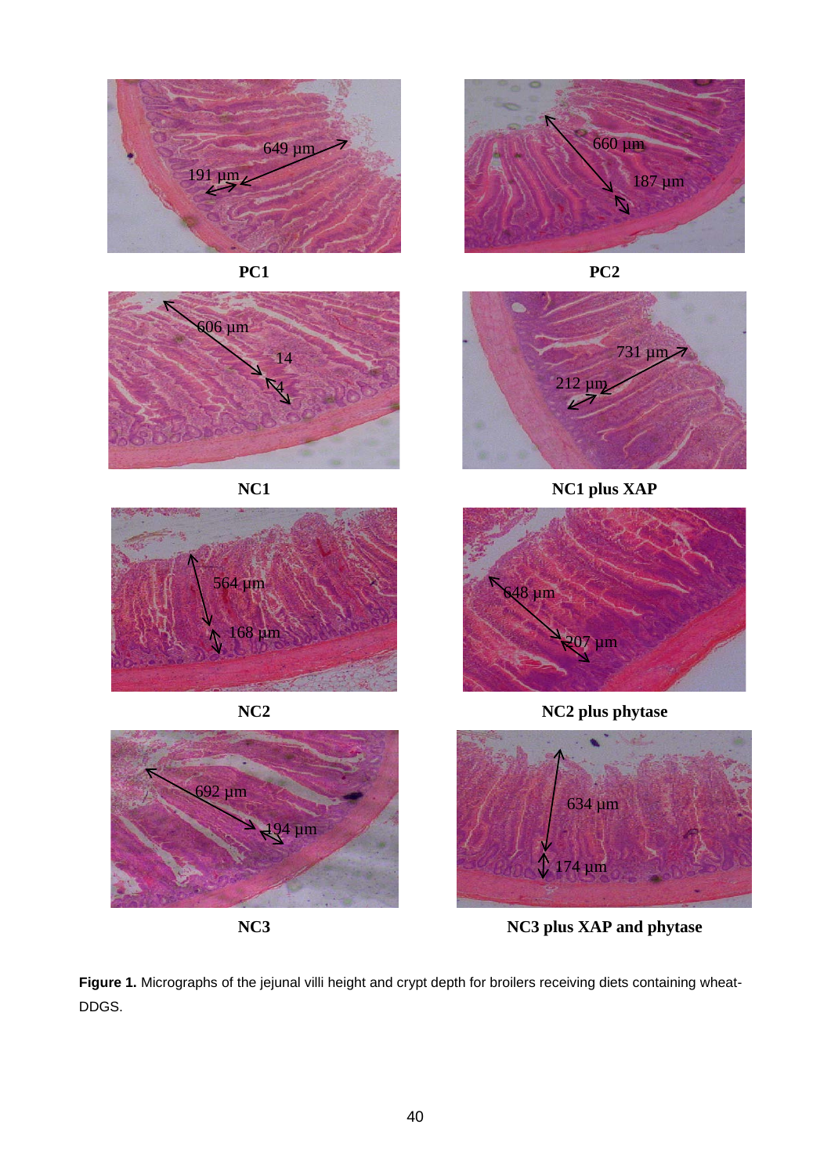



















**NC1 NC1 plus XAP**



**NC2 NC2 plus phytase**



**NC3 NC3 plus XAP and phytase**

Figure 1. Micrographs of the jejunal villi height and crypt depth for broilers receiving diets containing wheat-DDGS.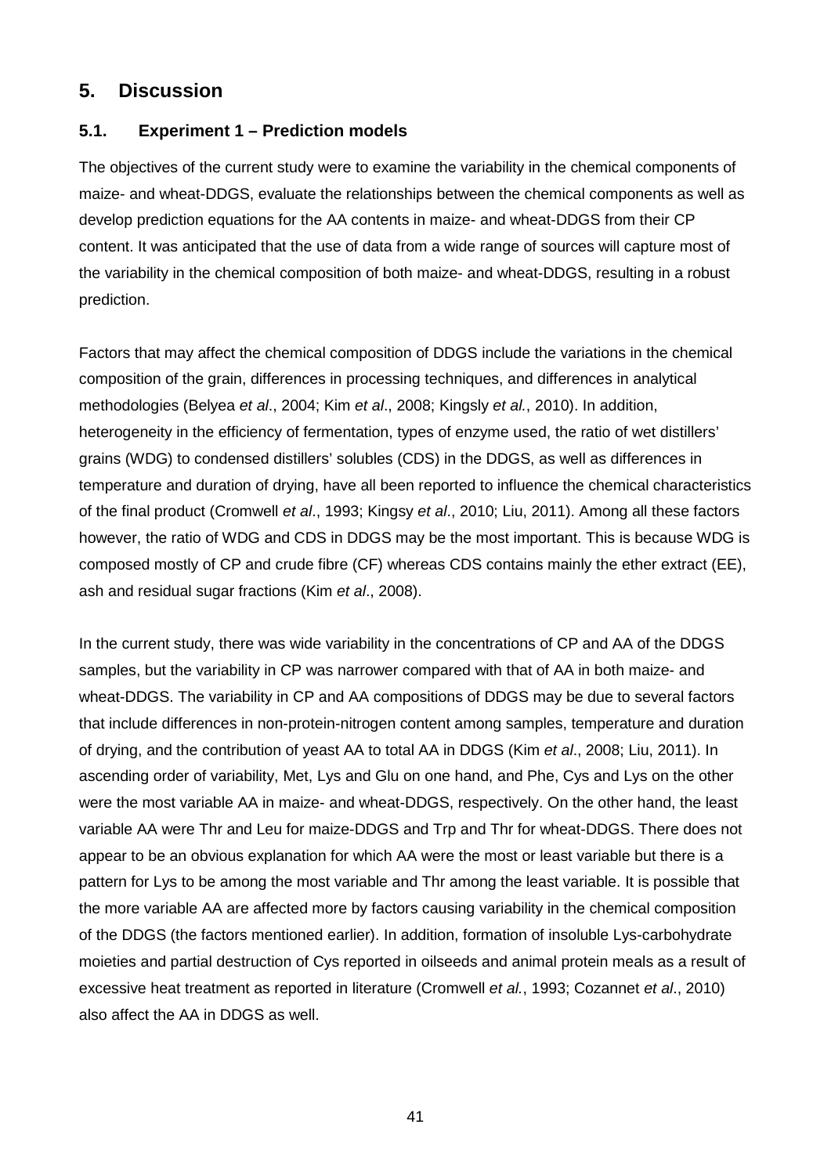# **5. Discussion**

### **5.1. Experiment 1 – Prediction models**

The objectives of the current study were to examine the variability in the chemical components of maize- and wheat-DDGS, evaluate the relationships between the chemical components as well as develop prediction equations for the AA contents in maize- and wheat-DDGS from their CP content. It was anticipated that the use of data from a wide range of sources will capture most of the variability in the chemical composition of both maize- and wheat-DDGS, resulting in a robust prediction.

Factors that may affect the chemical composition of DDGS include the variations in the chemical composition of the grain, differences in processing techniques, and differences in analytical methodologies (Belyea *et al*., 2004; Kim *et al*., 2008; Kingsly *et al.*, 2010). In addition, heterogeneity in the efficiency of fermentation, types of enzyme used, the ratio of wet distillers' grains (WDG) to condensed distillers' solubles (CDS) in the DDGS, as well as differences in temperature and duration of drying, have all been reported to influence the chemical characteristics of the final product (Cromwell *et al*., 1993; Kingsy *et al*., 2010; Liu, 2011). Among all these factors however, the ratio of WDG and CDS in DDGS may be the most important. This is because WDG is composed mostly of CP and crude fibre (CF) whereas CDS contains mainly the ether extract (EE), ash and residual sugar fractions (Kim *et al*., 2008).

In the current study, there was wide variability in the concentrations of CP and AA of the DDGS samples, but the variability in CP was narrower compared with that of AA in both maize- and wheat-DDGS. The variability in CP and AA compositions of DDGS may be due to several factors that include differences in non-protein-nitrogen content among samples, temperature and duration of drying, and the contribution of yeast AA to total AA in DDGS (Kim *et al*., 2008; Liu, 2011). In ascending order of variability, Met, Lys and Glu on one hand, and Phe, Cys and Lys on the other were the most variable AA in maize- and wheat-DDGS, respectively. On the other hand, the least variable AA were Thr and Leu for maize-DDGS and Trp and Thr for wheat-DDGS. There does not appear to be an obvious explanation for which AA were the most or least variable but there is a pattern for Lys to be among the most variable and Thr among the least variable. It is possible that the more variable AA are affected more by factors causing variability in the chemical composition of the DDGS (the factors mentioned earlier). In addition, formation of insoluble Lys-carbohydrate moieties and partial destruction of Cys reported in oilseeds and animal protein meals as a result of excessive heat treatment as reported in literature (Cromwell *et al.*, 1993; Cozannet *et al*., 2010) also affect the AA in DDGS as well.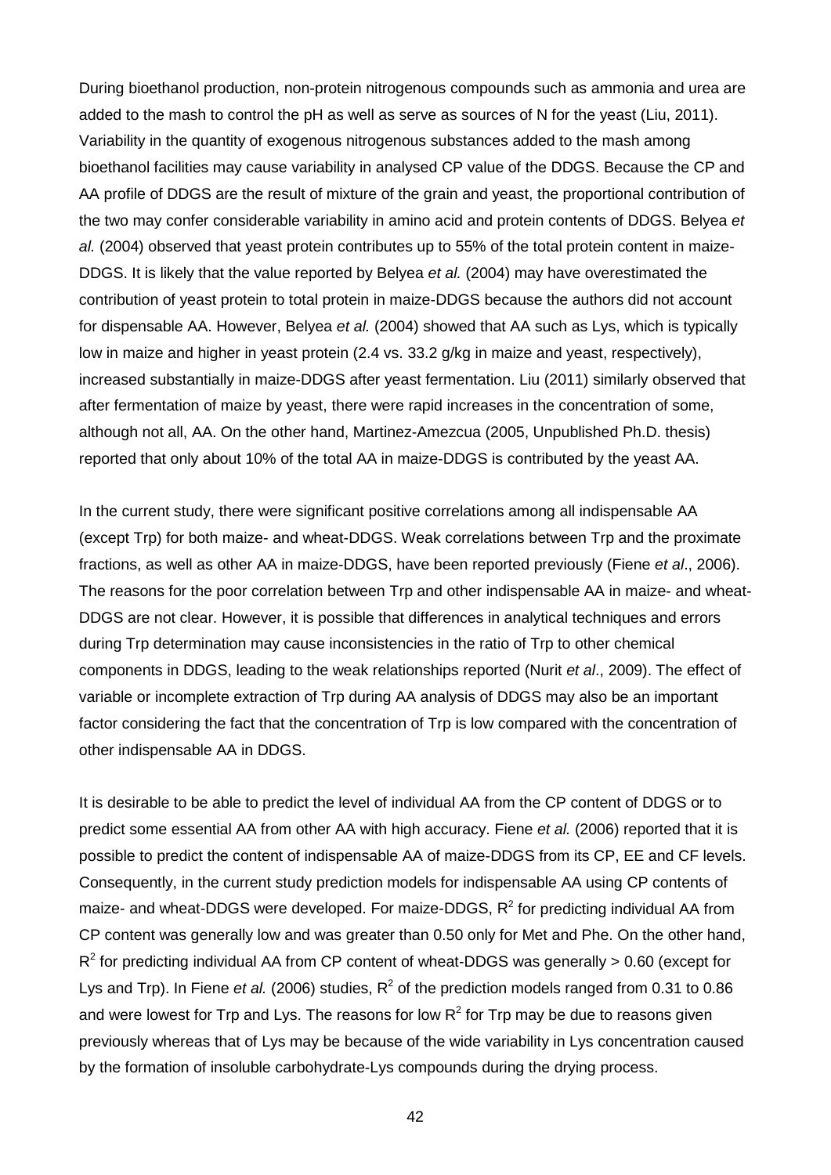During bioethanol production, non-protein nitrogenous compounds such as ammonia and urea are added to the mash to control the pH as well as serve as sources of N for the yeast (Liu, 2011). Variability in the quantity of exogenous nitrogenous substances added to the mash among bioethanol facilities may cause variability in analysed CP value of the DDGS. Because the CP and AA profile of DDGS are the result of mixture of the grain and yeast, the proportional contribution of the two may confer considerable variability in amino acid and protein contents of DDGS. Belyea *et al.* (2004) observed that yeast protein contributes up to 55% of the total protein content in maize-DDGS. It is likely that the value reported by Belyea *et al.* (2004) may have overestimated the contribution of yeast protein to total protein in maize-DDGS because the authors did not account for dispensable AA. However, Belyea *et al.* (2004) showed that AA such as Lys, which is typically low in maize and higher in yeast protein (2.4 vs. 33.2 g/kg in maize and yeast, respectively), increased substantially in maize-DDGS after yeast fermentation. Liu (2011) similarly observed that after fermentation of maize by yeast, there were rapid increases in the concentration of some, although not all, AA. On the other hand, Martinez-Amezcua (2005, Unpublished Ph.D. thesis) reported that only about 10% of the total AA in maize-DDGS is contributed by the yeast AA.

In the current study, there were significant positive correlations among all indispensable AA (except Trp) for both maize- and wheat-DDGS. Weak correlations between Trp and the proximate fractions, as well as other AA in maize-DDGS, have been reported previously (Fiene *et al*., 2006). The reasons for the poor correlation between Trp and other indispensable AA in maize- and wheat-DDGS are not clear. However, it is possible that differences in analytical techniques and errors during Trp determination may cause inconsistencies in the ratio of Trp to other chemical components in DDGS, leading to the weak relationships reported (Nurit *et al*., 2009). The effect of variable or incomplete extraction of Trp during AA analysis of DDGS may also be an important factor considering the fact that the concentration of Trp is low compared with the concentration of other indispensable AA in DDGS.

It is desirable to be able to predict the level of individual AA from the CP content of DDGS or to predict some essential AA from other AA with high accuracy. Fiene *et al.* (2006) reported that it is possible to predict the content of indispensable AA of maize-DDGS from its CP, EE and CF levels. Consequently, in the current study prediction models for indispensable AA using CP contents of maize- and wheat-DDGS were developed. For maize-DDGS,  $R^2$  for predicting individual AA from CP content was generally low and was greater than 0.50 only for Met and Phe. On the other hand,  $R^2$  for predicting individual AA from CP content of wheat-DDGS was generally  $> 0.60$  (except for Lys and Trp). In Fiene *et al.* (2006) studies,  $R^2$  of the prediction models ranged from 0.31 to 0.86 and were lowest for Trp and Lys. The reasons for low  $R^2$  for Trp may be due to reasons given previously whereas that of Lys may be because of the wide variability in Lys concentration caused by the formation of insoluble carbohydrate-Lys compounds during the drying process.

42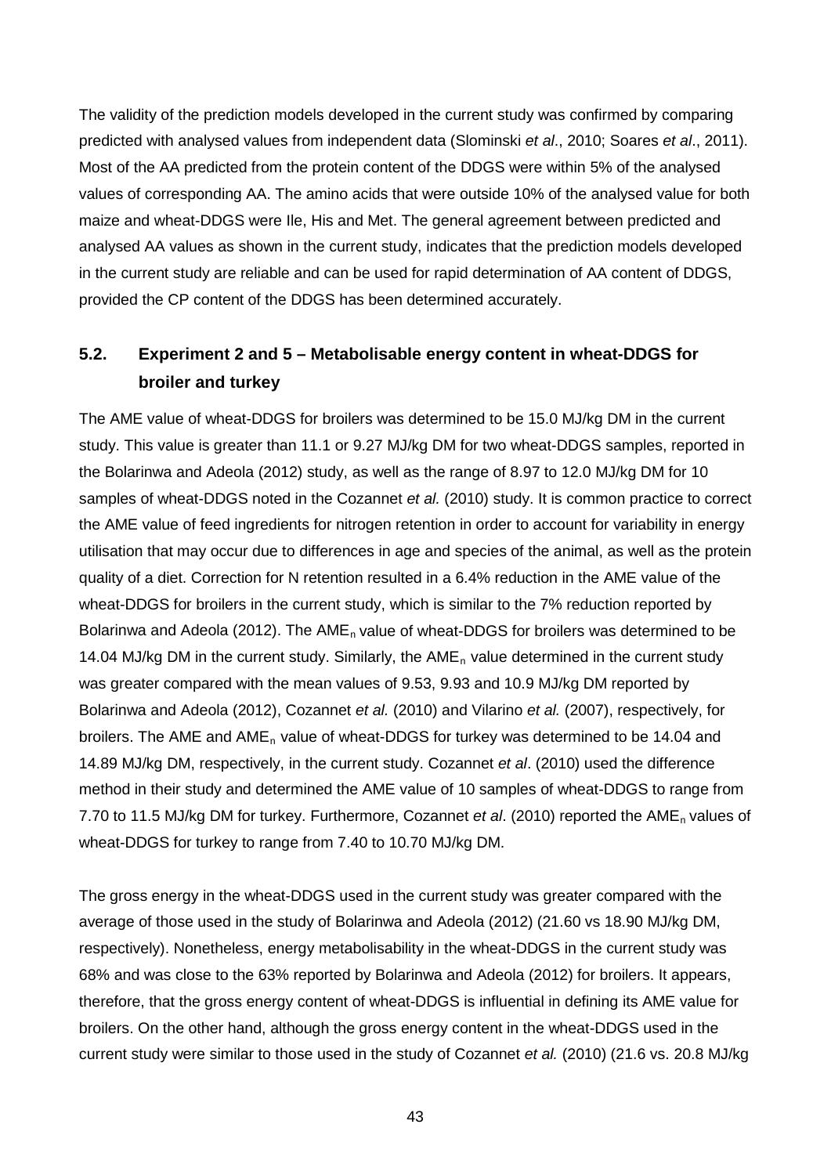The validity of the prediction models developed in the current study was confirmed by comparing predicted with analysed values from independent data (Slominski *et al*., 2010; Soares *et al*., 2011). Most of the AA predicted from the protein content of the DDGS were within 5% of the analysed values of corresponding AA. The amino acids that were outside 10% of the analysed value for both maize and wheat-DDGS were Ile, His and Met. The general agreement between predicted and analysed AA values as shown in the current study, indicates that the prediction models developed in the current study are reliable and can be used for rapid determination of AA content of DDGS, provided the CP content of the DDGS has been determined accurately.

# **5.2. Experiment 2 and 5 – Metabolisable energy content in wheat-DDGS for broiler and turkey**

The AME value of wheat-DDGS for broilers was determined to be 15.0 MJ/kg DM in the current study. This value is greater than 11.1 or 9.27 MJ/kg DM for two wheat-DDGS samples, reported in the Bolarinwa and Adeola (2012) study, as well as the range of 8.97 to 12.0 MJ/kg DM for 10 samples of wheat-DDGS noted in the Cozannet *et al.* (2010) study. It is common practice to correct the AME value of feed ingredients for nitrogen retention in order to account for variability in energy utilisation that may occur due to differences in age and species of the animal, as well as the protein quality of a diet. Correction for N retention resulted in a 6.4% reduction in the AME value of the wheat-DDGS for broilers in the current study, which is similar to the 7% reduction reported by Bolarinwa and Adeola (2012). The AME<sub>n</sub> value of wheat-DDGS for broilers was determined to be 14.04 MJ/kg DM in the current study. Similarly, the  $AME<sub>n</sub>$  value determined in the current study was greater compared with the mean values of 9.53, 9.93 and 10.9 MJ/kg DM reported by Bolarinwa and Adeola (2012), Cozannet *et al.* (2010) and Vilarino *et al.* (2007), respectively, for broilers. The AME and  $AME_n$  value of wheat-DDGS for turkey was determined to be 14.04 and 14.89 MJ/kg DM, respectively, in the current study. Cozannet *et al*. (2010) used the difference method in their study and determined the AME value of 10 samples of wheat-DDGS to range from 7.70 to 11.5 MJ/kg DM for turkey. Furthermore, Cozannet *et al.* (2010) reported the AME<sub>n</sub> values of wheat-DDGS for turkey to range from 7.40 to 10.70 MJ/kg DM.

The gross energy in the wheat-DDGS used in the current study was greater compared with the average of those used in the study of Bolarinwa and Adeola (2012) (21.60 vs 18.90 MJ/kg DM, respectively). Nonetheless, energy metabolisability in the wheat-DDGS in the current study was 68% and was close to the 63% reported by Bolarinwa and Adeola (2012) for broilers. It appears, therefore, that the gross energy content of wheat-DDGS is influential in defining its AME value for broilers. On the other hand, although the gross energy content in the wheat-DDGS used in the current study were similar to those used in the study of Cozannet *et al.* (2010) (21.6 vs. 20.8 MJ/kg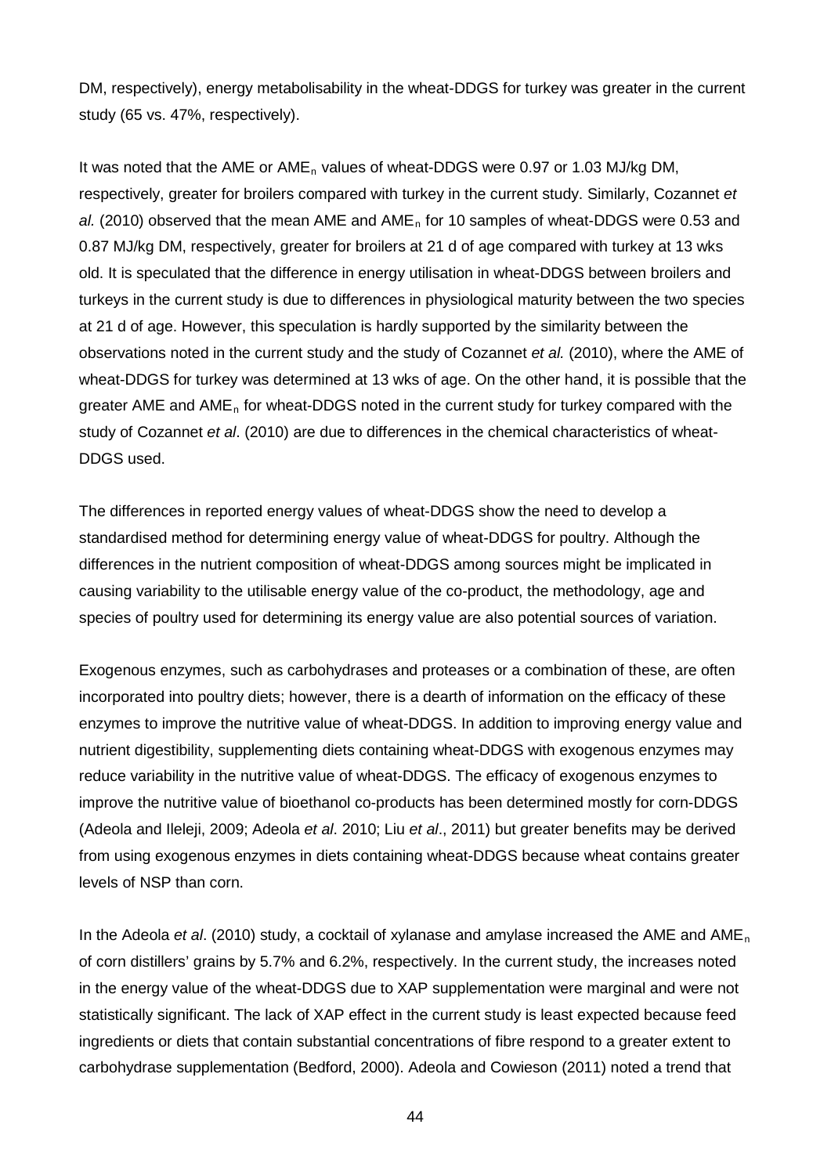DM, respectively), energy metabolisability in the wheat-DDGS for turkey was greater in the current study (65 vs. 47%, respectively).

It was noted that the AME or AME<sub>n</sub> values of wheat-DDGS were 0.97 or 1.03 MJ/kg DM, respectively, greater for broilers compared with turkey in the current study. Similarly, Cozannet *et*  al. (2010) observed that the mean AME and AME<sub>n</sub> for 10 samples of wheat-DDGS were 0.53 and 0.87 MJ/kg DM, respectively, greater for broilers at 21 d of age compared with turkey at 13 wks old. It is speculated that the difference in energy utilisation in wheat-DDGS between broilers and turkeys in the current study is due to differences in physiological maturity between the two species at 21 d of age. However, this speculation is hardly supported by the similarity between the observations noted in the current study and the study of Cozannet *et al.* (2010), where the AME of wheat-DDGS for turkey was determined at 13 wks of age. On the other hand, it is possible that the greater AME and  $AME<sub>n</sub>$  for wheat-DDGS noted in the current study for turkey compared with the study of Cozannet *et al*. (2010) are due to differences in the chemical characteristics of wheat-DDGS used.

The differences in reported energy values of wheat-DDGS show the need to develop a standardised method for determining energy value of wheat-DDGS for poultry. Although the differences in the nutrient composition of wheat-DDGS among sources might be implicated in causing variability to the utilisable energy value of the co-product, the methodology, age and species of poultry used for determining its energy value are also potential sources of variation.

Exogenous enzymes, such as carbohydrases and proteases or a combination of these, are often incorporated into poultry diets; however, there is a dearth of information on the efficacy of these enzymes to improve the nutritive value of wheat-DDGS. In addition to improving energy value and nutrient digestibility, supplementing diets containing wheat-DDGS with exogenous enzymes may reduce variability in the nutritive value of wheat-DDGS. The efficacy of exogenous enzymes to improve the nutritive value of bioethanol co-products has been determined mostly for corn-DDGS (Adeola and Ileleji, 2009; Adeola *et al*. 2010; Liu *et al*., 2011) but greater benefits may be derived from using exogenous enzymes in diets containing wheat-DDGS because wheat contains greater levels of NSP than corn.

In the Adeola *et al*. (2010) study, a cocktail of xylanase and amylase increased the AME and AMEn of corn distillers' grains by 5.7% and 6.2%, respectively. In the current study, the increases noted in the energy value of the wheat-DDGS due to XAP supplementation were marginal and were not statistically significant. The lack of XAP effect in the current study is least expected because feed ingredients or diets that contain substantial concentrations of fibre respond to a greater extent to carbohydrase supplementation (Bedford, 2000). Adeola and Cowieson (2011) noted a trend that

44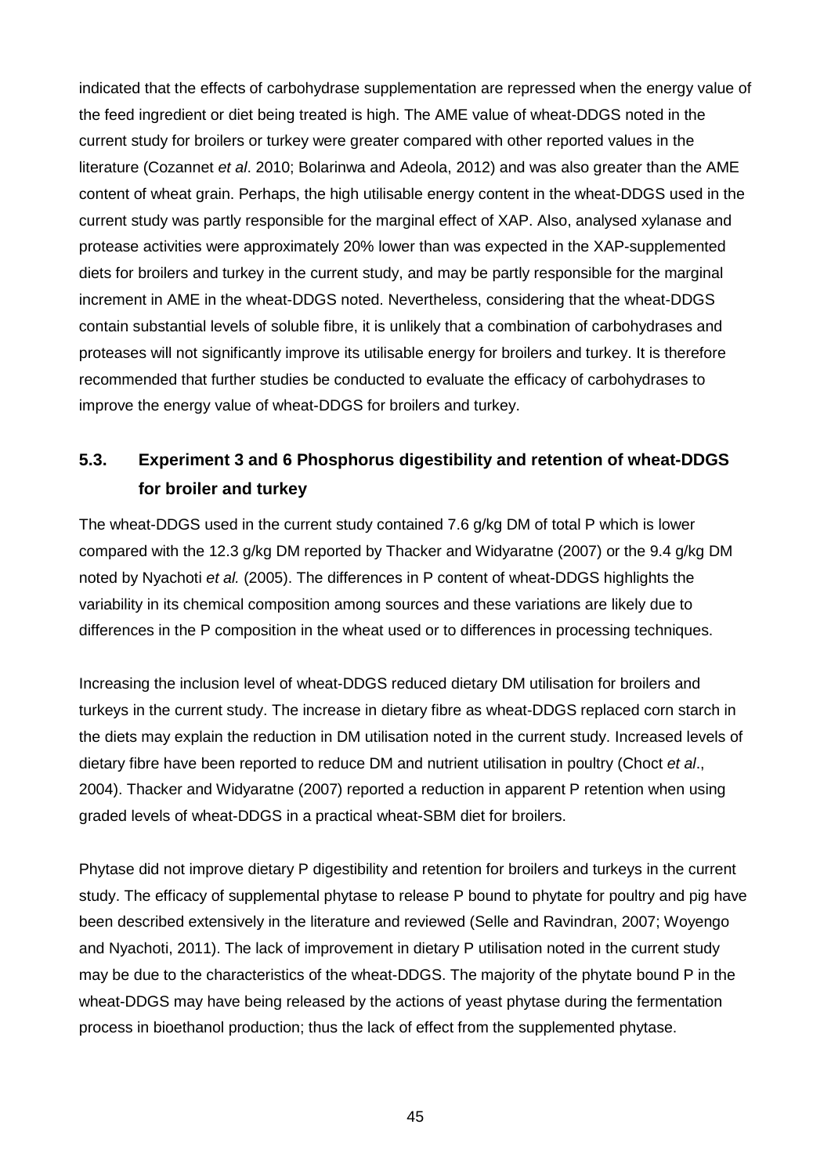indicated that the effects of carbohydrase supplementation are repressed when the energy value of the feed ingredient or diet being treated is high. The AME value of wheat-DDGS noted in the current study for broilers or turkey were greater compared with other reported values in the literature (Cozannet *et al*. 2010; Bolarinwa and Adeola, 2012) and was also greater than the AME content of wheat grain. Perhaps, the high utilisable energy content in the wheat-DDGS used in the current study was partly responsible for the marginal effect of XAP. Also, analysed xylanase and protease activities were approximately 20% lower than was expected in the XAP-supplemented diets for broilers and turkey in the current study, and may be partly responsible for the marginal increment in AME in the wheat-DDGS noted. Nevertheless, considering that the wheat-DDGS contain substantial levels of soluble fibre, it is unlikely that a combination of carbohydrases and proteases will not significantly improve its utilisable energy for broilers and turkey. It is therefore recommended that further studies be conducted to evaluate the efficacy of carbohydrases to improve the energy value of wheat-DDGS for broilers and turkey.

# **5.3. Experiment 3 and 6 Phosphorus digestibility and retention of wheat-DDGS for broiler and turkey**

The wheat-DDGS used in the current study contained 7.6 g/kg DM of total P which is lower compared with the 12.3 g/kg DM reported by Thacker and Widyaratne (2007) or the 9.4 g/kg DM noted by Nyachoti *et al.* (2005). The differences in P content of wheat-DDGS highlights the variability in its chemical composition among sources and these variations are likely due to differences in the P composition in the wheat used or to differences in processing techniques.

Increasing the inclusion level of wheat-DDGS reduced dietary DM utilisation for broilers and turkeys in the current study. The increase in dietary fibre as wheat-DDGS replaced corn starch in the diets may explain the reduction in DM utilisation noted in the current study. Increased levels of dietary fibre have been reported to reduce DM and nutrient utilisation in poultry (Choct *et al*., 2004). Thacker and Widyaratne (2007) reported a reduction in apparent P retention when using graded levels of wheat-DDGS in a practical wheat-SBM diet for broilers.

Phytase did not improve dietary P digestibility and retention for broilers and turkeys in the current study. The efficacy of supplemental phytase to release P bound to phytate for poultry and pig have been described extensively in the literature and reviewed (Selle and Ravindran, 2007; Woyengo and Nyachoti, 2011). The lack of improvement in dietary P utilisation noted in the current study may be due to the characteristics of the wheat-DDGS. The majority of the phytate bound P in the wheat-DDGS may have being released by the actions of yeast phytase during the fermentation process in bioethanol production; thus the lack of effect from the supplemented phytase.

45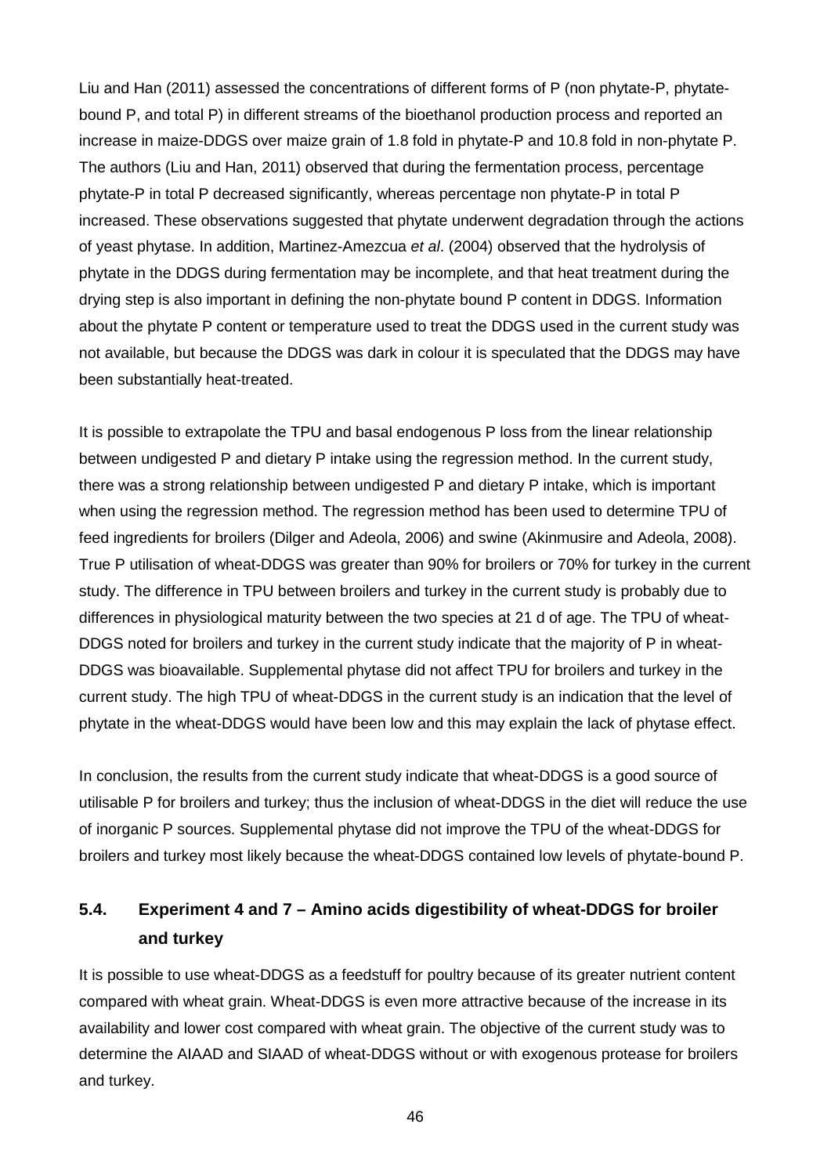Liu and Han (2011) assessed the concentrations of different forms of P (non phytate-P, phytatebound P, and total P) in different streams of the bioethanol production process and reported an increase in maize-DDGS over maize grain of 1.8 fold in phytate-P and 10.8 fold in non-phytate P. The authors (Liu and Han, 2011) observed that during the fermentation process, percentage phytate-P in total P decreased significantly, whereas percentage non phytate-P in total P increased. These observations suggested that phytate underwent degradation through the actions of yeast phytase. In addition, Martinez-Amezcua *et al*. (2004) observed that the hydrolysis of phytate in the DDGS during fermentation may be incomplete, and that heat treatment during the drying step is also important in defining the non-phytate bound P content in DDGS. Information about the phytate P content or temperature used to treat the DDGS used in the current study was not available, but because the DDGS was dark in colour it is speculated that the DDGS may have been substantially heat-treated.

It is possible to extrapolate the TPU and basal endogenous P loss from the linear relationship between undigested P and dietary P intake using the regression method. In the current study, there was a strong relationship between undigested P and dietary P intake, which is important when using the regression method. The regression method has been used to determine TPU of feed ingredients for broilers (Dilger and Adeola, 2006) and swine (Akinmusire and Adeola, 2008). True P utilisation of wheat-DDGS was greater than 90% for broilers or 70% for turkey in the current study. The difference in TPU between broilers and turkey in the current study is probably due to differences in physiological maturity between the two species at 21 d of age. The TPU of wheat-DDGS noted for broilers and turkey in the current study indicate that the majority of P in wheat-DDGS was bioavailable. Supplemental phytase did not affect TPU for broilers and turkey in the current study. The high TPU of wheat-DDGS in the current study is an indication that the level of phytate in the wheat-DDGS would have been low and this may explain the lack of phytase effect.

In conclusion, the results from the current study indicate that wheat-DDGS is a good source of utilisable P for broilers and turkey; thus the inclusion of wheat-DDGS in the diet will reduce the use of inorganic P sources. Supplemental phytase did not improve the TPU of the wheat-DDGS for broilers and turkey most likely because the wheat-DDGS contained low levels of phytate-bound P.

# **5.4. Experiment 4 and 7 – Amino acids digestibility of wheat-DDGS for broiler and turkey**

It is possible to use wheat-DDGS as a feedstuff for poultry because of its greater nutrient content compared with wheat grain. Wheat-DDGS is even more attractive because of the increase in its availability and lower cost compared with wheat grain. The objective of the current study was to determine the AIAAD and SIAAD of wheat-DDGS without or with exogenous protease for broilers and turkey.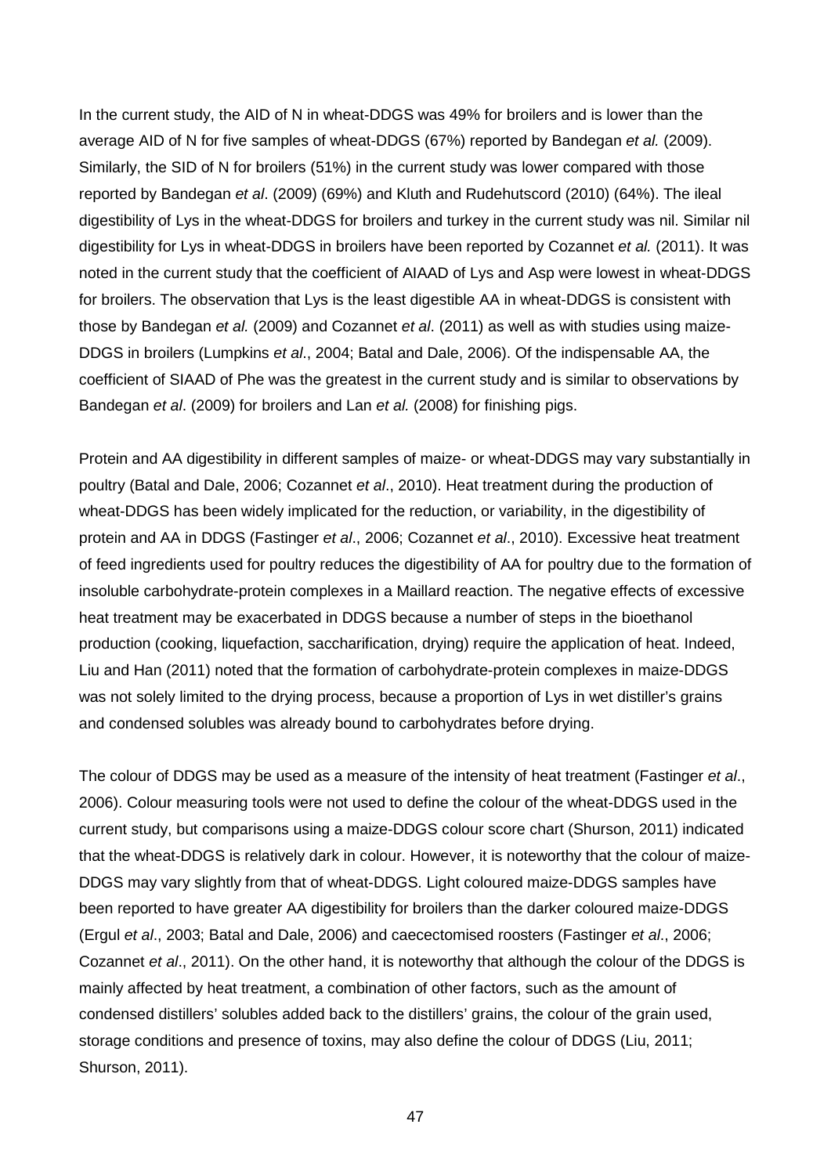In the current study, the AID of N in wheat-DDGS was 49% for broilers and is lower than the average AID of N for five samples of wheat-DDGS (67%) reported by Bandegan *et al.* (2009). Similarly, the SID of N for broilers (51%) in the current study was lower compared with those reported by Bandegan *et al*. (2009) (69%) and Kluth and Rudehutscord (2010) (64%). The ileal digestibility of Lys in the wheat-DDGS for broilers and turkey in the current study was nil. Similar nil digestibility for Lys in wheat-DDGS in broilers have been reported by Cozannet *et al.* (2011). It was noted in the current study that the coefficient of AIAAD of Lys and Asp were lowest in wheat-DDGS for broilers. The observation that Lys is the least digestible AA in wheat-DDGS is consistent with those by Bandegan *et al.* (2009) and Cozannet *et al*. (2011) as well as with studies using maize-DDGS in broilers (Lumpkins *et al*., 2004; Batal and Dale, 2006). Of the indispensable AA, the coefficient of SIAAD of Phe was the greatest in the current study and is similar to observations by Bandegan *et al*. (2009) for broilers and Lan *et al.* (2008) for finishing pigs.

Protein and AA digestibility in different samples of maize- or wheat-DDGS may vary substantially in poultry (Batal and Dale, 2006; Cozannet *et al*., 2010). Heat treatment during the production of wheat-DDGS has been widely implicated for the reduction, or variability, in the digestibility of protein and AA in DDGS (Fastinger *et al*., 2006; Cozannet *et al*., 2010). Excessive heat treatment of feed ingredients used for poultry reduces the digestibility of AA for poultry due to the formation of insoluble carbohydrate-protein complexes in a Maillard reaction. The negative effects of excessive heat treatment may be exacerbated in DDGS because a number of steps in the bioethanol production (cooking, liquefaction, saccharification, drying) require the application of heat. Indeed, Liu and Han (2011) noted that the formation of carbohydrate-protein complexes in maize-DDGS was not solely limited to the drying process, because a proportion of Lys in wet distiller's grains and condensed solubles was already bound to carbohydrates before drying.

The colour of DDGS may be used as a measure of the intensity of heat treatment (Fastinger *et al*., 2006). Colour measuring tools were not used to define the colour of the wheat-DDGS used in the current study, but comparisons using a maize-DDGS colour score chart (Shurson, 2011) indicated that the wheat-DDGS is relatively dark in colour. However, it is noteworthy that the colour of maize-DDGS may vary slightly from that of wheat-DDGS. Light coloured maize-DDGS samples have been reported to have greater AA digestibility for broilers than the darker coloured maize-DDGS (Ergul *et al*., 2003; Batal and Dale, 2006) and caecectomised roosters (Fastinger *et al*., 2006; Cozannet *et al*., 2011). On the other hand, it is noteworthy that although the colour of the DDGS is mainly affected by heat treatment, a combination of other factors, such as the amount of condensed distillers' solubles added back to the distillers' grains, the colour of the grain used, storage conditions and presence of toxins, may also define the colour of DDGS (Liu, 2011; Shurson, 2011).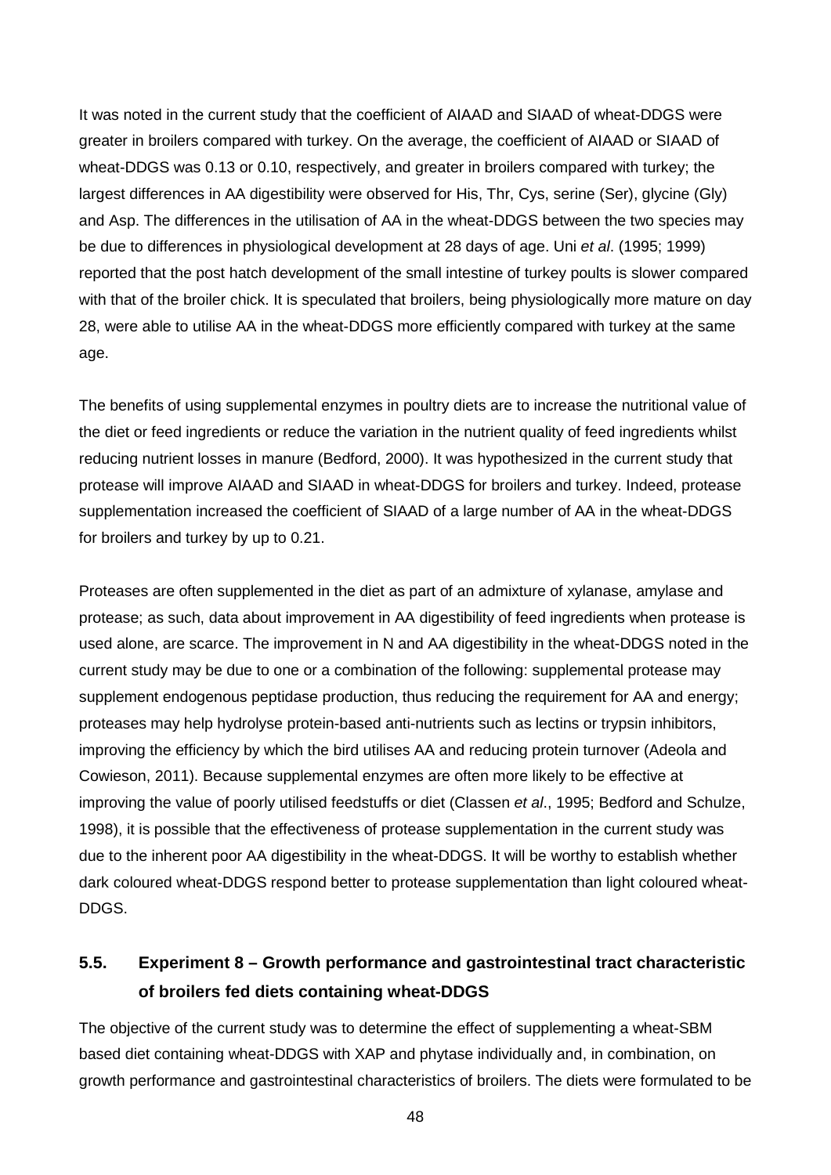It was noted in the current study that the coefficient of AIAAD and SIAAD of wheat-DDGS were greater in broilers compared with turkey. On the average, the coefficient of AIAAD or SIAAD of wheat-DDGS was 0.13 or 0.10, respectively, and greater in broilers compared with turkey; the largest differences in AA digestibility were observed for His, Thr, Cys, serine (Ser), glycine (Gly) and Asp. The differences in the utilisation of AA in the wheat-DDGS between the two species may be due to differences in physiological development at 28 days of age. Uni *et al*. (1995; 1999) reported that the post hatch development of the small intestine of turkey poults is slower compared with that of the broiler chick. It is speculated that broilers, being physiologically more mature on day 28, were able to utilise AA in the wheat-DDGS more efficiently compared with turkey at the same age.

The benefits of using supplemental enzymes in poultry diets are to increase the nutritional value of the diet or feed ingredients or reduce the variation in the nutrient quality of feed ingredients whilst reducing nutrient losses in manure (Bedford, 2000). It was hypothesized in the current study that protease will improve AIAAD and SIAAD in wheat-DDGS for broilers and turkey. Indeed, protease supplementation increased the coefficient of SIAAD of a large number of AA in the wheat-DDGS for broilers and turkey by up to 0.21.

Proteases are often supplemented in the diet as part of an admixture of xylanase, amylase and protease; as such, data about improvement in AA digestibility of feed ingredients when protease is used alone, are scarce. The improvement in N and AA digestibility in the wheat-DDGS noted in the current study may be due to one or a combination of the following: supplemental protease may supplement endogenous peptidase production, thus reducing the requirement for AA and energy; proteases may help hydrolyse protein-based anti-nutrients such as lectins or trypsin inhibitors, improving the efficiency by which the bird utilises AA and reducing protein turnover (Adeola and Cowieson, 2011). Because supplemental enzymes are often more likely to be effective at improving the value of poorly utilised feedstuffs or diet (Classen *et al*., 1995; Bedford and Schulze, 1998), it is possible that the effectiveness of protease supplementation in the current study was due to the inherent poor AA digestibility in the wheat-DDGS. It will be worthy to establish whether dark coloured wheat-DDGS respond better to protease supplementation than light coloured wheat-DDGS.

# **5.5. Experiment 8 – Growth performance and gastrointestinal tract characteristic of broilers fed diets containing wheat-DDGS**

The objective of the current study was to determine the effect of supplementing a wheat-SBM based diet containing wheat-DDGS with XAP and phytase individually and, in combination, on growth performance and gastrointestinal characteristics of broilers. The diets were formulated to be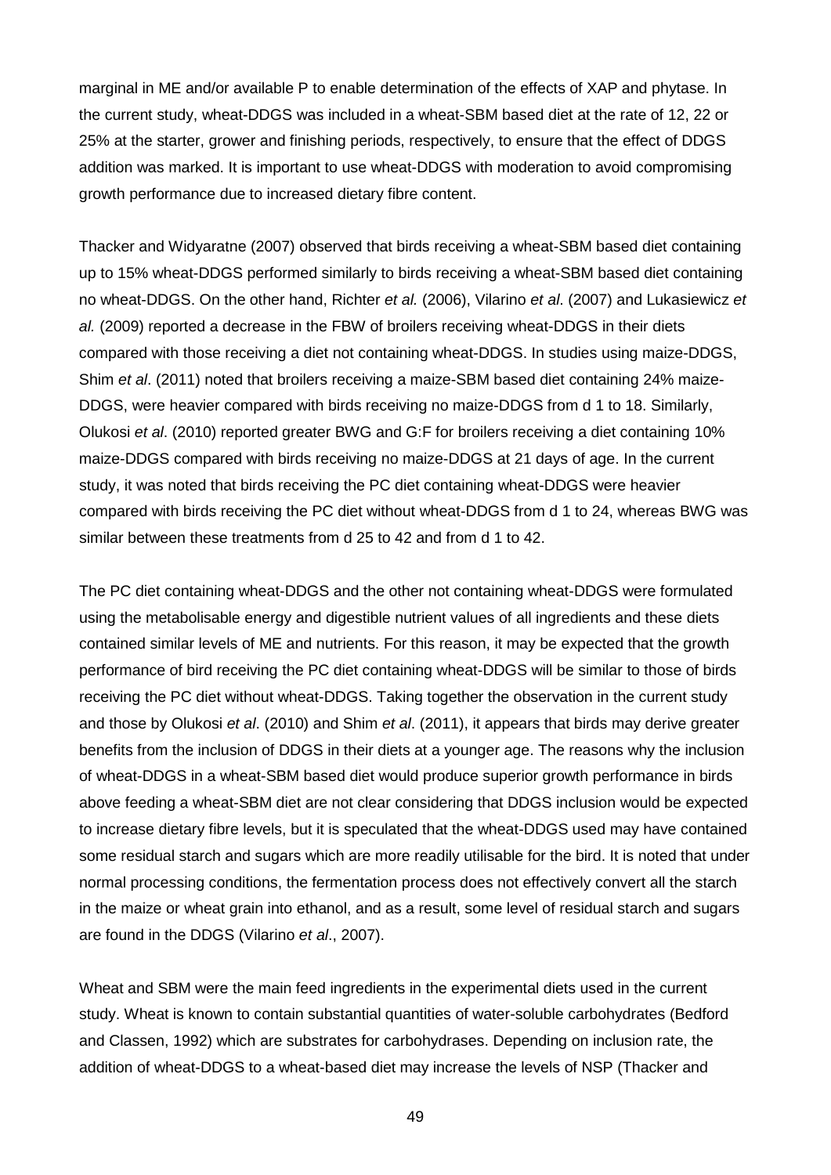marginal in ME and/or available P to enable determination of the effects of XAP and phytase. In the current study, wheat-DDGS was included in a wheat-SBM based diet at the rate of 12, 22 or 25% at the starter, grower and finishing periods, respectively, to ensure that the effect of DDGS addition was marked. It is important to use wheat-DDGS with moderation to avoid compromising growth performance due to increased dietary fibre content.

Thacker and Widyaratne (2007) observed that birds receiving a wheat-SBM based diet containing up to 15% wheat-DDGS performed similarly to birds receiving a wheat-SBM based diet containing no wheat-DDGS. On the other hand, Richter *et al.* (2006), Vilarino *et al*. (2007) and Lukasiewicz *et al.* (2009) reported a decrease in the FBW of broilers receiving wheat-DDGS in their diets compared with those receiving a diet not containing wheat-DDGS. In studies using maize-DDGS, Shim *et al*. (2011) noted that broilers receiving a maize-SBM based diet containing 24% maize-DDGS, were heavier compared with birds receiving no maize-DDGS from d 1 to 18. Similarly, Olukosi *et al*. (2010) reported greater BWG and G:F for broilers receiving a diet containing 10% maize-DDGS compared with birds receiving no maize-DDGS at 21 days of age. In the current study, it was noted that birds receiving the PC diet containing wheat-DDGS were heavier compared with birds receiving the PC diet without wheat-DDGS from d 1 to 24, whereas BWG was similar between these treatments from d 25 to 42 and from d 1 to 42.

The PC diet containing wheat-DDGS and the other not containing wheat-DDGS were formulated using the metabolisable energy and digestible nutrient values of all ingredients and these diets contained similar levels of ME and nutrients. For this reason, it may be expected that the growth performance of bird receiving the PC diet containing wheat-DDGS will be similar to those of birds receiving the PC diet without wheat-DDGS. Taking together the observation in the current study and those by Olukosi *et al*. (2010) and Shim *et al*. (2011), it appears that birds may derive greater benefits from the inclusion of DDGS in their diets at a younger age. The reasons why the inclusion of wheat-DDGS in a wheat-SBM based diet would produce superior growth performance in birds above feeding a wheat-SBM diet are not clear considering that DDGS inclusion would be expected to increase dietary fibre levels, but it is speculated that the wheat-DDGS used may have contained some residual starch and sugars which are more readily utilisable for the bird. It is noted that under normal processing conditions, the fermentation process does not effectively convert all the starch in the maize or wheat grain into ethanol, and as a result, some level of residual starch and sugars are found in the DDGS (Vilarino *et al*., 2007).

Wheat and SBM were the main feed ingredients in the experimental diets used in the current study. Wheat is known to contain substantial quantities of water-soluble carbohydrates (Bedford and Classen, 1992) which are substrates for carbohydrases. Depending on inclusion rate, the addition of wheat-DDGS to a wheat-based diet may increase the levels of NSP (Thacker and

49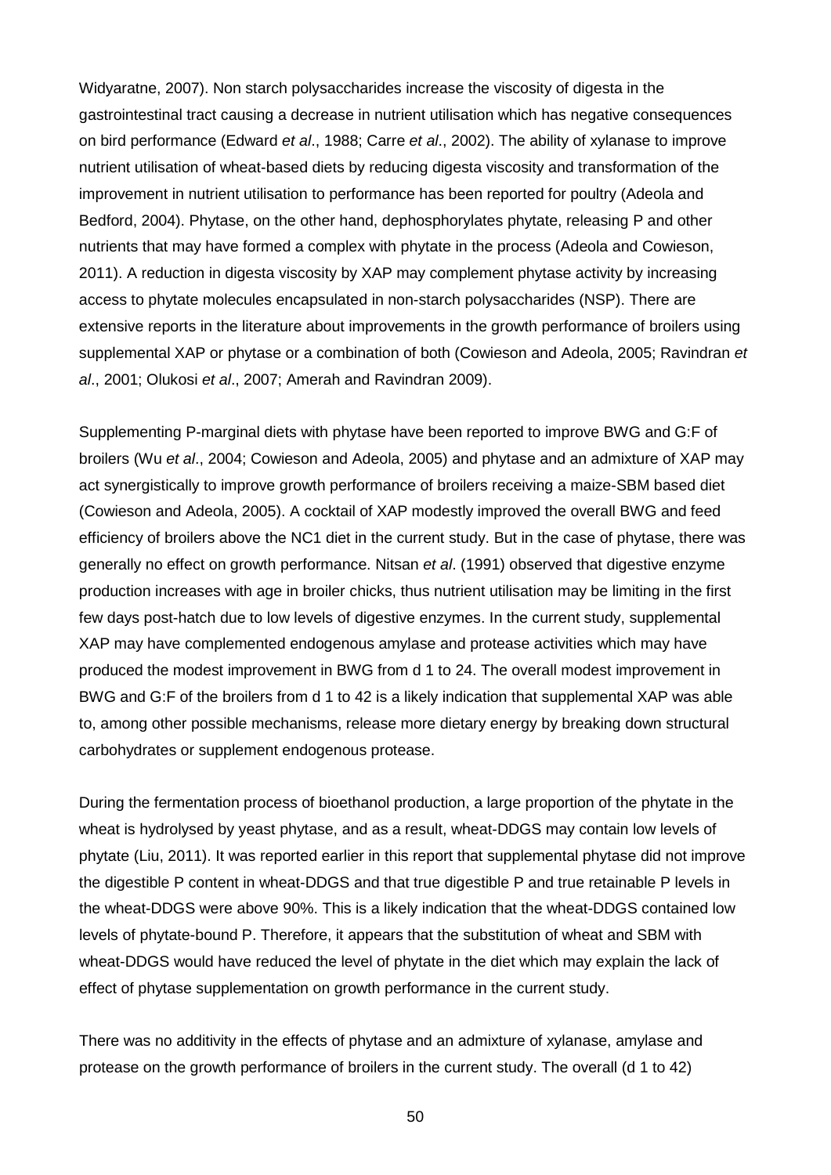Widyaratne, 2007). Non starch polysaccharides increase the viscosity of digesta in the gastrointestinal tract causing a decrease in nutrient utilisation which has negative consequences on bird performance (Edward *et al*., 1988; Carre *et al*., 2002). The ability of xylanase to improve nutrient utilisation of wheat-based diets by reducing digesta viscosity and transformation of the improvement in nutrient utilisation to performance has been reported for poultry (Adeola and Bedford, 2004). Phytase, on the other hand, dephosphorylates phytate, releasing P and other nutrients that may have formed a complex with phytate in the process (Adeola and Cowieson, 2011). A reduction in digesta viscosity by XAP may complement phytase activity by increasing access to phytate molecules encapsulated in non-starch polysaccharides (NSP). There are extensive reports in the literature about improvements in the growth performance of broilers using supplemental XAP or phytase or a combination of both (Cowieson and Adeola, 2005; Ravindran *et al*., 2001; Olukosi *et al*., 2007; Amerah and Ravindran 2009).

Supplementing P-marginal diets with phytase have been reported to improve BWG and G:F of broilers (Wu *et al*., 2004; Cowieson and Adeola, 2005) and phytase and an admixture of XAP may act synergistically to improve growth performance of broilers receiving a maize-SBM based diet (Cowieson and Adeola, 2005). A cocktail of XAP modestly improved the overall BWG and feed efficiency of broilers above the NC1 diet in the current study. But in the case of phytase, there was generally no effect on growth performance. Nitsan *et al*. (1991) observed that digestive enzyme production increases with age in broiler chicks, thus nutrient utilisation may be limiting in the first few days post-hatch due to low levels of digestive enzymes. In the current study, supplemental XAP may have complemented endogenous amylase and protease activities which may have produced the modest improvement in BWG from d 1 to 24. The overall modest improvement in BWG and G:F of the broilers from d 1 to 42 is a likely indication that supplemental XAP was able to, among other possible mechanisms, release more dietary energy by breaking down structural carbohydrates or supplement endogenous protease.

During the fermentation process of bioethanol production, a large proportion of the phytate in the wheat is hydrolysed by yeast phytase, and as a result, wheat-DDGS may contain low levels of phytate (Liu, 2011). It was reported earlier in this report that supplemental phytase did not improve the digestible P content in wheat-DDGS and that true digestible P and true retainable P levels in the wheat-DDGS were above 90%. This is a likely indication that the wheat-DDGS contained low levels of phytate-bound P. Therefore, it appears that the substitution of wheat and SBM with wheat-DDGS would have reduced the level of phytate in the diet which may explain the lack of effect of phytase supplementation on growth performance in the current study.

There was no additivity in the effects of phytase and an admixture of xylanase, amylase and protease on the growth performance of broilers in the current study. The overall (d 1 to 42)

50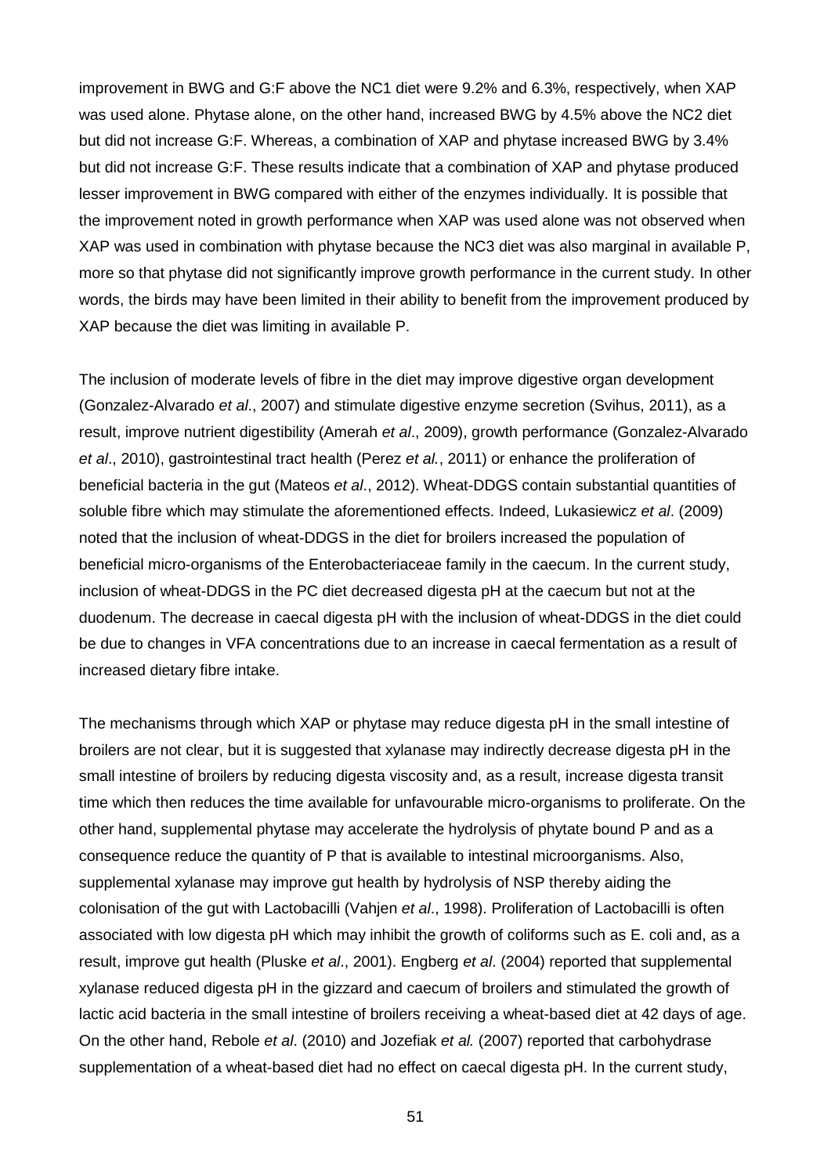improvement in BWG and G:F above the NC1 diet were 9.2% and 6.3%, respectively, when XAP was used alone. Phytase alone, on the other hand, increased BWG by 4.5% above the NC2 diet but did not increase G:F. Whereas, a combination of XAP and phytase increased BWG by 3.4% but did not increase G:F. These results indicate that a combination of XAP and phytase produced lesser improvement in BWG compared with either of the enzymes individually. It is possible that the improvement noted in growth performance when XAP was used alone was not observed when XAP was used in combination with phytase because the NC3 diet was also marginal in available P, more so that phytase did not significantly improve growth performance in the current study. In other words, the birds may have been limited in their ability to benefit from the improvement produced by XAP because the diet was limiting in available P.

The inclusion of moderate levels of fibre in the diet may improve digestive organ development (Gonzalez-Alvarado *et al*., 2007) and stimulate digestive enzyme secretion (Svihus, 2011), as a result, improve nutrient digestibility (Amerah *et al*., 2009), growth performance (Gonzalez-Alvarado *et al*., 2010), gastrointestinal tract health (Perez *et al.*, 2011) or enhance the proliferation of beneficial bacteria in the gut (Mateos *et al*., 2012). Wheat-DDGS contain substantial quantities of soluble fibre which may stimulate the aforementioned effects. Indeed, Lukasiewicz *et al*. (2009) noted that the inclusion of wheat-DDGS in the diet for broilers increased the population of beneficial micro-organisms of the Enterobacteriaceae family in the caecum. In the current study, inclusion of wheat-DDGS in the PC diet decreased digesta pH at the caecum but not at the duodenum. The decrease in caecal digesta pH with the inclusion of wheat-DDGS in the diet could be due to changes in VFA concentrations due to an increase in caecal fermentation as a result of increased dietary fibre intake.

The mechanisms through which XAP or phytase may reduce digesta pH in the small intestine of broilers are not clear, but it is suggested that xylanase may indirectly decrease digesta pH in the small intestine of broilers by reducing digesta viscosity and, as a result, increase digesta transit time which then reduces the time available for unfavourable micro-organisms to proliferate. On the other hand, supplemental phytase may accelerate the hydrolysis of phytate bound P and as a consequence reduce the quantity of P that is available to intestinal microorganisms. Also, supplemental xylanase may improve gut health by hydrolysis of NSP thereby aiding the colonisation of the gut with Lactobacilli (Vahjen *et al*., 1998). Proliferation of Lactobacilli is often associated with low digesta pH which may inhibit the growth of coliforms such as E. coli and, as a result, improve gut health (Pluske *et al*., 2001). Engberg *et al*. (2004) reported that supplemental xylanase reduced digesta pH in the gizzard and caecum of broilers and stimulated the growth of lactic acid bacteria in the small intestine of broilers receiving a wheat-based diet at 42 days of age. On the other hand, Rebole *et al*. (2010) and Jozefiak *et al.* (2007) reported that carbohydrase supplementation of a wheat-based diet had no effect on caecal digesta pH. In the current study,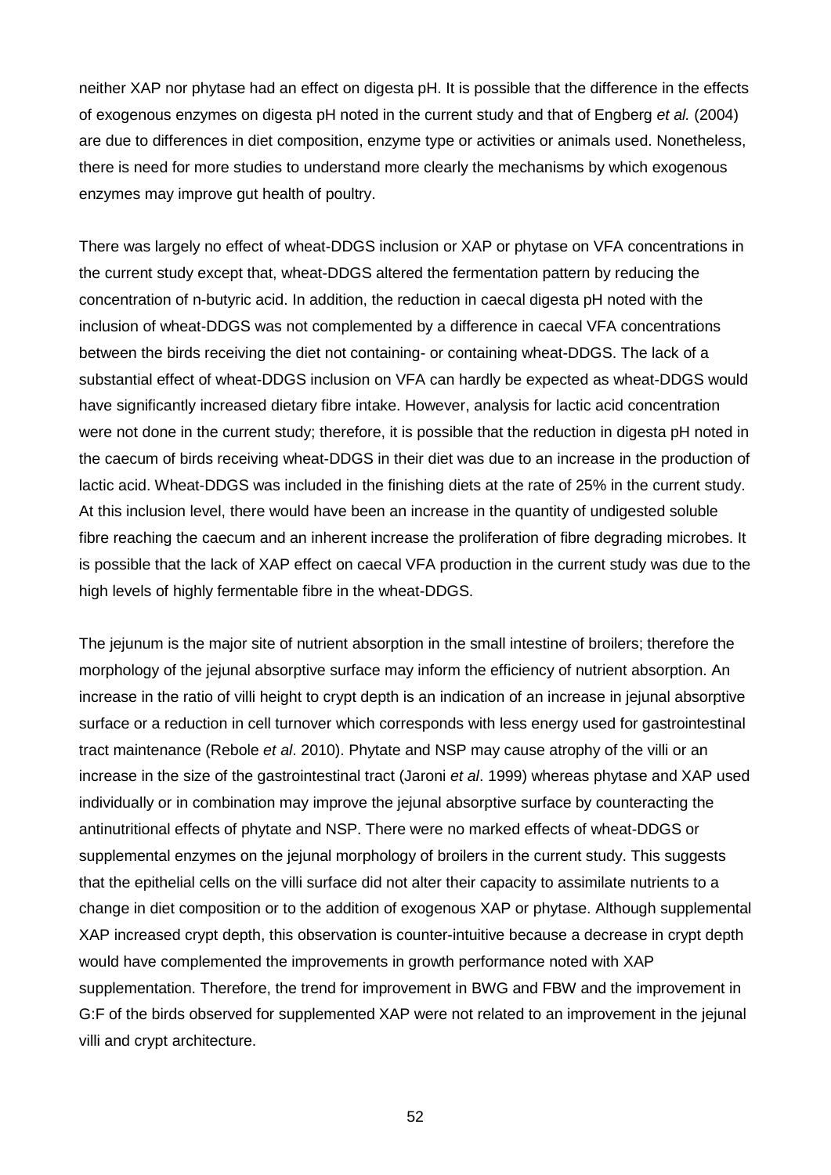neither XAP nor phytase had an effect on digesta pH. It is possible that the difference in the effects of exogenous enzymes on digesta pH noted in the current study and that of Engberg *et al.* (2004) are due to differences in diet composition, enzyme type or activities or animals used. Nonetheless, there is need for more studies to understand more clearly the mechanisms by which exogenous enzymes may improve gut health of poultry.

There was largely no effect of wheat-DDGS inclusion or XAP or phytase on VFA concentrations in the current study except that, wheat-DDGS altered the fermentation pattern by reducing the concentration of n-butyric acid. In addition, the reduction in caecal digesta pH noted with the inclusion of wheat-DDGS was not complemented by a difference in caecal VFA concentrations between the birds receiving the diet not containing- or containing wheat-DDGS. The lack of a substantial effect of wheat-DDGS inclusion on VFA can hardly be expected as wheat-DDGS would have significantly increased dietary fibre intake. However, analysis for lactic acid concentration were not done in the current study; therefore, it is possible that the reduction in digesta pH noted in the caecum of birds receiving wheat-DDGS in their diet was due to an increase in the production of lactic acid. Wheat-DDGS was included in the finishing diets at the rate of 25% in the current study. At this inclusion level, there would have been an increase in the quantity of undigested soluble fibre reaching the caecum and an inherent increase the proliferation of fibre degrading microbes. It is possible that the lack of XAP effect on caecal VFA production in the current study was due to the high levels of highly fermentable fibre in the wheat-DDGS.

The jejunum is the major site of nutrient absorption in the small intestine of broilers; therefore the morphology of the jejunal absorptive surface may inform the efficiency of nutrient absorption. An increase in the ratio of villi height to crypt depth is an indication of an increase in jejunal absorptive surface or a reduction in cell turnover which corresponds with less energy used for gastrointestinal tract maintenance (Rebole *et al*. 2010). Phytate and NSP may cause atrophy of the villi or an increase in the size of the gastrointestinal tract (Jaroni *et al*. 1999) whereas phytase and XAP used individually or in combination may improve the jejunal absorptive surface by counteracting the antinutritional effects of phytate and NSP. There were no marked effects of wheat-DDGS or supplemental enzymes on the jejunal morphology of broilers in the current study. This suggests that the epithelial cells on the villi surface did not alter their capacity to assimilate nutrients to a change in diet composition or to the addition of exogenous XAP or phytase. Although supplemental XAP increased crypt depth, this observation is counter-intuitive because a decrease in crypt depth would have complemented the improvements in growth performance noted with XAP supplementation. Therefore, the trend for improvement in BWG and FBW and the improvement in G:F of the birds observed for supplemented XAP were not related to an improvement in the jejunal villi and crypt architecture.

52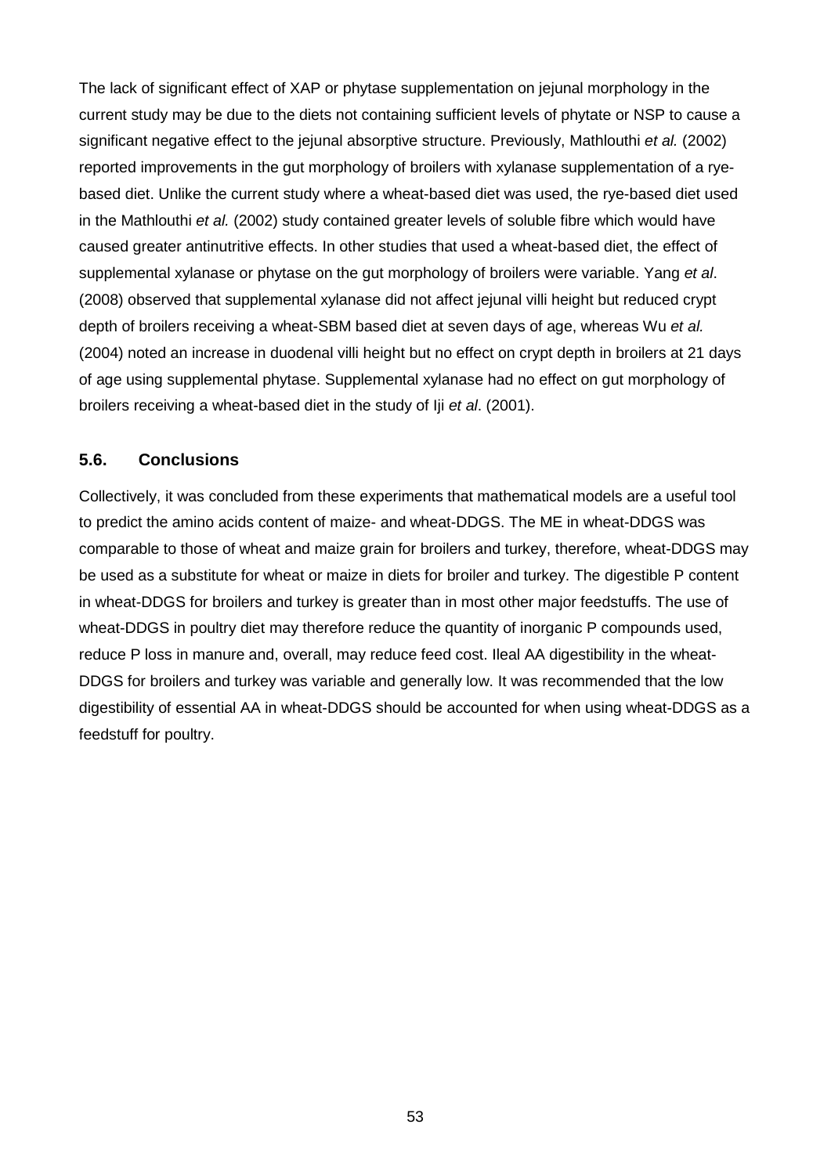The lack of significant effect of XAP or phytase supplementation on jejunal morphology in the current study may be due to the diets not containing sufficient levels of phytate or NSP to cause a significant negative effect to the jejunal absorptive structure. Previously, Mathlouthi *et al.* (2002) reported improvements in the gut morphology of broilers with xylanase supplementation of a ryebased diet. Unlike the current study where a wheat-based diet was used, the rye-based diet used in the Mathlouthi *et al.* (2002) study contained greater levels of soluble fibre which would have caused greater antinutritive effects. In other studies that used a wheat-based diet, the effect of supplemental xylanase or phytase on the gut morphology of broilers were variable. Yang *et al*. (2008) observed that supplemental xylanase did not affect jejunal villi height but reduced crypt depth of broilers receiving a wheat-SBM based diet at seven days of age, whereas Wu *et al.* (2004) noted an increase in duodenal villi height but no effect on crypt depth in broilers at 21 days of age using supplemental phytase. Supplemental xylanase had no effect on gut morphology of broilers receiving a wheat-based diet in the study of Iji *et al*. (2001).

### **5.6. Conclusions**

Collectively, it was concluded from these experiments that mathematical models are a useful tool to predict the amino acids content of maize- and wheat-DDGS. The ME in wheat-DDGS was comparable to those of wheat and maize grain for broilers and turkey, therefore, wheat-DDGS may be used as a substitute for wheat or maize in diets for broiler and turkey. The digestible P content in wheat-DDGS for broilers and turkey is greater than in most other major feedstuffs. The use of wheat-DDGS in poultry diet may therefore reduce the quantity of inorganic P compounds used, reduce P loss in manure and, overall, may reduce feed cost. Ileal AA digestibility in the wheat-DDGS for broilers and turkey was variable and generally low. It was recommended that the low digestibility of essential AA in wheat-DDGS should be accounted for when using wheat-DDGS as a feedstuff for poultry.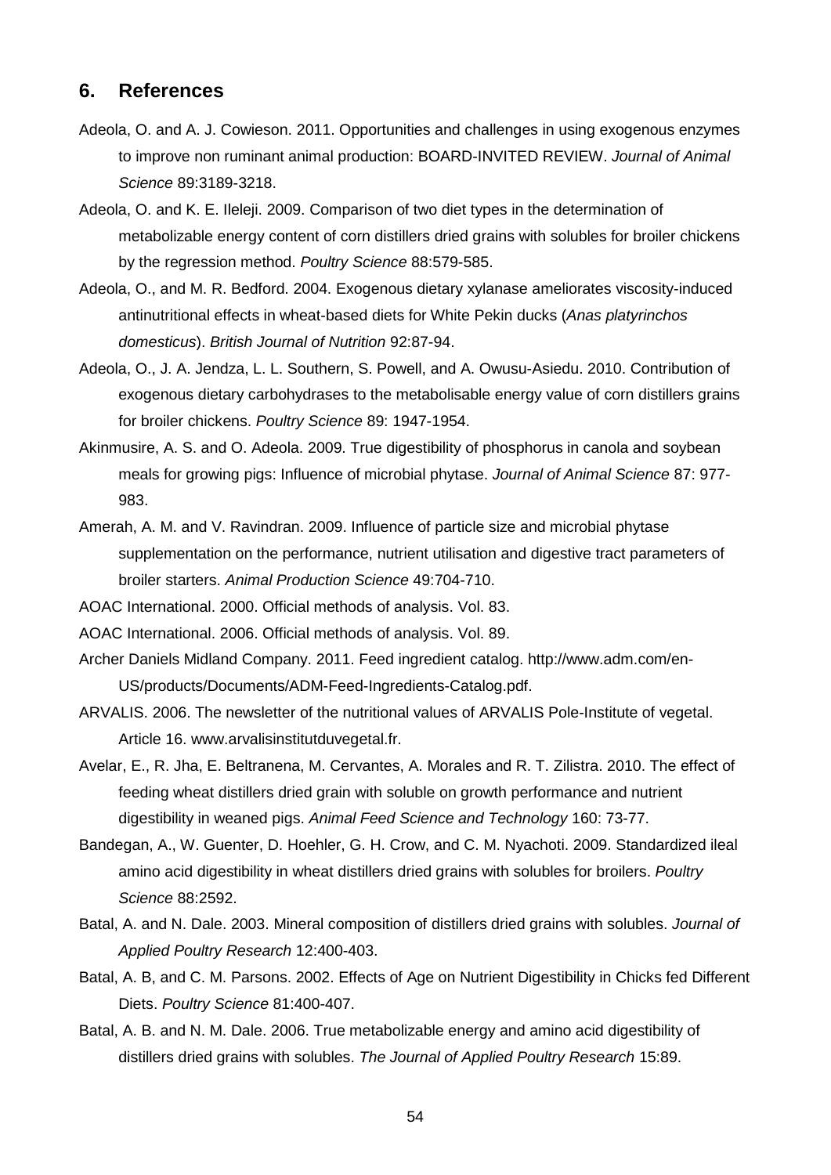### **6. References**

- Adeola, O. and A. J. Cowieson. 2011. Opportunities and challenges in using exogenous enzymes to improve non ruminant animal production: BOARD-INVITED REVIEW. *Journal of Animal Science* 89:3189-3218.
- Adeola, O. and K. E. Ileleji. 2009. Comparison of two diet types in the determination of metabolizable energy content of corn distillers dried grains with solubles for broiler chickens by the regression method. *Poultry Science* 88:579-585.
- Adeola, O., and M. R. Bedford. 2004. Exogenous dietary xylanase ameliorates viscosity-induced antinutritional effects in wheat-based diets for White Pekin ducks (*Anas platyrinchos domesticus*). *British Journal of Nutrition* 92:87-94.
- Adeola, O., J. A. Jendza, L. L. Southern, S. Powell, and A. Owusu-Asiedu. 2010. Contribution of exogenous dietary carbohydrases to the metabolisable energy value of corn distillers grains for broiler chickens. *Poultry Science* 89: 1947-1954.
- Akinmusire, A. S. and O. Adeola. 2009. True digestibility of phosphorus in canola and soybean meals for growing pigs: Influence of microbial phytase. *Journal of Animal Science* 87: 977- 983.
- Amerah, A. M. and V. Ravindran. 2009. Influence of particle size and microbial phytase supplementation on the performance, nutrient utilisation and digestive tract parameters of broiler starters. *Animal Production Science* 49:704-710.
- AOAC International. 2000. Official methods of analysis. Vol. 83.
- AOAC International. 2006. Official methods of analysis. Vol. 89.
- Archer Daniels Midland Company. 2011. Feed ingredient catalog. http://www.adm.com/en-US/products/Documents/ADM-Feed-Ingredients-Catalog.pdf.
- ARVALIS. 2006. The newsletter of the nutritional values of ARVALIS Pole-Institute of vegetal. Article 16. www.arvalisinstitutduvegetal.fr.
- Avelar, E., R. Jha, E. Beltranena, M. Cervantes, A. Morales and R. T. Zilistra. 2010. The effect of feeding wheat distillers dried grain with soluble on growth performance and nutrient digestibility in weaned pigs. *Animal Feed Science and Technology* 160: 73-77.
- Bandegan, A., W. Guenter, D. Hoehler, G. H. Crow, and C. M. Nyachoti. 2009. Standardized ileal amino acid digestibility in wheat distillers dried grains with solubles for broilers. *Poultry Science* 88:2592.
- Batal, A. and N. Dale. 2003. Mineral composition of distillers dried grains with solubles. *Journal of Applied Poultry Research* 12:400-403.
- Batal, A. B, and C. M. Parsons. 2002. Effects of Age on Nutrient Digestibility in Chicks fed Different Diets. *Poultry Science* 81:400-407.
- Batal, A. B. and N. M. Dale. 2006. True metabolizable energy and amino acid digestibility of distillers dried grains with solubles. *The Journal of Applied Poultry Research* 15:89.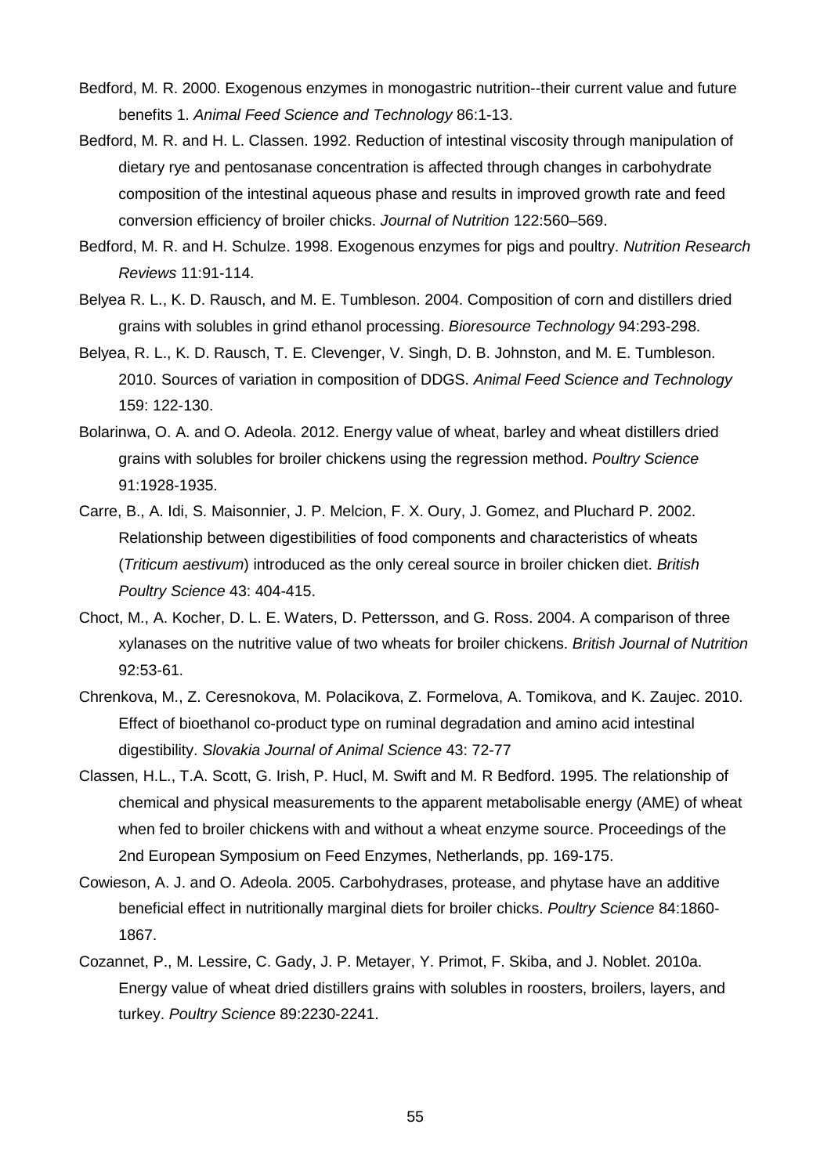- Bedford, M. R. 2000. Exogenous enzymes in monogastric nutrition--their current value and future benefits 1. *Animal Feed Science and Technology* 86:1-13.
- Bedford, M. R. and H. L. Classen. 1992. Reduction of intestinal viscosity through manipulation of dietary rye and pentosanase concentration is affected through changes in carbohydrate composition of the intestinal aqueous phase and results in improved growth rate and feed conversion efficiency of broiler chicks. *Journal of Nutrition* 122:560–569.
- Bedford, M. R. and H. Schulze. 1998. Exogenous enzymes for pigs and poultry. *Nutrition Research Reviews* 11:91-114.
- Belyea R. L., K. D. Rausch, and M. E. Tumbleson. 2004. Composition of corn and distillers dried grains with solubles in grind ethanol processing. *Bioresource Technology* 94:293-298.
- Belyea, R. L., K. D. Rausch, T. E. Clevenger, V. Singh, D. B. Johnston, and M. E. Tumbleson. 2010. Sources of variation in composition of DDGS. *Animal Feed Science and Technology* 159: 122-130.
- Bolarinwa, O. A. and O. Adeola. 2012. Energy value of wheat, barley and wheat distillers dried grains with solubles for broiler chickens using the regression method. *Poultry Science* 91:1928-1935.
- Carre, B., A. Idi, S. Maisonnier, J. P. Melcion, F. X. Oury, J. Gomez, and Pluchard P. 2002. Relationship between digestibilities of food components and characteristics of wheats (*Triticum aestivum*) introduced as the only cereal source in broiler chicken diet. *British Poultry Science* 43: 404-415.
- Choct, M., A. Kocher, D. L. E. Waters, D. Pettersson, and G. Ross. 2004. A comparison of three xylanases on the nutritive value of two wheats for broiler chickens. *British Journal of Nutrition*  92:53-61.
- Chrenkova, M., Z. Ceresnokova, M. Polacikova, Z. Formelova, A. Tomikova, and K. Zaujec. 2010. Effect of bioethanol co-product type on ruminal degradation and amino acid intestinal digestibility. *Slovakia Journal of Animal Science* 43: 72-77
- Classen, H.L., T.A. Scott, G. Irish, P. Hucl, M. Swift and M. R Bedford. 1995. The relationship of chemical and physical measurements to the apparent metabolisable energy (AME) of wheat when fed to broiler chickens with and without a wheat enzyme source. Proceedings of the 2nd European Symposium on Feed Enzymes, Netherlands, pp. 169-175.
- Cowieson, A. J. and O. Adeola. 2005. Carbohydrases, protease, and phytase have an additive beneficial effect in nutritionally marginal diets for broiler chicks. *Poultry Science* 84:1860- 1867.
- Cozannet, P., M. Lessire, C. Gady, J. P. Metayer, Y. Primot, F. Skiba, and J. Noblet. 2010a. Energy value of wheat dried distillers grains with solubles in roosters, broilers, layers, and turkey. *Poultry Science* 89:2230-2241.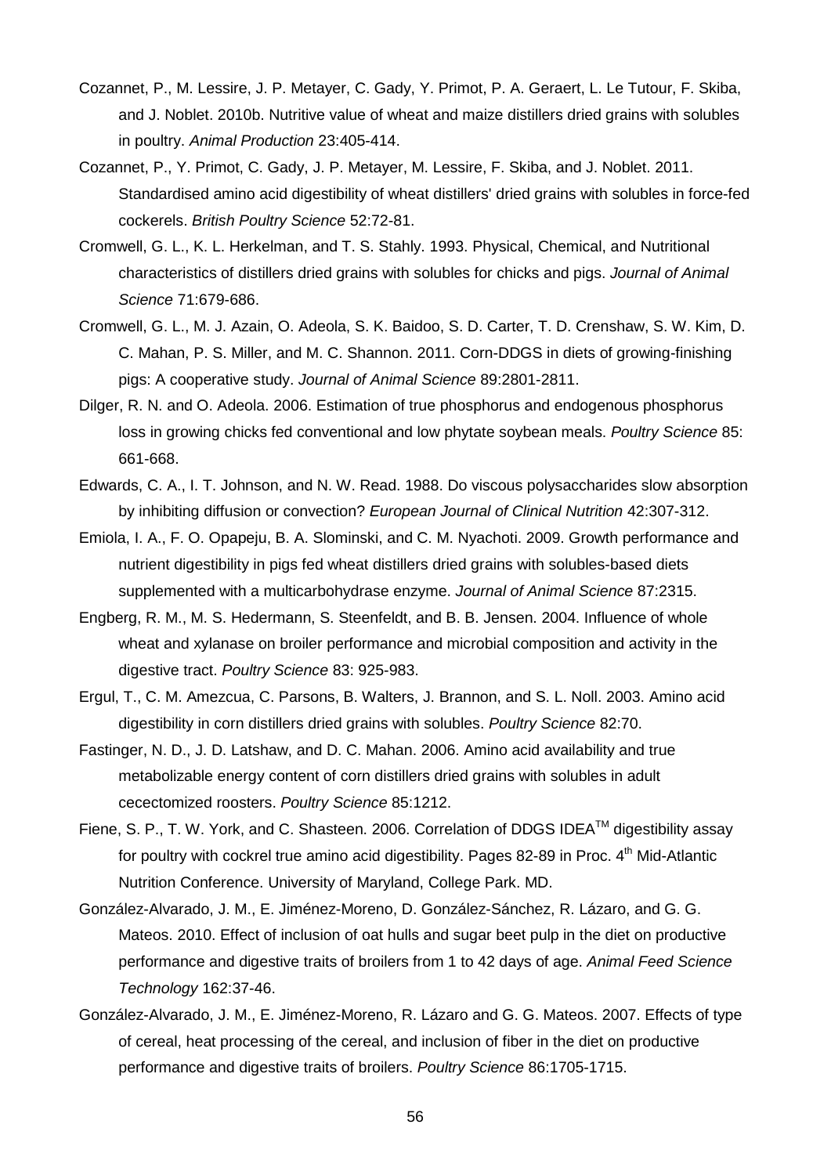- Cozannet, P., M. Lessire, J. P. Metayer, C. Gady, Y. Primot, P. A. Geraert, L. Le Tutour, F. Skiba, and J. Noblet. 2010b. Nutritive value of wheat and maize distillers dried grains with solubles in poultry. *Animal Production* 23:405-414.
- Cozannet, P., Y. Primot, C. Gady, J. P. Metayer, M. Lessire, F. Skiba, and J. Noblet. 2011. Standardised amino acid digestibility of wheat distillers' dried grains with solubles in force-fed cockerels. *British Poultry Science* 52:72-81.
- Cromwell, G. L., K. L. Herkelman, and T. S. Stahly. 1993. Physical, Chemical, and Nutritional characteristics of distillers dried grains with solubles for chicks and pigs. *Journal of Animal Science* 71:679-686.
- Cromwell, G. L., M. J. Azain, O. Adeola, S. K. Baidoo, S. D. Carter, T. D. Crenshaw, S. W. Kim, D. C. Mahan, P. S. Miller, and M. C. Shannon. 2011. Corn-DDGS in diets of growing-finishing pigs: A cooperative study. *Journal of Animal Science* 89:2801-2811.
- Dilger, R. N. and O. Adeola. 2006. Estimation of true phosphorus and endogenous phosphorus loss in growing chicks fed conventional and low phytate soybean meals. *Poultry Science* 85: 661-668.
- Edwards, C. A., I. T. Johnson, and N. W. Read. 1988. Do viscous polysaccharides slow absorption by inhibiting diffusion or convection? *European Journal of Clinical Nutrition* 42:307-312.
- Emiola, I. A., F. O. Opapeju, B. A. Slominski, and C. M. Nyachoti. 2009. Growth performance and nutrient digestibility in pigs fed wheat distillers dried grains with solubles-based diets supplemented with a multicarbohydrase enzyme. *Journal of Animal Science* 87:2315.
- Engberg, R. M., M. S. Hedermann, S. Steenfeldt, and B. B. Jensen. 2004. Influence of whole wheat and xylanase on broiler performance and microbial composition and activity in the digestive tract. *Poultry Science* 83: 925-983.
- Ergul, T., C. M. Amezcua, C. Parsons, B. Walters, J. Brannon, and S. L. Noll. 2003. Amino acid digestibility in corn distillers dried grains with solubles. *Poultry Science* 82:70.
- Fastinger, N. D., J. D. Latshaw, and D. C. Mahan. 2006. Amino acid availability and true metabolizable energy content of corn distillers dried grains with solubles in adult cecectomized roosters. *Poultry Science* 85:1212.
- Fiene, S. P., T. W. York, and C. Shasteen. 2006. Correlation of DDGS IDEA™ digestibility assay for poultry with cockrel true amino acid digestibility. Pages 82-89 in Proc. 4<sup>th</sup> Mid-Atlantic Nutrition Conference. University of Maryland, College Park. MD.
- González-Alvarado, J. M., E. Jiménez-Moreno, D. González-Sánchez, R. Lázaro, and G. G. Mateos. 2010. Effect of inclusion of oat hulls and sugar beet pulp in the diet on productive performance and digestive traits of broilers from 1 to 42 days of age. *Animal Feed Science Technology* 162:37-46.
- González-Alvarado, J. M., E. Jiménez-Moreno, R. Lázaro and G. G. Mateos. 2007. Effects of type of cereal, heat processing of the cereal, and inclusion of fiber in the diet on productive performance and digestive traits of broilers. *Poultry Science* 86:1705-1715.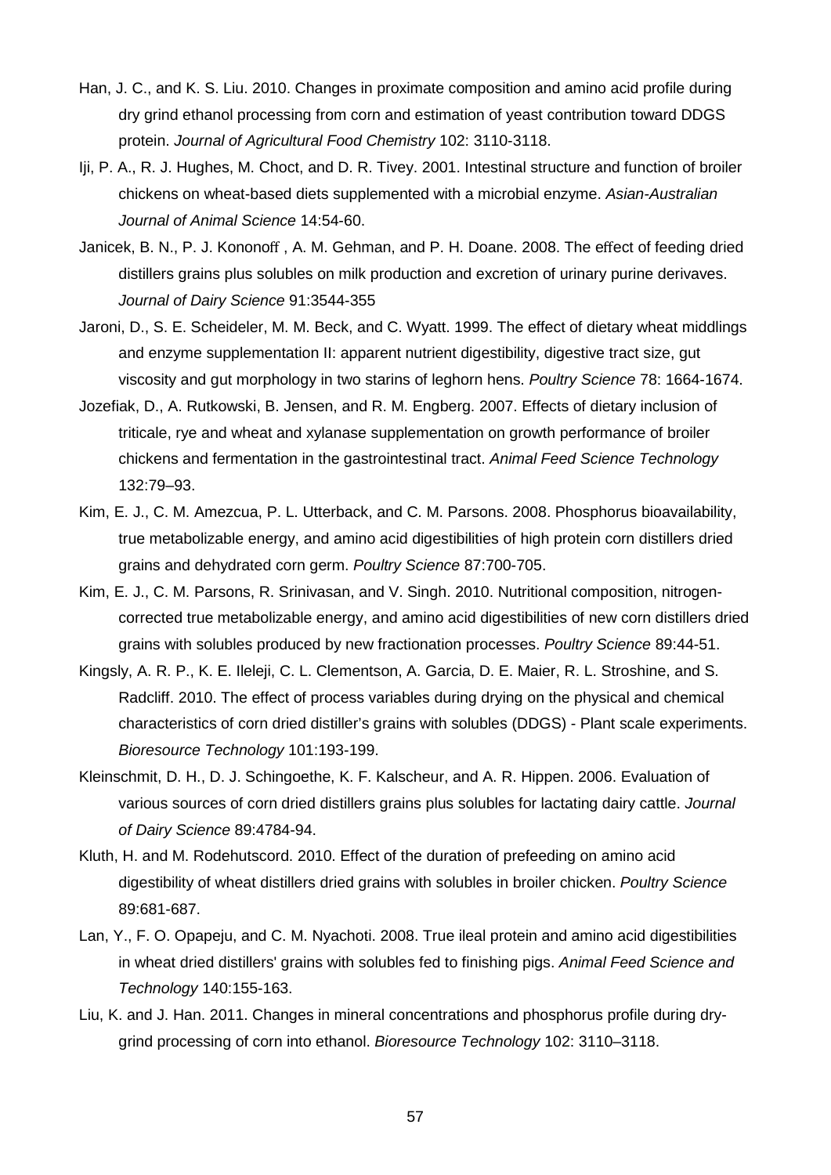- Han, J. C., and K. S. Liu. 2010. Changes in proximate composition and amino acid profile during dry grind ethanol processing from corn and estimation of yeast contribution toward DDGS protein. *Journal of Agricultural Food Chemistry* 102: 3110-3118.
- Iji, P. A., R. J. Hughes, M. Choct, and D. R. Tivey. 2001. Intestinal structure and function of broiler chickens on wheat-based diets supplemented with a microbial enzyme. *Asian-Australian Journal of Animal Science* 14:54-60.
- Janicek, B. N., P. J. Kononoff , A. M. Gehman, and P. H. Doane. 2008. The effect of feeding dried distillers grains plus solubles on milk production and excretion of urinary purine derivaves. *Journal of Dairy Science* 91:3544-355
- Jaroni, D., S. E. Scheideler, M. M. Beck, and C. Wyatt. 1999. The effect of dietary wheat middlings and enzyme supplementation II: apparent nutrient digestibility, digestive tract size, gut viscosity and gut morphology in two starins of leghorn hens. *Poultry Science* 78: 1664-1674.
- Jozefiak, D., A. Rutkowski, B. Jensen, and R. M. Engberg. 2007. Effects of dietary inclusion of triticale, rye and wheat and xylanase supplementation on growth performance of broiler chickens and fermentation in the gastrointestinal tract. *Animal Feed Science Technology* 132:79–93.
- Kim, E. J., C. M. Amezcua, P. L. Utterback, and C. M. Parsons. 2008. Phosphorus bioavailability, true metabolizable energy, and amino acid digestibilities of high protein corn distillers dried grains and dehydrated corn germ. *Poultry Science* 87:700-705.
- Kim, E. J., C. M. Parsons, R. Srinivasan, and V. Singh. 2010. Nutritional composition, nitrogencorrected true metabolizable energy, and amino acid digestibilities of new corn distillers dried grains with solubles produced by new fractionation processes. *Poultry Science* 89:44-51.
- Kingsly, A. R. P., K. E. Ileleji, C. L. Clementson, A. Garcia, D. E. Maier, R. L. Stroshine, and S. Radcliff. 2010. The effect of process variables during drying on the physical and chemical characteristics of corn dried distiller's grains with solubles (DDGS) - Plant scale experiments. *Bioresource Technology* 101:193-199.
- Kleinschmit, D. H., D. J. Schingoethe, K. F. Kalscheur, and A. R. Hippen. 2006. Evaluation of various sources of corn dried distillers grains plus solubles for lactating dairy cattle. *Journal of Dairy Science* 89:4784-94.
- Kluth, H. and M. Rodehutscord. 2010. Effect of the duration of prefeeding on amino acid digestibility of wheat distillers dried grains with solubles in broiler chicken. *Poultry Science*  89:681-687.
- Lan, Y., F. O. Opapeju, and C. M. Nyachoti. 2008. True ileal protein and amino acid digestibilities in wheat dried distillers' grains with solubles fed to finishing pigs. *Animal Feed Science and Technology* 140:155-163.
- Liu, K. and J. Han. 2011. Changes in mineral concentrations and phosphorus profile during drygrind processing of corn into ethanol. *Bioresource Technology* 102: 3110–3118.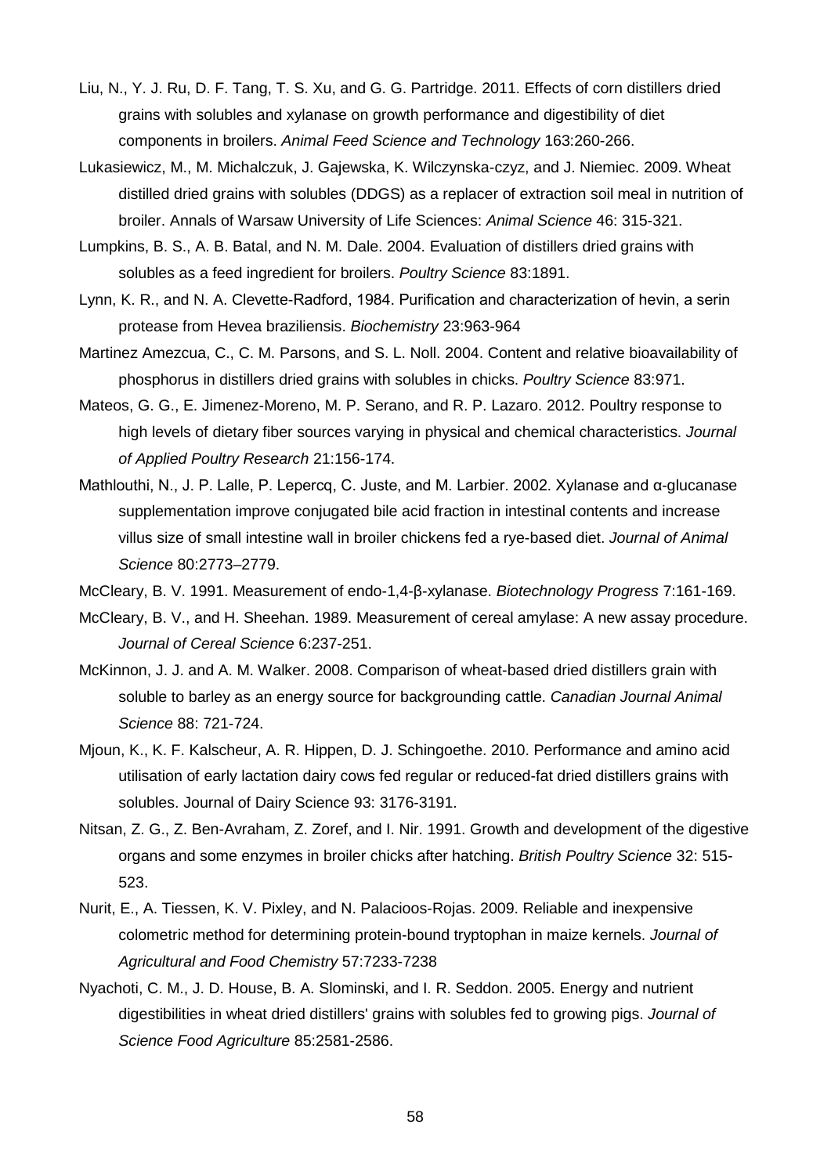- Liu, N., Y. J. Ru, D. F. Tang, T. S. Xu, and G. G. Partridge. 2011. Effects of corn distillers dried grains with solubles and xylanase on growth performance and digestibility of diet components in broilers. *Animal Feed Science and Technology* 163:260-266.
- Lukasiewicz, M., M. Michalczuk, J. Gajewska, K. Wilczynska-czyz, and J. Niemiec. 2009. Wheat distilled dried grains with solubles (DDGS) as a replacer of extraction soil meal in nutrition of broiler. Annals of Warsaw University of Life Sciences: *Animal Science* 46: 315-321.
- Lumpkins, B. S., A. B. Batal, and N. M. Dale. 2004. Evaluation of distillers dried grains with solubles as a feed ingredient for broilers. *Poultry Science* 83:1891.
- Lynn, K. R., and N. A. Clevette-Radford, 1984. Purification and characterization of hevin, a serin protease from Hevea braziliensis. *Biochemistry* 23:963-964
- Martinez Amezcua, C., C. M. Parsons, and S. L. Noll. 2004. Content and relative bioavailability of phosphorus in distillers dried grains with solubles in chicks. *Poultry Science* 83:971.
- Mateos, G. G., E. Jimenez-Moreno, M. P. Serano, and R. P. Lazaro. 2012. Poultry response to high levels of dietary fiber sources varying in physical and chemical characteristics. *Journal of Applied Poultry Research* 21:156-174.
- Mathlouthi, N., J. P. Lalle, P. Lepercq, C. Juste, and M. Larbier. 2002. Xylanase and α-glucanase supplementation improve conjugated bile acid fraction in intestinal contents and increase villus size of small intestine wall in broiler chickens fed a rye-based diet. *Journal of Animal Science* 80:2773–2779.

McCleary, B. V. 1991. Measurement of endo-1,4-β-xylanase. *Biotechnology Progress* 7:161-169.

- McCleary, B. V., and H. Sheehan. 1989. Measurement of cereal amylase: A new assay procedure. *Journal of Cereal Science* 6:237-251.
- McKinnon, J. J. and A. M. Walker. 2008. Comparison of wheat-based dried distillers grain with soluble to barley as an energy source for backgrounding cattle. *Canadian Journal Animal Science* 88: 721-724.
- Mjoun, K., K. F. Kalscheur, A. R. Hippen, D. J. Schingoethe. 2010. Performance and amino acid utilisation of early lactation dairy cows fed regular or reduced-fat dried distillers grains with solubles. Journal of Dairy Science 93: 3176-3191.
- Nitsan, Z. G., Z. Ben-Avraham, Z. Zoref, and I. Nir. 1991. Growth and development of the digestive organs and some enzymes in broiler chicks after hatching. *British Poultry Science* 32: 515- 523.
- Nurit, E., A. Tiessen, K. V. Pixley, and N. Palacioos-Rojas. 2009. Reliable and inexpensive colometric method for determining protein-bound tryptophan in maize kernels. *Journal of Agricultural and Food Chemistry* 57:7233-7238
- Nyachoti, C. M., J. D. House, B. A. Slominski, and I. R. Seddon. 2005. Energy and nutrient digestibilities in wheat dried distillers' grains with solubles fed to growing pigs. *Journal of Science Food Agriculture* 85:2581-2586.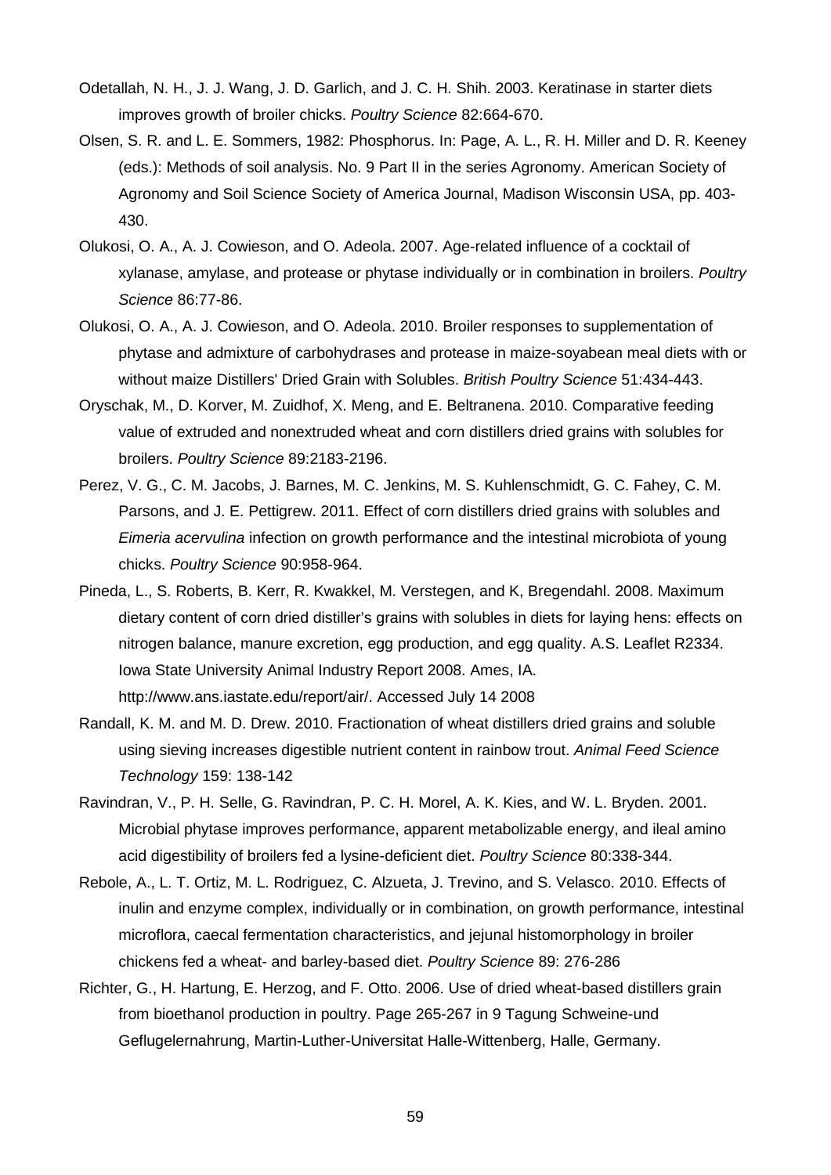- Odetallah, N. H., J. J. Wang, J. D. Garlich, and J. C. H. Shih. 2003. Keratinase in starter diets improves growth of broiler chicks. *Poultry Science* 82:664-670.
- Olsen, S. R. and L. E. Sommers, 1982: Phosphorus. In: Page, A. L., R. H. Miller and D. R. Keeney (eds.): Methods of soil analysis. No. 9 Part II in the series Agronomy. American Society of Agronomy and Soil Science Society of America Journal, Madison Wisconsin USA, pp. 403- 430.
- Olukosi, O. A., A. J. Cowieson, and O. Adeola. 2007. Age-related influence of a cocktail of xylanase, amylase, and protease or phytase individually or in combination in broilers. *Poultry Science* 86:77-86.
- Olukosi, O. A., A. J. Cowieson, and O. Adeola. 2010. Broiler responses to supplementation of phytase and admixture of carbohydrases and protease in maize-soyabean meal diets with or without maize Distillers' Dried Grain with Solubles. *British Poultry Science* 51:434-443.
- Oryschak, M., D. Korver, M. Zuidhof, X. Meng, and E. Beltranena. 2010. Comparative feeding value of extruded and nonextruded wheat and corn distillers dried grains with solubles for broilers. *Poultry Science* 89:2183-2196.
- Perez, V. G., C. M. Jacobs, J. Barnes, M. C. Jenkins, M. S. Kuhlenschmidt, G. C. Fahey, C. M. Parsons, and J. E. Pettigrew. 2011. Effect of corn distillers dried grains with solubles and *Eimeria acervulina* infection on growth performance and the intestinal microbiota of young chicks. *Poultry Science* 90:958-964.
- Pineda, L., S. Roberts, B. Kerr, R. Kwakkel, M. Verstegen, and K, Bregendahl. 2008. Maximum dietary content of corn dried distiller's grains with solubles in diets for laying hens: effects on nitrogen balance, manure excretion, egg production, and egg quality. A.S. Leaflet R2334. Iowa State University Animal Industry Report 2008. Ames, IA. http://www.ans.iastate.edu/report/air/. Accessed July 14 2008
- Randall, K. M. and M. D. Drew. 2010. Fractionation of wheat distillers dried grains and soluble using sieving increases digestible nutrient content in rainbow trout. *Animal Feed Science Technology* 159: 138-142
- Ravindran, V., P. H. Selle, G. Ravindran, P. C. H. Morel, A. K. Kies, and W. L. Bryden. 2001. Microbial phytase improves performance, apparent metabolizable energy, and ileal amino acid digestibility of broilers fed a lysine-deficient diet. *Poultry Science* 80:338-344.
- Rebole, A., L. T. Ortiz, M. L. Rodriguez, C. Alzueta, J. Trevino, and S. Velasco. 2010. Effects of inulin and enzyme complex, individually or in combination, on growth performance, intestinal microflora, caecal fermentation characteristics, and jejunal histomorphology in broiler chickens fed a wheat- and barley-based diet. *Poultry Science* 89: 276-286
- Richter, G., H. Hartung, E. Herzog, and F. Otto. 2006. Use of dried wheat-based distillers grain from bioethanol production in poultry. Page 265-267 in 9 Tagung Schweine-und Geflugelernahrung, Martin-Luther-Universitat Halle-Wittenberg, Halle, Germany.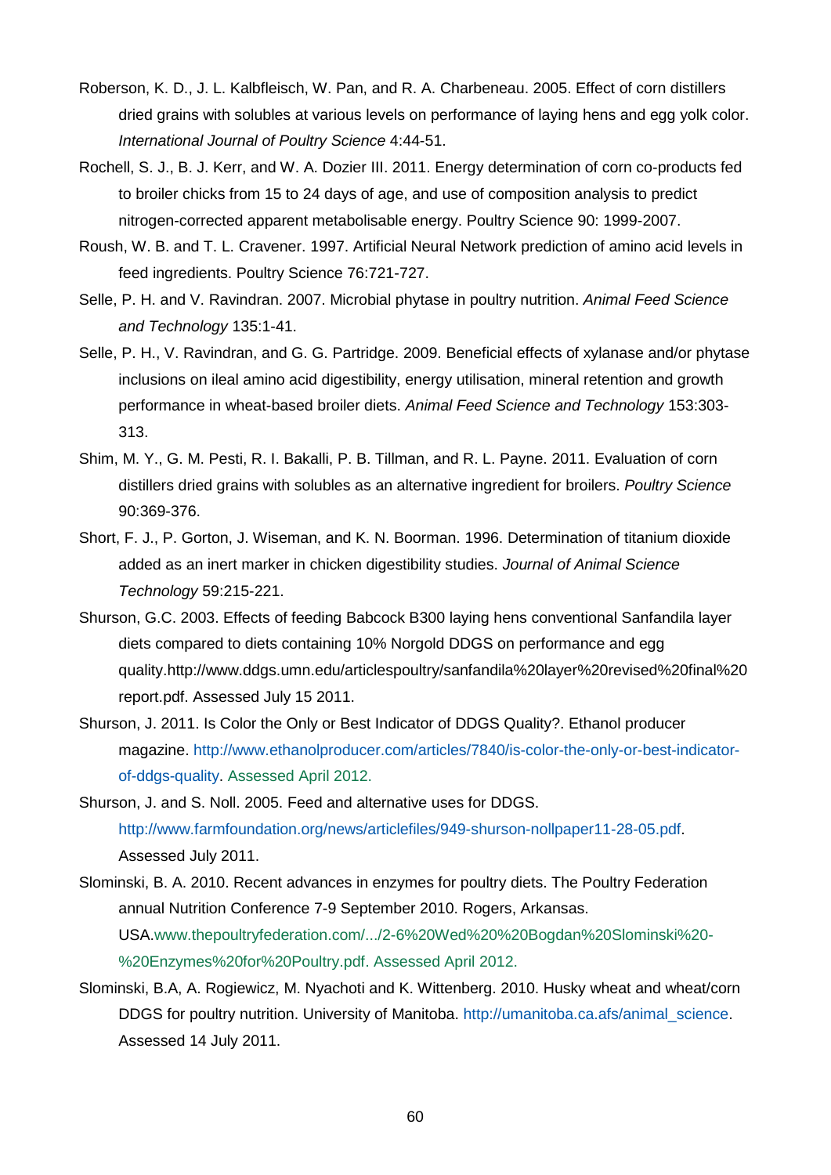- Roberson, K. D., J. L. Kalbfleisch, W. Pan, and R. A. Charbeneau. 2005. Effect of corn distillers dried grains with solubles at various levels on performance of laying hens and egg yolk color. *International Journal of Poultry Science* 4:44-51.
- Rochell, S. J., B. J. Kerr, and W. A. Dozier III. 2011. Energy determination of corn co-products fed to broiler chicks from 15 to 24 days of age, and use of composition analysis to predict nitrogen-corrected apparent metabolisable energy. Poultry Science 90: 1999-2007.
- Roush, W. B. and T. L. Cravener. 1997. Artificial Neural Network prediction of amino acid levels in feed ingredients. Poultry Science 76:721-727.
- Selle, P. H. and V. Ravindran. 2007. Microbial phytase in poultry nutrition. *Animal Feed Science and Technology* 135:1-41.
- Selle, P. H., V. Ravindran, and G. G. Partridge. 2009. Beneficial effects of xylanase and/or phytase inclusions on ileal amino acid digestibility, energy utilisation, mineral retention and growth performance in wheat-based broiler diets. *Animal Feed Science and Technology* 153:303- 313.
- Shim, M. Y., G. M. Pesti, R. I. Bakalli, P. B. Tillman, and R. L. Payne. 2011. Evaluation of corn distillers dried grains with solubles as an alternative ingredient for broilers. *Poultry Science* 90:369-376.
- Short, F. J., P. Gorton, J. Wiseman, and K. N. Boorman. 1996. Determination of titanium dioxide added as an inert marker in chicken digestibility studies. *Journal of Animal Science Technology* 59:215-221.
- Shurson, G.C. 2003. Effects of feeding Babcock B300 laying hens conventional Sanfandila layer diets compared to diets containing 10% Norgold DDGS on performance and egg quality.http://www.ddgs.umn.edu/articlespoultry/sanfandila%20layer%20revised%20final%20 report.pdf. Assessed July 15 2011.
- Shurson, J. 2011. Is Color the Only or Best Indicator of DDGS Quality?. Ethanol producer magazine. [http://www.ethanolproducer.com/articles/7840/is-color-the-only-or-best-indicator](http://www.ethanolproducer.com/articles/7840/is-color-the-only-or-best-indicator-of-ddgs-quality)[of-ddgs-quality.](http://www.ethanolproducer.com/articles/7840/is-color-the-only-or-best-indicator-of-ddgs-quality) Assessed April 2012.
- Shurson, J. and S. Noll. 2005. Feed and alternative uses for DDGS. [http://www.farmfoundation.org/news/articlefiles/949-shurson-nollpaper11-28-05.pdf.](http://www.farmfoundation.org/news/articlefiles/949-shurson-nollpaper11-28-05.pdf) Assessed July 2011.
- Slominski, B. A. 2010. Recent advances in enzymes for poultry diets. The Poultry Federation annual Nutrition Conference 7-9 September 2010. Rogers, Arkansas. USA.www.thepoultryfederation.com/.../2-6%20Wed%20%20Bogdan%20Slominski%20- %20Enzymes%20for%20Poultry.pdf. Assessed April 2012.
- Slominski, B.A, A. Rogiewicz, M. Nyachoti and K. Wittenberg. 2010. Husky wheat and wheat/corn DDGS for poultry nutrition. University of Manitoba. [http://umanitoba.ca.afs/animal\\_science.](http://umanitoba.ca.afs/animal_science) Assessed 14 July 2011.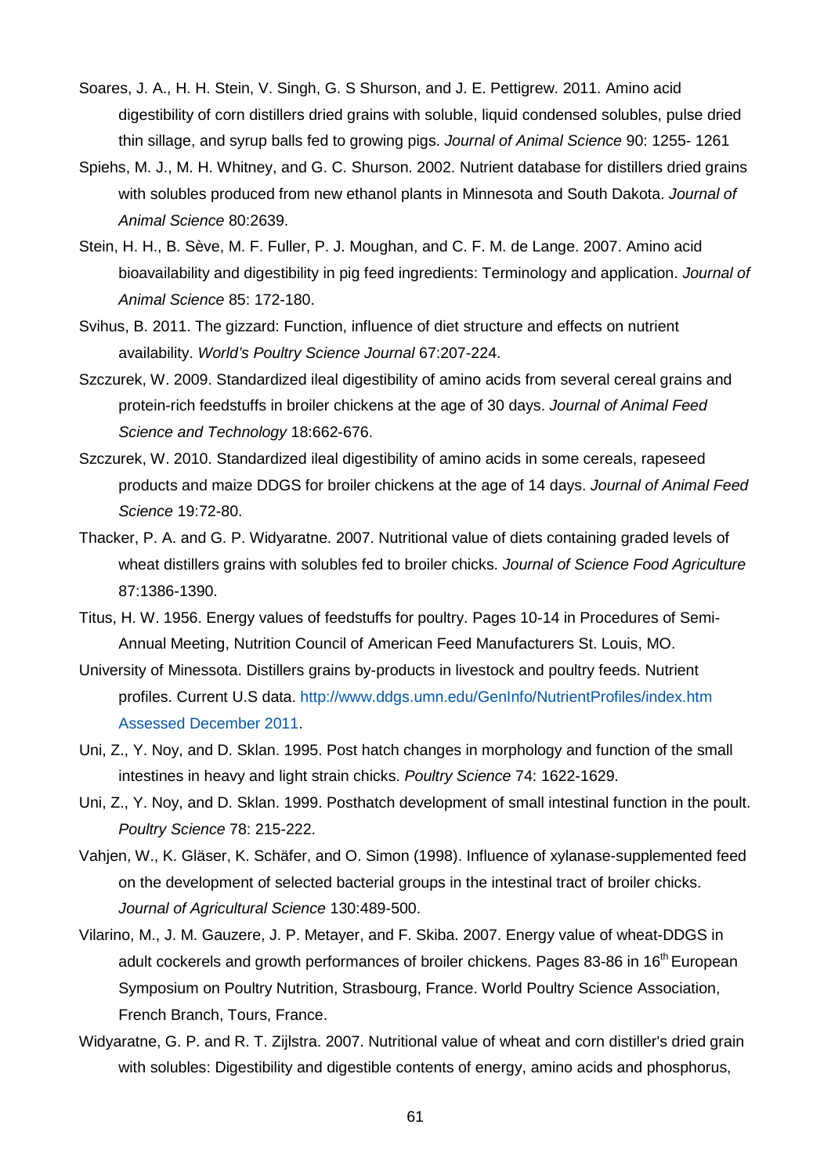- Soares, J. A., H. H. Stein, V. Singh, G. S Shurson, and J. E. Pettigrew. 2011. Amino acid digestibility of corn distillers dried grains with soluble, liquid condensed solubles, pulse dried thin sillage, and syrup balls fed to growing pigs. *Journal of Animal Science* 90: 1255- 1261
- Spiehs, M. J., M. H. Whitney, and G. C. Shurson. 2002. Nutrient database for distillers dried grains with solubles produced from new ethanol plants in Minnesota and South Dakota. *Journal of Animal Science* 80:2639.
- Stein, H. H., B. Sève, M. F. Fuller, P. J. Moughan, and C. F. M. de Lange. 2007. Amino acid bioavailability and digestibility in pig feed ingredients: Terminology and application. *Journal of Animal Science* 85: 172-180.
- Svihus, B. 2011. The gizzard: Function, influence of diet structure and effects on nutrient availability. *World's Poultry Science Journal* 67:207-224.
- Szczurek, W. 2009. Standardized ileal digestibility of amino acids from several cereal grains and protein-rich feedstuffs in broiler chickens at the age of 30 days. *Journal of Animal Feed Science and Technology* 18:662-676.
- Szczurek, W. 2010. Standardized ileal digestibility of amino acids in some cereals, rapeseed products and maize DDGS for broiler chickens at the age of 14 days. *Journal of Animal Feed Science* 19:72-80.
- Thacker, P. A. and G. P. Widyaratne. 2007. Nutritional value of diets containing graded levels of wheat distillers grains with solubles fed to broiler chicks. *Journal of Science Food Agriculture* 87:1386-1390.
- Titus, H. W. 1956. Energy values of feedstuffs for poultry. Pages 10-14 in Procedures of Semi-Annual Meeting, Nutrition Council of American Feed Manufacturers St. Louis, MO.
- University of Minessota. Distillers grains by-products in livestock and poultry feeds. Nutrient profiles. Current U.S data. [http://www.ddgs.umn.edu/GenInfo/NutrientProfiles/index.htm](http://www.ddgs.umn.edu/GenInfo/NutrientProfiles/index.htm%20Assessed%20December%202011) Assessed [December](http://www.ddgs.umn.edu/GenInfo/NutrientProfiles/index.htm%20Assessed%20December%202011) 2011.
- Uni, Z., Y. Noy, and D. Sklan. 1995. Post hatch changes in morphology and function of the small intestines in heavy and light strain chicks. *Poultry Science* 74: 1622-1629.
- Uni, Z., Y. Noy, and D. Sklan. 1999. Posthatch development of small intestinal function in the poult. *Poultry Science* 78: 215-222.
- Vahjen, W., K. Gläser, K. Schäfer, and O. Simon (1998). Influence of xylanase-supplemented feed on the development of selected bacterial groups in the intestinal tract of broiler chicks. *Journal of Agricultural Science* 130:489-500.
- Vilarino, M., J. M. Gauzere, J. P. Metayer, and F. Skiba. 2007. Energy value of wheat-DDGS in adult cockerels and growth performances of broiler chickens. Pages 83-86 in 16<sup>th</sup> European Symposium on Poultry Nutrition, Strasbourg, France. World Poultry Science Association, French Branch, Tours, France.
- Widyaratne, G. P. and R. T. Zijlstra. 2007. Nutritional value of wheat and corn distiller's dried grain with solubles: Digestibility and digestible contents of energy, amino acids and phosphorus,